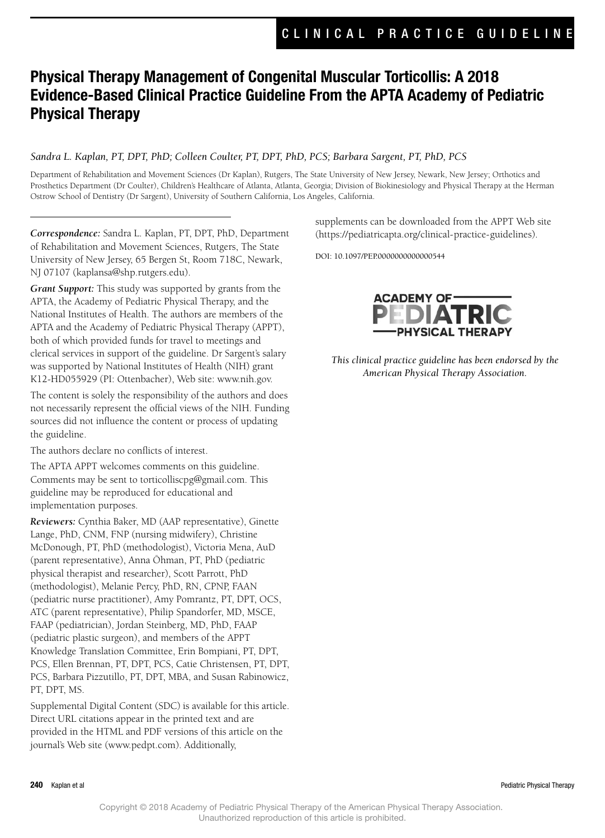## **Physical Therapy Management of Congenital Muscular Torticollis: A 2018 Evidence-Based Clinical Practice Guideline From the APTA Academy of Pediatric Physical Therapy**

## *Sandra L. Kaplan, PT, DPT, PhD; Colleen Coulter, PT, DPT, PhD, PCS; Barbara Sargent, PT, PhD, PCS*

Department of Rehabilitation and Movement Sciences (Dr Kaplan), Rutgers, The State University of New Jersey, Newark, New Jersey; Orthotics and Prosthetics Department (Dr Coulter), Children's Healthcare of Atlanta, Atlanta, Georgia; Division of Biokinesiology and Physical Therapy at the Herman Ostrow School of Dentistry (Dr Sargent), University of Southern California, Los Angeles, California.

*Correspondence:* Sandra L. Kaplan, PT, DPT, PhD, Department of Rehabilitation and Movement Sciences, Rutgers, The State University of New Jersey, 65 Bergen St, Room 718C, Newark, NJ 07107 [\(kaplansa@shp.rutgers.edu\)](mailto:kaplansa@shp.rutgers.edu).

*Grant Support:* This study was supported by grants from the APTA, the Academy of Pediatric Physical Therapy, and the National Institutes of Health. The authors are members of the APTA and the Academy of Pediatric Physical Therapy (APPT), both of which provided funds for travel to meetings and clerical services in support of the guideline. Dr Sargent's salary was supported by National Institutes of Health (NIH) grant K12-HD055929 (PI: Ottenbacher), Web site: www.nih.gov.

The content is solely the responsibility of the authors and does not necessarily represent the official views of the NIH. Funding sources did not influence the content or process of updating the guideline.

The authors declare no conflicts of interest.

The APTA APPT welcomes comments on this guideline. Comments may be sent to [torticolliscpg@gmail.com.](mailto:torticolliscpg@gmail.com) This guideline may be reproduced for educational and implementation purposes.

*Reviewers:* Cynthia Baker, MD (AAP representative), Ginette Lange, PhD, CNM, FNP (nursing midwifery), Christine McDonough, PT, PhD (methodologist), Victoria Mena, AuD (parent representative), Anna Öhman, PT, PhD (pediatric physical therapist and researcher), Scott Parrott, PhD (methodologist), Melanie Percy, PhD, RN, CPNP, FAAN (pediatric nurse practitioner), Amy Pomrantz, PT, DPT, OCS, ATC (parent representative), Philip Spandorfer, MD, MSCE, FAAP (pediatrician), Jordan Steinberg, MD, PhD, FAAP (pediatric plastic surgeon), and members of the APPT Knowledge Translation Committee, Erin Bompiani, PT, DPT, PCS, Ellen Brennan, PT, DPT, PCS, Catie Christensen, PT, DPT, PCS, Barbara Pizzutillo, PT, DPT, MBA, and Susan Rabinowicz, PT, DPT, MS.

Supplemental Digital Content (SDC) is available for this article. Direct URL citations appear in the printed text and are provided in the HTML and PDF versions of this article on the journal's Web site [\(www.pedpt.com\)](www.pedpt.com). Additionally,

supplements can be downloaded from the APPT Web site [\(https://pediatricapta.org/clinical-practice-guidelines\)](https://pediatricapta.org/clinical-practice-guidelines).

DOI: 10.1097/PEP.0000000000000544



*This clinical practice guideline has been endorsed by the American Physical Therapy Association.*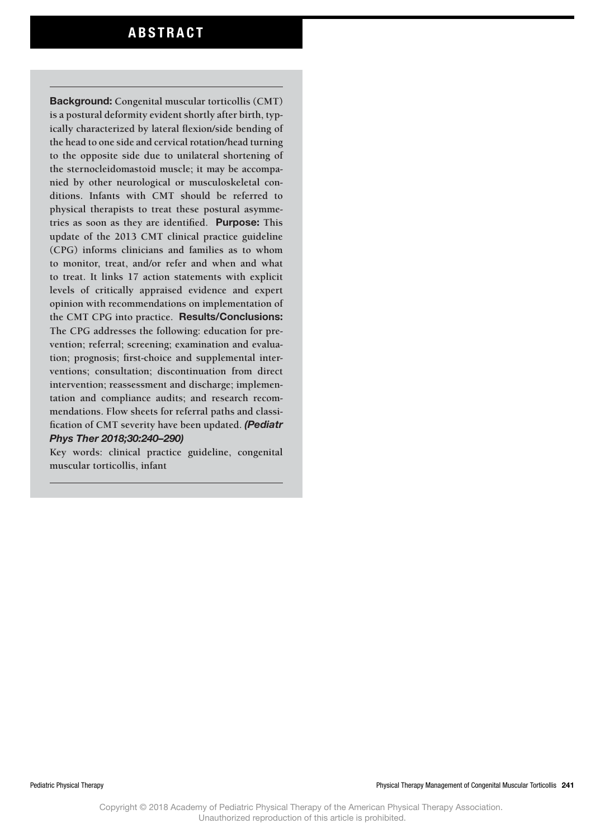## **ABSTRACT**

**Background: Congenital muscular torticollis (CMT) is a postural deformity evident shortly after birth, typically characterized by lateral flexion/side bending of the head to one side and cervical rotation/head turning to the opposite side due to unilateral shortening of the sternocleidomastoid muscle; it may be accompanied by other neurological or musculoskeletal conditions. Infants with CMT should be referred to physical therapists to treat these postural asymmetries as soon as they are identified. Purpose: This update of the 2013 CMT clinical practice guideline (CPG) informs clinicians and families as to whom to monitor, treat, and/or refer and when and what to treat. It links 17 action statements with explicit levels of critically appraised evidence and expert opinion with recommendations on implementation of the CMT CPG into practice. Results/Conclusions: The CPG addresses the following: education for prevention; referral; screening; examination and evaluation; prognosis; first-choice and supplemental interventions; consultation; discontinuation from direct intervention; reassessment and discharge; implementation and compliance audits; and research recommendations. Flow sheets for referral paths and classification of CMT severity have been updated.** *(Pediatr Phys Ther 2018;30:240–290)*

**Key words: clinical practice guideline, congenital muscular torticollis, infant**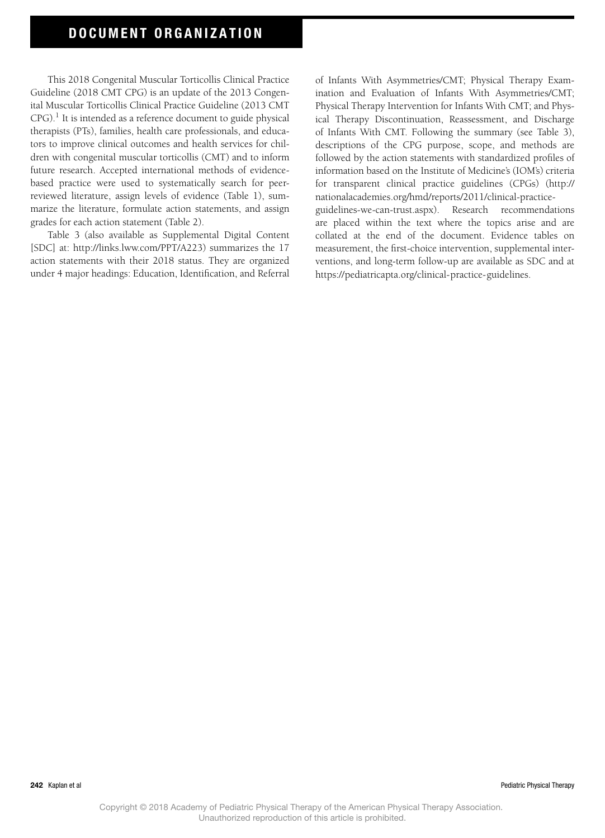This 2018 Congenital Muscular Torticollis Clinical Practice Guideline (2018 CMT CPG) is an update of the 2013 Congenital Muscular Torticollis Clinical Practice Guideline (2013 CMT  $CPG$ ).<sup>1</sup> It is intended as a reference document to guide physical therapists (PTs), families, health care professionals, and educators to improve clinical outcomes and health services for children with congenital muscular torticollis (CMT) and to inform future research. Accepted international methods of evidencebased practice were used to systematically search for peerreviewed literature, assign levels of evidence (Table 1), summarize the literature, formulate action statements, and assign grades for each action statement (Table 2).

Table 3 (also available as Supplemental Digital Content [SDC] at: [http://links.lww.com/PPT/A223\)](http://links.lww.com/PPT/A223) summarizes the 17 action statements with their 2018 status. They are organized under 4 major headings: Education, Identification, and Referral of Infants With Asymmetries/CMT; Physical Therapy Examination and Evaluation of Infants With Asymmetries/CMT; Physical Therapy Intervention for Infants With CMT; and Physical Therapy Discontinuation, Reassessment, and Discharge of Infants With CMT. Following the summary (see Table 3), descriptions of the CPG purpose, scope, and methods are followed by the action statements with standardized profiles of information based on the Institute of Medicine's (IOM's) criteria for transparent clinical practice guidelines (CPGs) (http:// nationalacademies.org/hmd/reports/2011/clinical-practice-

[guidelines-we-can-trust.aspx\). Research recommendations](http://nationalacademies.org/hmd/reports/2011/clinical-practice-guidelines-we-can-trust.aspx) are placed within the text where the topics arise and are collated at the end of the document. Evidence tables on measurement, the first-choice intervention, supplemental interventions, and long-term follow-up are available as SDC and at [https://pediatricapta.org/clinical-practice-guidelines.](https://pediatricapta.org/clinical-practice-guidelines)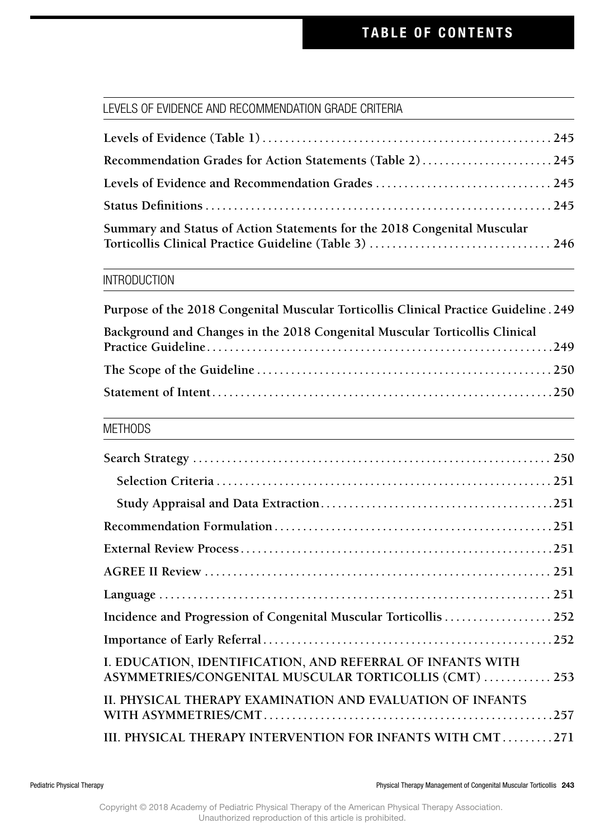## LEVELS OF EVIDENCE AND RECOMMENDATION GRADE CRITERIA

| Recommendation Grades for Action Statements (Table 2)245                 |  |
|--------------------------------------------------------------------------|--|
| Levels of Evidence and Recommendation Grades  245                        |  |
|                                                                          |  |
| Summary and Status of Action Statements for the 2018 Congenital Muscular |  |

## **INTRODUCTION**

| Purpose of the 2018 Congenital Muscular Torticollis Clinical Practice Guideline. 249 |  |
|--------------------------------------------------------------------------------------|--|
| Background and Changes in the 2018 Congenital Muscular Torticollis Clinical          |  |
|                                                                                      |  |
|                                                                                      |  |
|                                                                                      |  |

## **METHODS**

| Incidence and Progression of Congenital Muscular Torticollis 252                                                     |  |
|----------------------------------------------------------------------------------------------------------------------|--|
|                                                                                                                      |  |
| I. EDUCATION, IDENTIFICATION, AND REFERRAL OF INFANTS WITH<br>ASYMMETRIES/CONGENITAL MUSCULAR TORTICOLLIS (CMT)  253 |  |
| II. PHYSICAL THERAPY EXAMINATION AND EVALUATION OF INFANTS                                                           |  |
| III. PHYSICAL THERAPY INTERVENTION FOR INFANTS WITH CMT271                                                           |  |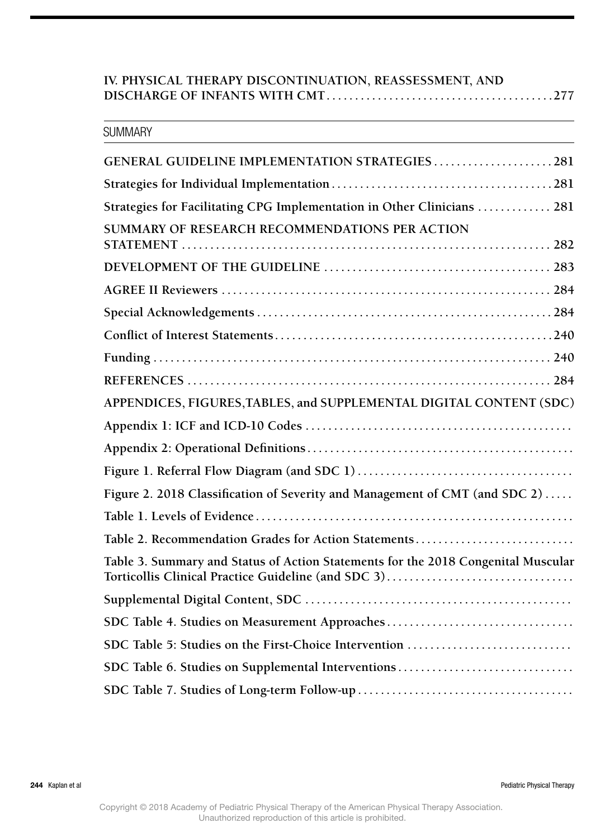## **IV. PHYSICAL THERAPY DISCONTINUATION, REASSESSMENT, AND DISCHARGE OF INFANTS WITH CMT. . . . . . . . . . . . . . . . . . . . . . . . . . . . . . . . . . . . . . . .277**

## SUMMARY

| GENERAL GUIDELINE IMPLEMENTATION STRATEGIES281                                    |
|-----------------------------------------------------------------------------------|
|                                                                                   |
| Strategies for Facilitating CPG Implementation in Other Clinicians  281           |
| SUMMARY OF RESEARCH RECOMMENDATIONS PER ACTION                                    |
|                                                                                   |
|                                                                                   |
|                                                                                   |
|                                                                                   |
|                                                                                   |
|                                                                                   |
| APPENDICES, FIGURES, TABLES, and SUPPLEMENTAL DIGITAL CONTENT (SDC)               |
|                                                                                   |
|                                                                                   |
|                                                                                   |
| Figure 2. 2018 Classification of Severity and Management of CMT (and SDC 2)       |
|                                                                                   |
| Table 2. Recommendation Grades for Action Statements                              |
| Table 3. Summary and Status of Action Statements for the 2018 Congenital Muscular |
|                                                                                   |
| SDC Table 4. Studies on Measurement Approaches                                    |
| SDC Table 5: Studies on the First-Choice Intervention                             |
| SDC Table 6. Studies on Supplemental Interventions                                |
|                                                                                   |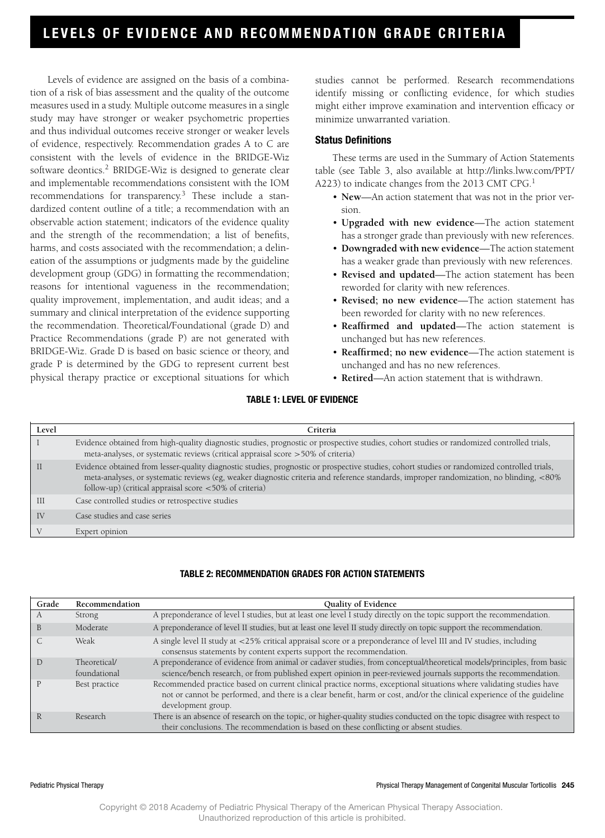Levels of evidence are assigned on the basis of a combination of a risk of bias assessment and the quality of the outcome measures used in a study. Multiple outcome measures in a single study may have stronger or weaker psychometric properties and thus individual outcomes receive stronger or weaker levels of evidence, respectively. Recommendation grades A to C are consistent with the levels of evidence in the BRIDGE-Wiz software deontics.<sup>2</sup> BRIDGE-Wiz is designed to generate clear and implementable recommendations consistent with the IOM recommendations for transparency.<sup>3</sup> These include a standardized content outline of a title; a recommendation with an observable action statement; indicators of the evidence quality and the strength of the recommendation; a list of benefits, harms, and costs associated with the recommendation; a delineation of the assumptions or judgments made by the guideline development group (GDG) in formatting the recommendation; reasons for intentional vagueness in the recommendation; quality improvement, implementation, and audit ideas; and a summary and clinical interpretation of the evidence supporting the recommendation. Theoretical/Foundational (grade D) and Practice Recommendations (grade P) are not generated with BRIDGE-Wiz. Grade D is based on basic science or theory, and grade P is determined by the GDG to represent current best physical therapy practice or exceptional situations for which

studies cannot be performed. Research recommendations identify missing or conflicting evidence, for which studies might either improve examination and intervention efficacy or minimize unwarranted variation.

## **Status Definitions**

These terms are used in the Summary of Action Statements table (see Table 3, also available at http://links.lww.com/PPT/ [A223\) to indicate changes from the 2013 CMT CPG.](http://links.lww.com/PPT/A223)<sup>1</sup>

- **New**—An action statement that was not in the prior version.
- **Upgraded with new evidence**—The action statement has a stronger grade than previously with new references.
- **Downgraded with new evidence**—The action statement has a weaker grade than previously with new references.
- **Revised and updated**—The action statement has been reworded for clarity with new references.
- **Revised; no new evidence**—The action statement has been reworded for clarity with no new references.
- **Reaffirmed and updated**—The action statement is unchanged but has new references.
- **Reaffirmed; no new evidence**—The action statement is unchanged and has no new references.
- **Retired**—An action statement that is withdrawn.

### **TABLE 1: LEVEL OF EVIDENCE**

| Level | Criteria                                                                                                                                                                                                                                                                                                                                             |
|-------|------------------------------------------------------------------------------------------------------------------------------------------------------------------------------------------------------------------------------------------------------------------------------------------------------------------------------------------------------|
|       | Evidence obtained from high-quality diagnostic studies, prognostic or prospective studies, cohort studies or randomized controlled trials,<br>meta-analyses, or systematic reviews (critical appraisal score > 50% of criteria)                                                                                                                      |
|       | Evidence obtained from lesser-quality diagnostic studies, prognostic or prospective studies, cohort studies or randomized controlled trials,<br>meta-analyses, or systematic reviews (eg, weaker diagnostic criteria and reference standards, improper randomization, no blinding, <80%<br>follow-up) (critical appraisal score $<$ 50% of criteria) |
| III   | Case controlled studies or retrospective studies                                                                                                                                                                                                                                                                                                     |
| IV    | Case studies and case series                                                                                                                                                                                                                                                                                                                         |
|       | Expert opinion                                                                                                                                                                                                                                                                                                                                       |

#### **TABLE 2: RECOMMENDATION GRADES FOR ACTION STATEMENTS**

| Grade | Recommendation               | <b>Ouality of Evidence</b>                                                                                                                                                                                                                                           |
|-------|------------------------------|----------------------------------------------------------------------------------------------------------------------------------------------------------------------------------------------------------------------------------------------------------------------|
| А     | Strong                       | A preponderance of level I studies, but at least one level I study directly on the topic support the recommendation.                                                                                                                                                 |
| B     | Moderate                     | A preponderance of level II studies, but at least one level II study directly on topic support the recommendation.                                                                                                                                                   |
|       | Weak                         | A single level II study at <25% critical appraisal score or a preponderance of level III and IV studies, including<br>consensus statements by content experts support the recommendation.                                                                            |
|       | Theoretical/<br>foundational | A preponderance of evidence from animal or cadaver studies, from conceptual/theoretical models/principles, from basic<br>science/bench research, or from published expert opinion in peer-reviewed journals supports the recommendation.                             |
|       | Best practice                | Recommended practice based on current clinical practice norms, exceptional situations where validating studies have<br>not or cannot be performed, and there is a clear benefit, harm or cost, and/or the clinical experience of the guideline<br>development group. |
| R     | Research                     | There is an absence of research on the topic, or higher-quality studies conducted on the topic disagree with respect to<br>their conclusions. The recommendation is based on these conflicting or absent studies.                                                    |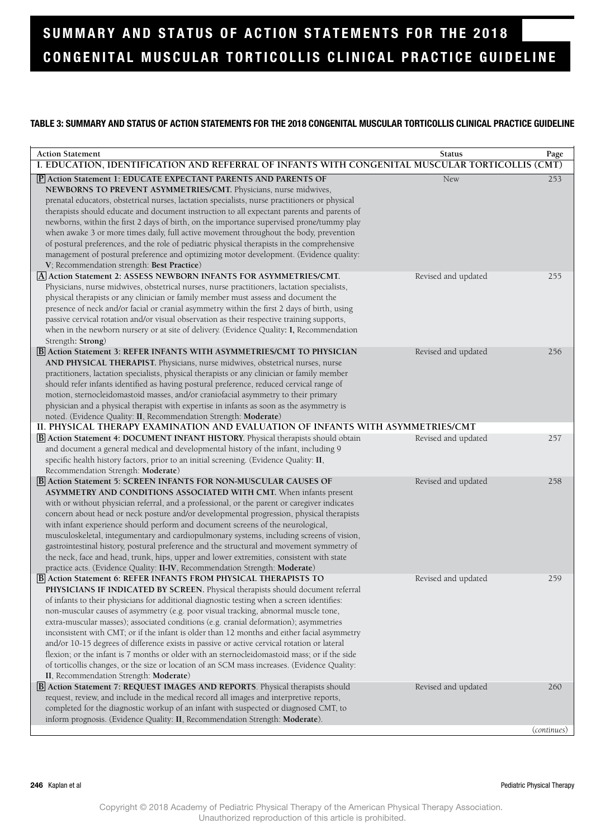# **SUMMARY AND STATUS OF ACTION STATEMENTS FOR THE 2018 CONGENITAL MUSCULAR TORTICOLLIS CLINICAL PRACTICE GUIDELINE**

## **TABLE 3: SUMMARY AND STATUS OF ACTION STATEMENTS FOR THE 2018 CONGENITAL MUSCULAR TORTICOLLIS CLINICAL PRACTICE GUIDELINE**

| <b>Action Statement</b><br>I. EDUCATION, IDENTIFICATION AND REFERRAL OF INFANTS WITH CONGENITAL MUSCULAR TORTICOLLIS (CMT)                                                                                                                                                                                                                                                                                                                                                                                                                                                                                                                                                                                                                                                                           | <b>Status</b>       | Page        |
|------------------------------------------------------------------------------------------------------------------------------------------------------------------------------------------------------------------------------------------------------------------------------------------------------------------------------------------------------------------------------------------------------------------------------------------------------------------------------------------------------------------------------------------------------------------------------------------------------------------------------------------------------------------------------------------------------------------------------------------------------------------------------------------------------|---------------------|-------------|
| P Action Statement 1: EDUCATE EXPECTANT PARENTS AND PARENTS OF                                                                                                                                                                                                                                                                                                                                                                                                                                                                                                                                                                                                                                                                                                                                       | New                 | 253         |
| NEWBORNS TO PREVENT ASYMMETRIES/CMT. Physicians, nurse midwives,                                                                                                                                                                                                                                                                                                                                                                                                                                                                                                                                                                                                                                                                                                                                     |                     |             |
| prenatal educators, obstetrical nurses, lactation specialists, nurse practitioners or physical<br>therapists should educate and document instruction to all expectant parents and parents of<br>newborns, within the first 2 days of birth, on the importance supervised prone/tummy play<br>when awake 3 or more times daily, full active movement throughout the body, prevention<br>of postural preferences, and the role of pediatric physical therapists in the comprehensive<br>management of postural preference and optimizing motor development. (Evidence quality:                                                                                                                                                                                                                         |                     |             |
| V; Recommendation strength: Best Practice)                                                                                                                                                                                                                                                                                                                                                                                                                                                                                                                                                                                                                                                                                                                                                           |                     |             |
| A Action Statement 2: ASSESS NEWBORN INFANTS FOR ASYMMETRIES/CMT.                                                                                                                                                                                                                                                                                                                                                                                                                                                                                                                                                                                                                                                                                                                                    | Revised and updated | 255         |
| Physicians, nurse midwives, obstetrical nurses, nurse practitioners, lactation specialists,<br>physical therapists or any clinician or family member must assess and document the<br>presence of neck and/or facial or cranial asymmetry within the first 2 days of birth, using<br>passive cervical rotation and/or visual observation as their respective training supports,<br>when in the newborn nursery or at site of delivery. (Evidence Quality: I, Recommendation<br>Strength: Strong)                                                                                                                                                                                                                                                                                                      |                     |             |
| B Action Statement 3: REFER INFANTS WITH ASYMMETRIES/CMT TO PHYSICIAN                                                                                                                                                                                                                                                                                                                                                                                                                                                                                                                                                                                                                                                                                                                                | Revised and updated | 256         |
| AND PHYSICAL THERAPIST. Physicians, nurse midwives, obstetrical nurses, nurse<br>practitioners, lactation specialists, physical therapists or any clinician or family member<br>should refer infants identified as having postural preference, reduced cervical range of<br>motion, sternocleidomastoid masses, and/or craniofacial asymmetry to their primary<br>physician and a physical therapist with expertise in infants as soon as the asymmetry is<br>noted. (Evidence Quality: II, Recommendation Strength: Moderate)                                                                                                                                                                                                                                                                       |                     |             |
| II. PHYSICAL THERAPY EXAMINATION AND EVALUATION OF INFANTS WITH ASYMMETRIES/CMT                                                                                                                                                                                                                                                                                                                                                                                                                                                                                                                                                                                                                                                                                                                      |                     |             |
| <b>B</b> Action Statement 4: DOCUMENT INFANT HISTORY. Physical therapists should obtain<br>and document a general medical and developmental history of the infant, including 9<br>specific health history factors, prior to an initial screening. (Evidence Quality: II,<br>Recommendation Strength: Moderate)                                                                                                                                                                                                                                                                                                                                                                                                                                                                                       | Revised and updated | 257         |
| B Action Statement 5: SCREEN INFANTS FOR NON-MUSCULAR CAUSES OF                                                                                                                                                                                                                                                                                                                                                                                                                                                                                                                                                                                                                                                                                                                                      | Revised and updated | 258         |
| ASYMMETRY AND CONDITIONS ASSOCIATED WITH CMT. When infants present<br>with or without physician referral, and a professional, or the parent or caregiver indicates<br>concern about head or neck posture and/or developmental progression, physical therapists<br>with infant experience should perform and document screens of the neurological,<br>musculoskeletal, integumentary and cardiopulmonary systems, including screens of vision,<br>gastrointestinal history, postural preference and the structural and movement symmetry of<br>the neck, face and head, trunk, hips, upper and lower extremities, consistent with state<br>practice acts. (Evidence Quality: II-IV, Recommendation Strength: Moderate)                                                                                |                     |             |
| <b>B</b> Action Statement 6: REFER INFANTS FROM PHYSICAL THERAPISTS TO                                                                                                                                                                                                                                                                                                                                                                                                                                                                                                                                                                                                                                                                                                                               | Revised and updated | 259         |
| PHYSICIANS IF INDICATED BY SCREEN. Physical therapists should document referral<br>of infants to their physicians for additional diagnostic testing when a screen identifies:<br>non-muscular causes of asymmetry (e.g. poor visual tracking, abnormal muscle tone,<br>extra-muscular masses); associated conditions (e.g. cranial deformation); asymmetries<br>inconsistent with CMT; or if the infant is older than 12 months and either facial asymmetry<br>and/or 10-15 degrees of difference exists in passive or active cervical rotation or lateral<br>flexion; or the infant is 7 months or older with an sternocleidomastoid mass; or if the side<br>of torticollis changes, or the size or location of an SCM mass increases. (Evidence Quality:<br>II, Recommendation Strength: Moderate) |                     |             |
| B Action Statement 7: REQUEST IMAGES AND REPORTS. Physical therapists should                                                                                                                                                                                                                                                                                                                                                                                                                                                                                                                                                                                                                                                                                                                         | Revised and updated | 260         |
| request, review, and include in the medical record all images and interpretive reports,<br>completed for the diagnostic workup of an infant with suspected or diagnosed CMT, to<br>inform prognosis. (Evidence Quality: II, Recommendation Strength: Moderate).                                                                                                                                                                                                                                                                                                                                                                                                                                                                                                                                      |                     |             |
|                                                                                                                                                                                                                                                                                                                                                                                                                                                                                                                                                                                                                                                                                                                                                                                                      |                     | (continues) |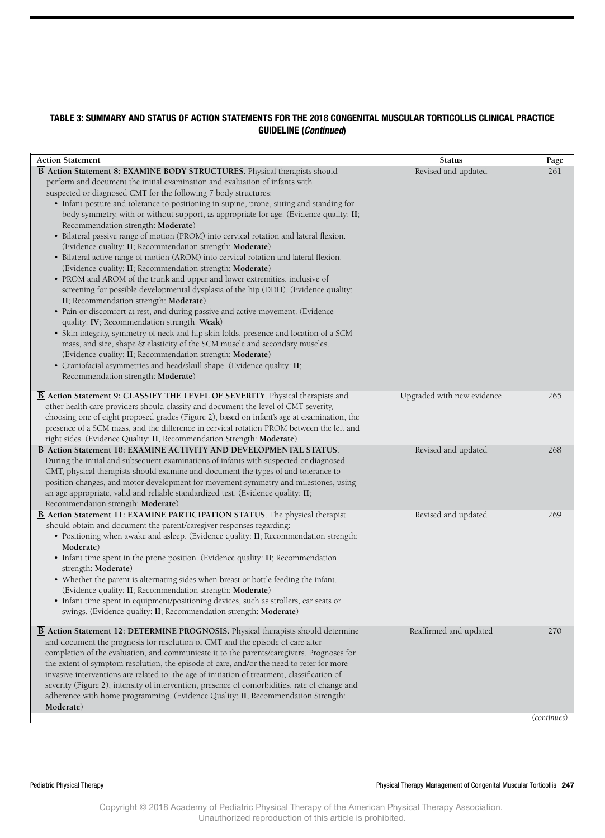## **TABLE 3: SUMMARY AND STATUS OF ACTION STATEMENTS FOR THE 2018 CONGENITAL MUSCULAR TORTICOLLIS CLINICAL PRACTICE GUIDELINE (***Continued***)**

| <b>Action Statement</b>                                                                                                                                                                                                                                                                                                                                                                                                                                                                                                                                                                                                                                                                                                                                                                                                                                                                                                                                                    | <b>Status</b>              | Page        |
|----------------------------------------------------------------------------------------------------------------------------------------------------------------------------------------------------------------------------------------------------------------------------------------------------------------------------------------------------------------------------------------------------------------------------------------------------------------------------------------------------------------------------------------------------------------------------------------------------------------------------------------------------------------------------------------------------------------------------------------------------------------------------------------------------------------------------------------------------------------------------------------------------------------------------------------------------------------------------|----------------------------|-------------|
| <b>B</b> Action Statement 8: EXAMINE BODY STRUCTURES. Physical therapists should<br>perform and document the initial examination and evaluation of infants with<br>suspected or diagnosed CMT for the following 7 body structures:<br>• Infant posture and tolerance to positioning in supine, prone, sitting and standing for<br>body symmetry, with or without support, as appropriate for age. (Evidence quality: II;<br>Recommendation strength: Moderate)                                                                                                                                                                                                                                                                                                                                                                                                                                                                                                             | Revised and updated        | 261         |
| • Bilateral passive range of motion (PROM) into cervical rotation and lateral flexion.<br>(Evidence quality: II; Recommendation strength: Moderate)<br>• Bilateral active range of motion (AROM) into cervical rotation and lateral flexion.<br>(Evidence quality: II; Recommendation strength: Moderate)<br>• PROM and AROM of the trunk and upper and lower extremities, inclusive of<br>screening for possible developmental dysplasia of the hip (DDH). (Evidence quality:<br>II; Recommendation strength: Moderate)<br>• Pain or discomfort at rest, and during passive and active movement. (Evidence<br>quality: IV; Recommendation strength: Weak)<br>• Skin integrity, symmetry of neck and hip skin folds, presence and location of a SCM<br>mass, and size, shape & elasticity of the SCM muscle and secondary muscles.<br>(Evidence quality: II; Recommendation strength: Moderate)<br>• Craniofacial asymmetries and head/skull shape. (Evidence quality: II; |                            |             |
| Recommendation strength: Moderate)                                                                                                                                                                                                                                                                                                                                                                                                                                                                                                                                                                                                                                                                                                                                                                                                                                                                                                                                         |                            |             |
| <b>B</b> Action Statement 9: CLASSIFY THE LEVEL OF SEVERITY. Physical therapists and<br>other health care providers should classify and document the level of CMT severity,<br>choosing one of eight proposed grades (Figure 2), based on infant's age at examination, the<br>presence of a SCM mass, and the difference in cervical rotation PROM between the left and<br>right sides. (Evidence Quality: II, Recommendation Strength: Moderate)                                                                                                                                                                                                                                                                                                                                                                                                                                                                                                                          | Upgraded with new evidence | 265         |
| <b>B</b> Action Statement 10: EXAMINE ACTIVITY AND DEVELOPMENTAL STATUS.<br>During the initial and subsequent examinations of infants with suspected or diagnosed<br>CMT, physical therapists should examine and document the types of and tolerance to<br>position changes, and motor development for movement symmetry and milestones, using<br>an age appropriate, valid and reliable standardized test. (Evidence quality: II;<br>Recommendation strength: Moderate)                                                                                                                                                                                                                                                                                                                                                                                                                                                                                                   | Revised and updated        | 268         |
| <b>B</b> Action Statement 11: EXAMINE PARTICIPATION STATUS. The physical therapist<br>should obtain and document the parent/caregiver responses regarding:<br>• Positioning when awake and asleep. (Evidence quality: II; Recommendation strength:<br>Moderate)<br>• Infant time spent in the prone position. (Evidence quality: II; Recommendation<br>strength: Moderate)<br>• Whether the parent is alternating sides when breast or bottle feeding the infant.<br>(Evidence quality: II; Recommendation strength: Moderate)<br>• Infant time spent in equipment/positioning devices, such as strollers, car seats or<br>swings. (Evidence quality: II; Recommendation strength: Moderate)                                                                                                                                                                                                                                                                               | Revised and updated        | 269         |
| <b>B</b> Action Statement 12: DETERMINE PROGNOSIS. Physical therapists should determine<br>and document the prognosis for resolution of CMT and the episode of care after<br>completion of the evaluation, and communicate it to the parents/caregivers. Prognoses for<br>the extent of symptom resolution, the episode of care, and/or the need to refer for more<br>invasive interventions are related to: the age of initiation of treatment, classification of<br>severity (Figure 2), intensity of intervention, presence of comorbidities, rate of change and<br>adherence with home programming. (Evidence Quality: II, Recommendation Strength:<br>Moderate)                                                                                                                                                                                                                                                                                                       | Reaffirmed and updated     | 270         |
|                                                                                                                                                                                                                                                                                                                                                                                                                                                                                                                                                                                                                                                                                                                                                                                                                                                                                                                                                                            |                            | (continues) |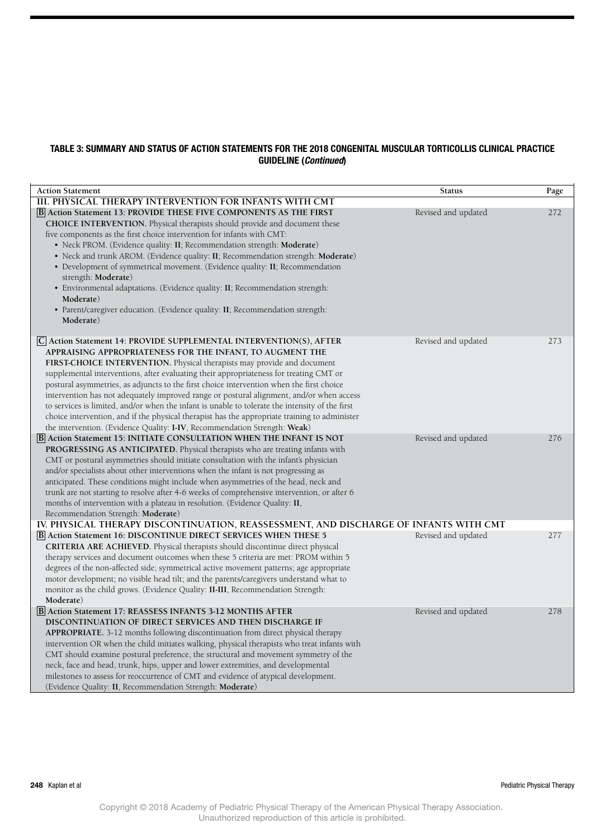## **TABLE 3: SUMMARY AND STATUS OF ACTION STATEMENTS FOR THE 2018 CONGENITAL MUSCULAR TORTICOLLIS CLINICAL PRACTICE GUIDELINE (***Continued***)**

| <b>Action Statement</b>                                                                         | <b>Status</b>       | Page |
|-------------------------------------------------------------------------------------------------|---------------------|------|
| III. PHYSICAL THERAPY INTERVENTION FOR INFANTS WITH CMT                                         |                     |      |
| <b>B</b> Action Statement 13: PROVIDE THESE FIVE COMPONENTS AS THE FIRST                        | Revised and updated | 272  |
| CHOICE INTERVENTION. Physical therapists should provide and document these                      |                     |      |
| five components as the first choice intervention for infants with CMT:                          |                     |      |
| · Neck PROM. (Evidence quality: II; Recommendation strength: Moderate)                          |                     |      |
| • Neck and trunk AROM. (Evidence quality: II; Recommendation strength: Moderate)                |                     |      |
| • Development of symmetrical movement. (Evidence quality: II; Recommendation                    |                     |      |
| strength: Moderate)                                                                             |                     |      |
| · Environmental adaptations. (Evidence quality: II; Recommendation strength:                    |                     |      |
| Moderate)                                                                                       |                     |      |
| • Parent/caregiver education. (Evidence quality: II; Recommendation strength:                   |                     |      |
| Moderate)                                                                                       |                     |      |
| C Action Statement 14: PROVIDE SUPPLEMENTAL INTERVENTION(S), AFTER                              | Revised and updated | 273  |
| APPRAISING APPROPRIATENESS FOR THE INFANT, TO AUGMENT THE                                       |                     |      |
| FIRST-CHOICE INTERVENTION. Physical therapists may provide and document                         |                     |      |
| supplemental interventions, after evaluating their appropriateness for treating CMT or          |                     |      |
| postural asymmetries, as adjuncts to the first choice intervention when the first choice        |                     |      |
| intervention has not adequately improved range or postural alignment, and/or when access        |                     |      |
| to services is limited, and/or when the infant is unable to tolerate the intensity of the first |                     |      |
| choice intervention, and if the physical therapist has the appropriate training to administer   |                     |      |
| the intervention. (Evidence Quality: I-IV, Recommendation Strength: Weak)                       |                     |      |
| B Action Statement 15: INITIATE CONSULTATION WHEN THE INFANT IS NOT                             | Revised and updated | 276  |
| PROGRESSING AS ANTICIPATED. Physical therapists who are treating infants with                   |                     |      |
| CMT or postural asymmetries should initiate consultation with the infant's physician            |                     |      |
| and/or specialists about other interventions when the infant is not progressing as              |                     |      |
| anticipated. These conditions might include when asymmetries of the head, neck and              |                     |      |
| trunk are not starting to resolve after 4-6 weeks of comprehensive intervention, or after 6     |                     |      |
| months of intervention with a plateau in resolution. (Evidence Quality: II,                     |                     |      |
| Recommendation Strength: Moderate)                                                              |                     |      |
| IV. PHYSICAL THERAPY DISCONTINUATION, REASSESSMENT, AND DISCHARGE OF INFANTS WITH CMT           |                     |      |
| B Action Statement 16: DISCONTINUE DIRECT SERVICES WHEN THESE 5                                 | Revised and updated | 277  |
| CRITERIA ARE ACHIEVED. Physical therapists should discontinue direct physical                   |                     |      |
| therapy services and document outcomes when these 5 criteria are met: PROM within 5             |                     |      |
| degrees of the non-affected side; symmetrical active movement patterns; age appropriate         |                     |      |
| motor development; no visible head tilt; and the parents/caregivers understand what to          |                     |      |
| monitor as the child grows. (Evidence Quality: II-III, Recommendation Strength:<br>Moderate)    |                     |      |
| <b>B</b> Action Statement 17: REASSESS INFANTS 3-12 MONTHS AFTER                                | Revised and updated | 278  |
| DISCONTINUATION OF DIRECT SERVICES AND THEN DISCHARGE IF                                        |                     |      |
| <b>APPROPRIATE.</b> 3-12 months following discontinuation from direct physical therapy          |                     |      |
| intervention OR when the child initiates walking, physical therapists who treat infants with    |                     |      |
| CMT should examine postural preference, the structural and movement symmetry of the             |                     |      |
| neck, face and head, trunk, hips, upper and lower extremities, and developmental                |                     |      |
| milestones to assess for reoccurrence of CMT and evidence of atypical development.              |                     |      |
| (Evidence Quality: II, Recommendation Strength: Moderate)                                       |                     |      |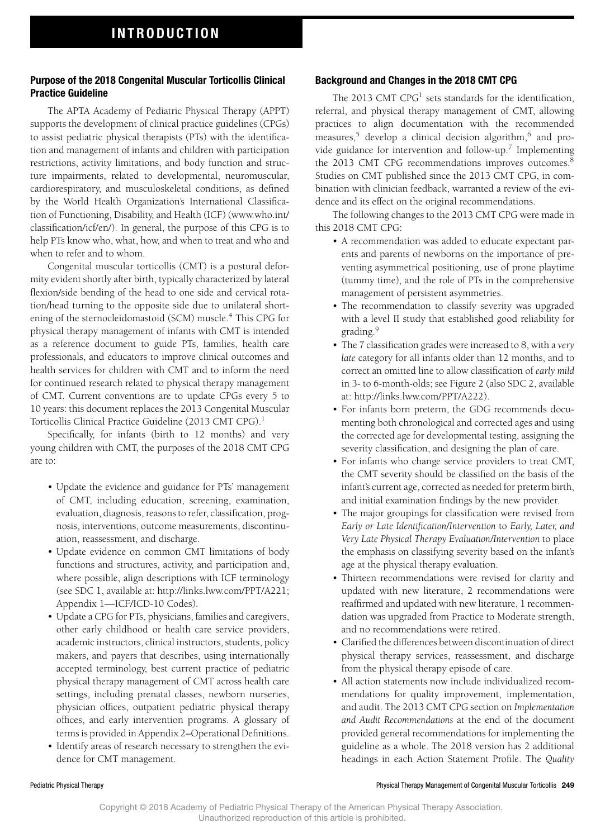## **Purpose of the 2018 Congenital Muscular Torticollis Clinical Practice Guideline**

The APTA Academy of Pediatric Physical Therapy (APPT) supports the development of clinical practice guidelines (CPGs) to assist pediatric physical therapists (PTs) with the identification and management of infants and children with participation restrictions, activity limitations, and body function and structure impairments, related to developmental, neuromuscular, cardiorespiratory, and musculoskeletal conditions, as defined by the World Health Organization's International Classification of Functioning, Disability, and Health (ICF) (www.who.int/ [classification/icf/en/\). In general, the purpose of this CPG is to](www.who.int/classification/icf/en/) help PTs know who, what, how, and when to treat and who and when to refer and to whom.

Congenital muscular torticollis (CMT) is a postural deformity evident shortly after birth, typically characterized by lateral flexion/side bending of the head to one side and cervical rotation/head turning to the opposite side due to unilateral shortening of the sternocleidomastoid (SCM) muscle.<sup>4</sup> This CPG for physical therapy management of infants with CMT is intended as a reference document to guide PTs, families, health care professionals, and educators to improve clinical outcomes and health services for children with CMT and to inform the need for continued research related to physical therapy management of CMT. Current conventions are to update CPGs every 5 to 10 years: this document replaces the 2013 Congenital Muscular Torticollis Clinical Practice Guideline (2013 CMT CPG).<sup>1</sup>

Specifically, for infants (birth to 12 months) and very young children with CMT, the purposes of the 2018 CMT CPG are to:

- Update the evidence and guidance for PTs' management of CMT, including education, screening, examination, evaluation, diagnosis, reasons to refer, classification, prognosis, interventions, outcome measurements, discontinuation, reassessment, and discharge.
- Update evidence on common CMT limitations of body functions and structures, activity, and participation and, where possible, align descriptions with ICF terminology (see SDC 1, available at: [http://links.lww.com/PPT/A221;](http://links.lww.com/PPT/A221) Appendix 1—ICF/ICD-10 Codes).
- Update a CPG for PTs, physicians, families and caregivers, other early childhood or health care service providers, academic instructors, clinical instructors, students, policy makers, and payers that describes, using internationally accepted terminology, best current practice of pediatric physical therapy management of CMT across health care settings, including prenatal classes, newborn nurseries, physician offices, outpatient pediatric physical therapy offices, and early intervention programs. A glossary of terms is provided in Appendix 2–Operational Definitions.
- Identify areas of research necessary to strengthen the evidence for CMT management.

## **Background and Changes in the 2018 CMT CPG**

The 2013 CMT  $CPG<sup>1</sup>$  sets standards for the identification, referral, and physical therapy management of CMT, allowing practices to align documentation with the recommended measures,<sup>5</sup> develop a clinical decision algorithm, $6$  and provide guidance for intervention and follow-up.<sup>7</sup> Implementing the 2013 CMT CPG recommendations improves outcomes.<sup>8</sup> Studies on CMT published since the 2013 CMT CPG, in combination with clinician feedback, warranted a review of the evidence and its effect on the original recommendations.

The following changes to the 2013 CMT CPG were made in this 2018 CMT CPG:

- A recommendation was added to educate expectant parents and parents of newborns on the importance of preventing asymmetrical positioning, use of prone playtime (tummy time), and the role of PTs in the comprehensive management of persistent asymmetries.
- The recommendation to classify severity was upgraded with a level II study that established good reliability for grading.<sup>9</sup>
- The 7 classification grades were increased to 8, with a *very late* category for all infants older than 12 months, and to correct an omitted line to allow classification of *early mild* in 3- to 6-month-olds; see Figure 2 (also SDC 2, available at: [http://links.lww.com/PPT/A222\)](http://links.lww.com/PPT/A222).
- For infants born preterm, the GDG recommends documenting both chronological and corrected ages and using the corrected age for developmental testing, assigning the severity classification, and designing the plan of care.
- For infants who change service providers to treat CMT, the CMT severity should be classified on the basis of the infant's current age, corrected as needed for preterm birth, and initial examination findings by the new provider.
- The major groupings for classification were revised from *Early or Late Identification/Intervention* to *Early, Later, and Very Late Physical Therapy Evaluation/Intervention* to place the emphasis on classifying severity based on the infant's age at the physical therapy evaluation.
- Thirteen recommendations were revised for clarity and updated with new literature, 2 recommendations were reaffirmed and updated with new literature, 1 recommendation was upgraded from Practice to Moderate strength, and no recommendations were retired.
- Clarified the differences between discontinuation of direct physical therapy services, reassessment, and discharge from the physical therapy episode of care.
- All action statements now include individualized recommendations for quality improvement, implementation, and audit. The 2013 CMT CPG section on *Implementation and Audit Recommendations* at the end of the document provided general recommendations for implementing the guideline as a whole. The 2018 version has 2 additional headings in each Action Statement Profile. The *Quality*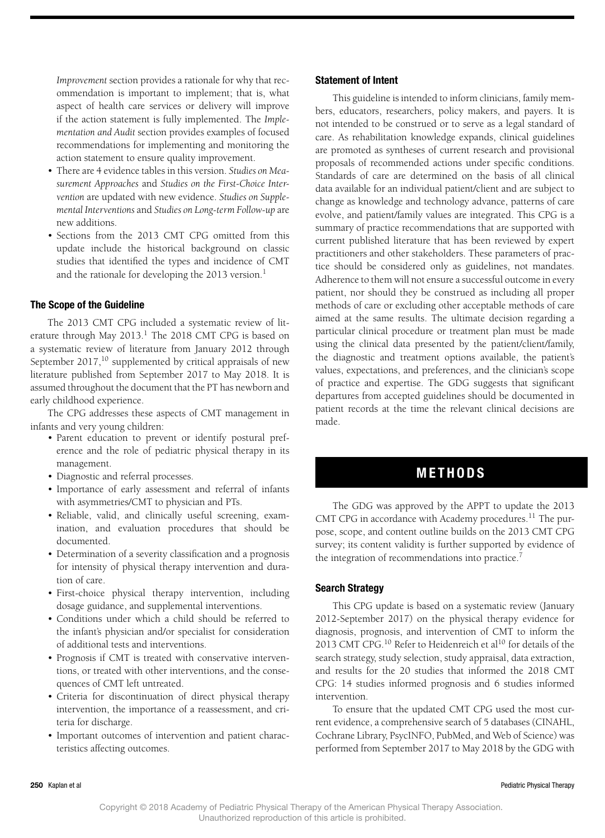*Improvement* section provides a rationale for why that recommendation is important to implement; that is, what aspect of health care services or delivery will improve if the action statement is fully implemented. The *Implementation and Audit* section provides examples of focused recommendations for implementing and monitoring the action statement to ensure quality improvement.

- There are 4 evidence tables in this version. *Studies on Measurement Approaches* and *Studies on the First-Choice Intervention* are updated with new evidence. *Studies on Supplemental Interventions* and *Studies on Long-term Follow-up* are new additions.
- Sections from the 2013 CMT CPG omitted from this update include the historical background on classic studies that identified the types and incidence of CMT and the rationale for developing the 2013 version.<sup>1</sup>

## **The Scope of the Guideline**

The 2013 CMT CPG included a systematic review of literature through May 2013.<sup>1</sup> The 2018 CMT CPG is based on a systematic review of literature from January 2012 through September  $2017$ ,<sup>10</sup> supplemented by critical appraisals of new literature published from September 2017 to May 2018. It is assumed throughout the document that the PT has newborn and early childhood experience.

The CPG addresses these aspects of CMT management in infants and very young children:

- Parent education to prevent or identify postural preference and the role of pediatric physical therapy in its management.
- Diagnostic and referral processes.
- Importance of early assessment and referral of infants with asymmetries/CMT to physician and PTs.
- Reliable, valid, and clinically useful screening, examination, and evaluation procedures that should be documented.
- Determination of a severity classification and a prognosis for intensity of physical therapy intervention and duration of care.
- First-choice physical therapy intervention, including dosage guidance, and supplemental interventions.
- Conditions under which a child should be referred to the infant's physician and/or specialist for consideration of additional tests and interventions.
- Prognosis if CMT is treated with conservative interventions, or treated with other interventions, and the consequences of CMT left untreated.
- Criteria for discontinuation of direct physical therapy intervention, the importance of a reassessment, and criteria for discharge.
- Important outcomes of intervention and patient characteristics affecting outcomes.

#### **Statement of Intent**

This guideline is intended to inform clinicians, family members, educators, researchers, policy makers, and payers. It is not intended to be construed or to serve as a legal standard of care. As rehabilitation knowledge expands, clinical guidelines are promoted as syntheses of current research and provisional proposals of recommended actions under specific conditions. Standards of care are determined on the basis of all clinical data available for an individual patient/client and are subject to change as knowledge and technology advance, patterns of care evolve, and patient/family values are integrated. This CPG is a summary of practice recommendations that are supported with current published literature that has been reviewed by expert practitioners and other stakeholders. These parameters of practice should be considered only as guidelines, not mandates. Adherence to them will not ensure a successful outcome in every patient, nor should they be construed as including all proper methods of care or excluding other acceptable methods of care aimed at the same results. The ultimate decision regarding a particular clinical procedure or treatment plan must be made using the clinical data presented by the patient/client/family, the diagnostic and treatment options available, the patient's values, expectations, and preferences, and the clinician's scope of practice and expertise. The GDG suggests that significant departures from accepted guidelines should be documented in patient records at the time the relevant clinical decisions are made.

## **METHODS**

The GDG was approved by the APPT to update the 2013 CMT CPG in accordance with Academy procedures.<sup>11</sup> The purpose, scope, and content outline builds on the 2013 CMT CPG survey; its content validity is further supported by evidence of the integration of recommendations into practice.<sup>7</sup>

#### **Search Strategy**

This CPG update is based on a systematic review (January 2012-September 2017) on the physical therapy evidence for diagnosis, prognosis, and intervention of CMT to inform the 2013 CMT CPG.<sup>10</sup> Refer to Heidenreich et al<sup>10</sup> for details of the search strategy, study selection, study appraisal, data extraction, and results for the 20 studies that informed the 2018 CMT CPG: 14 studies informed prognosis and 6 studies informed intervention.

To ensure that the updated CMT CPG used the most current evidence, a comprehensive search of 5 databases (CINAHL, Cochrane Library, PsycINFO, PubMed, and Web of Science) was performed from September 2017 to May 2018 by the GDG with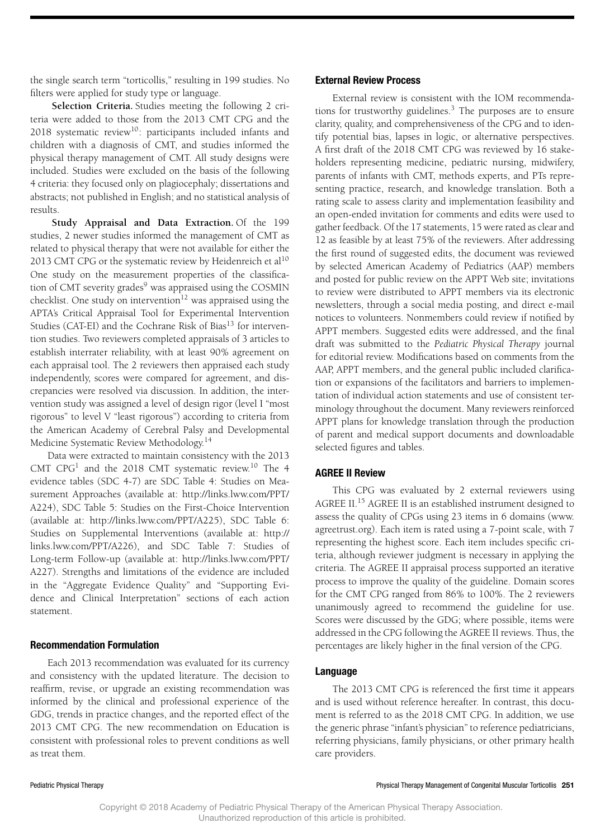the single search term "torticollis," resulting in 199 studies. No filters were applied for study type or language.

**Selection Criteria.** Studies meeting the following 2 criteria were added to those from the 2013 CMT CPG and the 2018 systematic review<sup>10</sup>: participants included infants and children with a diagnosis of CMT, and studies informed the physical therapy management of CMT. All study designs were included. Studies were excluded on the basis of the following 4 criteria: they focused only on plagiocephaly; dissertations and abstracts; not published in English; and no statistical analysis of results.

**Study Appraisal and Data Extraction.** Of the 199 studies, 2 newer studies informed the management of CMT as related to physical therapy that were not available for either the 2013 CMT CPG or the systematic review by Heidenreich et al<sup>10</sup> One study on the measurement properties of the classification of CMT severity grades<sup>9</sup> was appraised using the COSMIN checklist. One study on intervention $12$  was appraised using the APTA's Critical Appraisal Tool for Experimental Intervention Studies (CAT-EI) and the Cochrane Risk of Bias<sup>13</sup> for intervention studies. Two reviewers completed appraisals of 3 articles to establish interrater reliability, with at least 90% agreement on each appraisal tool. The 2 reviewers then appraised each study independently, scores were compared for agreement, and discrepancies were resolved via discussion. In addition, the intervention study was assigned a level of design rigor (level I "most rigorous" to level V "least rigorous") according to criteria from the American Academy of Cerebral Palsy and Developmental Medicine Systematic Review Methodology.14

Data were extracted to maintain consistency with the 2013 CMT CPG<sup>1</sup> and the 2018 CMT systematic review.<sup>10</sup> The 4 evidence tables (SDC 4-7) are SDC Table 4: Studies on Measurement Approaches (available at: http://links.lww.com/PPT/ [A224\), SDC Table 5: Studies on the First-Choice Intervention](http://links.lww.com/PPT/A224) (available at: [http://links.lww.com/PPT/A225\)](http://links.lww.com/PPT/A225), SDC Table 6: Studies on Supplemental Interventions (available at: http:// [links.lww.com/PPT/A226\), and SDC Table 7: Studies of](http://links.lww.com/PPT/A226) Long-term Follow-up (available at: http://links.lww.com/PPT/ [A227\). Strengths and limitations of the evidence are included](http://links.lww.com/PPT/A227) in the "Aggregate Evidence Quality" and "Supporting Evidence and Clinical Interpretation" sections of each action statement.

#### **Recommendation Formulation**

Each 2013 recommendation was evaluated for its currency and consistency with the updated literature. The decision to reaffirm, revise, or upgrade an existing recommendation was informed by the clinical and professional experience of the GDG, trends in practice changes, and the reported effect of the 2013 CMT CPG. The new recommendation on Education is consistent with professional roles to prevent conditions as well as treat them.

#### **External Review Process**

External review is consistent with the IOM recommendations for trustworthy guidelines. $3$  The purposes are to ensure clarity, quality, and comprehensiveness of the CPG and to identify potential bias, lapses in logic, or alternative perspectives. A first draft of the 2018 CMT CPG was reviewed by 16 stakeholders representing medicine, pediatric nursing, midwifery, parents of infants with CMT, methods experts, and PTs representing practice, research, and knowledge translation. Both a rating scale to assess clarity and implementation feasibility and an open-ended invitation for comments and edits were used to gather feedback. Of the 17 statements, 15 were rated as clear and 12 as feasible by at least 75% of the reviewers. After addressing the first round of suggested edits, the document was reviewed by selected American Academy of Pediatrics (AAP) members and posted for public review on the APPT Web site; invitations to review were distributed to APPT members via its electronic newsletters, through a social media posting, and direct e-mail notices to volunteers. Nonmembers could review if notified by APPT members. Suggested edits were addressed, and the final draft was submitted to the *Pediatric Physical Therapy* journal for editorial review. Modifications based on comments from the AAP, APPT members, and the general public included clarification or expansions of the facilitators and barriers to implementation of individual action statements and use of consistent terminology throughout the document. Many reviewers reinforced APPT plans for knowledge translation through the production of parent and medical support documents and downloadable selected figures and tables.

## **AGREE II Review**

This CPG was evaluated by 2 external reviewers using AGREE II.15 AGREE II is an established instrument designed to assess the quality of CPGs using 23 items in 6 domains (www. [agreetrust.org\). Each item is rated using a 7-point scale, with 7](www.agreetrust.org) representing the highest score. Each item includes specific criteria, although reviewer judgment is necessary in applying the criteria. The AGREE II appraisal process supported an iterative process to improve the quality of the guideline. Domain scores for the CMT CPG ranged from 86% to 100%. The 2 reviewers unanimously agreed to recommend the guideline for use. Scores were discussed by the GDG; where possible, items were addressed in the CPG following the AGREE II reviews. Thus, the percentages are likely higher in the final version of the CPG.

#### **Language**

The 2013 CMT CPG is referenced the first time it appears and is used without reference hereafter. In contrast, this document is referred to as the 2018 CMT CPG. In addition, we use the generic phrase "infant's physician" to reference pediatricians, referring physicians, family physicians, or other primary health care providers.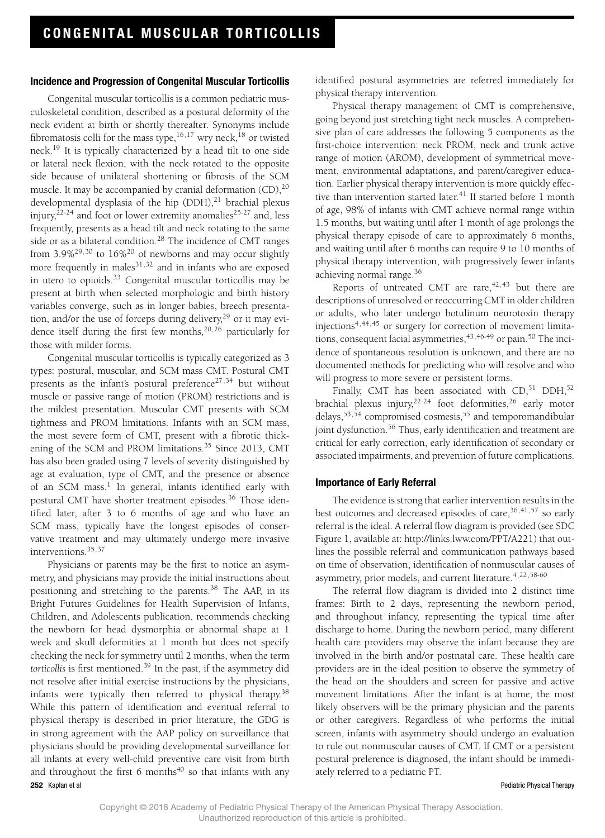#### **Incidence and Progression of Congenital Muscular Torticollis**

Congenital muscular torticollis is a common pediatric musculoskeletal condition, described as a postural deformity of the neck evident at birth or shortly thereafter. Synonyms include fibromatosis colli for the mass type,  $16,17$  wry neck,  $18$  or twisted neck.19 It is typically characterized by a head tilt to one side or lateral neck flexion, with the neck rotated to the opposite side because of unilateral shortening or fibrosis of the SCM muscle. It may be accompanied by cranial deformation  $(CD)$ ,<sup>20</sup> developmental dysplasia of the hip (DDH),<sup>21</sup> brachial plexus injury, $22-24$  and foot or lower extremity anomalies $25-27$  and, less frequently, presents as a head tilt and neck rotating to the same side or as a bilateral condition. $28$  The incidence of CMT ranges from  $3.9\%^{29,30}$  to  $16\%^{20}$  of newborns and may occur slightly more frequently in males $31,32$  and in infants who are exposed in utero to opioids.<sup>33</sup> Congenital muscular torticollis may be present at birth when selected morphologic and birth history variables converge, such as in longer babies, breech presentation, and/or the use of forceps during delivery,<sup>29</sup> or it may evidence itself during the first few months,  $20,26$  particularly for those with milder forms.

Congenital muscular torticollis is typically categorized as 3 types: postural, muscular, and SCM mass CMT. Postural CMT presents as the infant's postural preference<sup>27,34</sup> but without muscle or passive range of motion (PROM) restrictions and is the mildest presentation. Muscular CMT presents with SCM tightness and PROM limitations. Infants with an SCM mass, the most severe form of CMT, present with a fibrotic thickening of the SCM and PROM limitations.<sup>35</sup> Since 2013, CMT has also been graded using 7 levels of severity distinguished by age at evaluation, type of CMT, and the presence or absence of an SCM mass.<sup>1</sup> In general, infants identified early with postural CMT have shorter treatment episodes.<sup>36</sup> Those identified later, after 3 to 6 months of age and who have an SCM mass, typically have the longest episodes of conservative treatment and may ultimately undergo more invasive interventions.35,37

Physicians or parents may be the first to notice an asymmetry, and physicians may provide the initial instructions about positioning and stretching to the parents.<sup>38</sup> The AAP, in its Bright Futures Guidelines for Health Supervision of Infants, Children, and Adolescents publication, recommends checking the newborn for head dysmorphia or abnormal shape at 1 week and skull deformities at 1 month but does not specify checking the neck for symmetry until 2 months, when the term *torticollis* is first mentioned.<sup>39</sup> In the past, if the asymmetry did not resolve after initial exercise instructions by the physicians, infants were typically then referred to physical therapy.<sup>38</sup> While this pattern of identification and eventual referral to physical therapy is described in prior literature, the GDG is in strong agreement with the AAP policy on surveillance that physicians should be providing developmental surveillance for all infants at every well-child preventive care visit from birth and throughout the first 6 months<sup>40</sup> so that infants with any **252** Kaplan et al Pediatric Physical Therapy

identified postural asymmetries are referred immediately for physical therapy intervention.

Physical therapy management of CMT is comprehensive, going beyond just stretching tight neck muscles. A comprehensive plan of care addresses the following 5 components as the first-choice intervention: neck PROM, neck and trunk active range of motion (AROM), development of symmetrical movement, environmental adaptations, and parent/caregiver education. Earlier physical therapy intervention is more quickly effective than intervention started later. $41$  If started before 1 month of age, 98% of infants with CMT achieve normal range within 1.5 months, but waiting until after 1 month of age prolongs the physical therapy episode of care to approximately 6 months, and waiting until after 6 months can require 9 to 10 months of physical therapy intervention, with progressively fewer infants achieving normal range.36

Reports of untreated CMT are rare,  $42,43$  but there are descriptions of unresolved or reoccurring CMT in older children or adults, who later undergo botulinum neurotoxin therapy injections<sup>4,44,45</sup> or surgery for correction of movement limitations, consequent facial asymmetries,  $43,46-49$  or pain.<sup>50</sup> The incidence of spontaneous resolution is unknown, and there are no documented methods for predicting who will resolve and who will progress to more severe or persistent forms.

Finally, CMT has been associated with  $CD$ ,<sup>51</sup> DDH,<sup>52</sup> brachial plexus injury,  $2^{2-24}$  foot deformities,  $2^{6}$  early motor delays,  $53,54$  compromised cosmesis,  $55$  and temporomandibular joint dysfunction.<sup>56</sup> Thus, early identification and treatment are critical for early correction, early identification of secondary or associated impairments, and prevention of future complications.

## **Importance of Early Referral**

The evidence is strong that earlier intervention results in the best outcomes and decreased episodes of care,  $36,41,57$  so early referral is the ideal. A referral flow diagram is provided (see SDC Figure 1, available at: [http://links.lww.com/PPT/A221\)](http://links.lww.com/PPT/A221) that outlines the possible referral and communication pathways based on time of observation, identification of nonmuscular causes of asymmetry, prior models, and current literature.<sup>4,22,58-60</sup>

The referral flow diagram is divided into 2 distinct time frames: Birth to 2 days, representing the newborn period, and throughout infancy, representing the typical time after discharge to home. During the newborn period, many different health care providers may observe the infant because they are involved in the birth and/or postnatal care. These health care providers are in the ideal position to observe the symmetry of the head on the shoulders and screen for passive and active movement limitations. After the infant is at home, the most likely observers will be the primary physician and the parents or other caregivers. Regardless of who performs the initial screen, infants with asymmetry should undergo an evaluation to rule out nonmuscular causes of CMT. If CMT or a persistent postural preference is diagnosed, the infant should be immediately referred to a pediatric PT.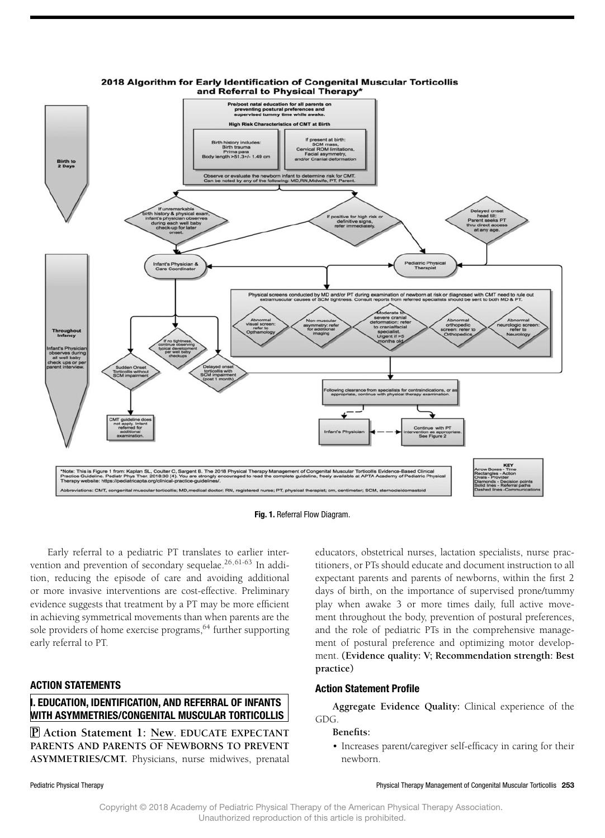



**Fig. 1.** Referral Flow Diagram.

Early referral to a pediatric PT translates to earlier intervention and prevention of secondary sequelae.<sup>26,61-63</sup> In addition, reducing the episode of care and avoiding additional or more invasive interventions are cost-effective. Preliminary evidence suggests that treatment by a PT may be more efficient in achieving symmetrical movements than when parents are the sole providers of home exercise programs,<sup>64</sup> further supporting early referral to PT.

## **ACTION STATEMENTS**

## **I. EDUCATION, IDENTIFICATION, AND REFERRAL OF INFANTS WITH ASYMMETRIES/CONGENITAL MUSCULAR TORTICOLLIS**

**P Action Statement 1: New. EDUCATE EXPECTANT PARENTS AND PARENTS OF NEWBORNS TO PREVENT ASYMMETRIES/CMT.** Physicians, nurse midwives, prenatal educators, obstetrical nurses, lactation specialists, nurse practitioners, or PTs should educate and document instruction to all expectant parents and parents of newborns, within the first 2 days of birth, on the importance of supervised prone/tummy play when awake 3 or more times daily, full active movement throughout the body, prevention of postural preferences, and the role of pediatric PTs in the comprehensive management of postural preference and optimizing motor development. **(Evidence quality: V; Recommendation strength: Best practice)**

## **Action Statement Profile**

**Aggregate Evidence Quality:** Clinical experience of the GDG.

#### **Benefits:**

• Increases parent/caregiver self-efficacy in caring for their newborn.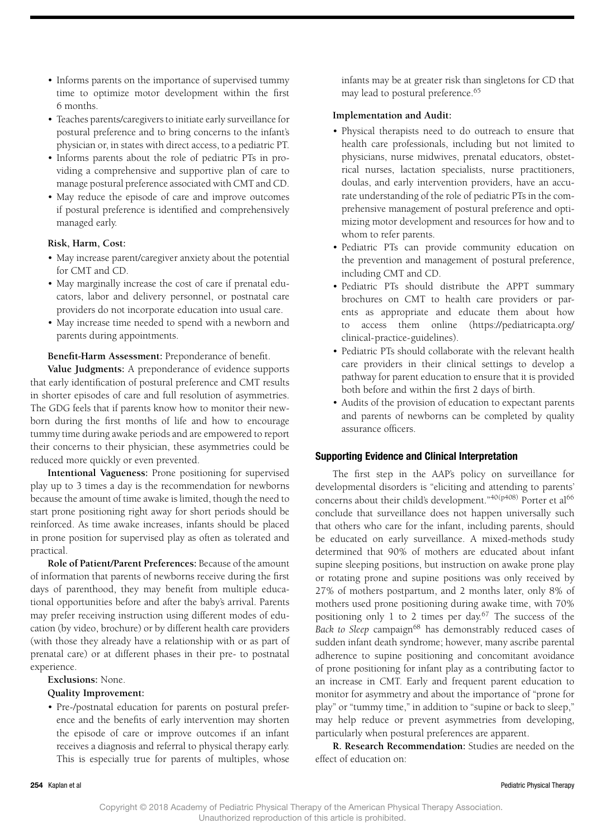- prenatal care) or at different phases in their pre- to postnatal experience. **Exclusions:** None. **Quality Improvement:**
	- Pre-/postnatal education for parents on postural preference and the benefits of early intervention may shorten the episode of care or improve outcomes if an infant receives a diagnosis and referral to physical therapy early. This is especially true for parents of multiples, whose

**Role of Patient/Parent Preferences:** Because of the amount of information that parents of newborns receive during the first days of parenthood, they may benefit from multiple educa-

because the amount of time awake is limited, though the need to start prone positioning right away for short periods should be reinforced. As time awake increases, infants should be placed in prone position for supervised play as often as tolerated and practical.

tional opportunities before and after the baby's arrival. Parents may prefer receiving instruction using different modes of education (by video, brochure) or by different health care providers (with those they already have a relationship with or as part of

tummy time during awake periods and are empowered to report their concerns to their physician, these asymmetries could be reduced more quickly or even prevented. **Intentional Vagueness:** Prone positioning for supervised play up to 3 times a day is the recommendation for newborns

**Value Judgments:** A preponderance of evidence supports that early identification of postural preference and CMT results in shorter episodes of care and full resolution of asymmetries. The GDG feels that if parents know how to monitor their newborn during the first months of life and how to encourage

• May increase time needed to spend with a newborn and parents during appointments. **Benefit-Harm Assessment:** Preponderance of benefit.

• Informs parents about the role of pediatric PTs in pro-

physician or, in states with direct access, to a pediatric PT.

viding a comprehensive and supportive plan of care to

manage postural preference associated with CMT and CD. • May reduce the episode of care and improve outcomes

• Informs parents on the importance of supervised tummy time to optimize motor development within the first

• Teaches parents/caregivers to initiate early surveillance for postural preference and to bring concerns to the infant's

if postural preference is identified and comprehensively managed early.

## **Risk, Harm, Cost:**

6 months.

- 
- May increase parent/caregiver anxiety about the potential for CMT and CD. • May marginally increase the cost of care if prenatal edu-

cators, labor and delivery personnel, or postnatal care

providers do not incorporate education into usual care.

infants may be at greater risk than singletons for CD that may lead to postural preference.<sup>65</sup>

### **Implementation and Audit:**

- Physical therapists need to do outreach to ensure that health care professionals, including but not limited to physicians, nurse midwives, prenatal educators, obstetrical nurses, lactation specialists, nurse practitioners, doulas, and early intervention providers, have an accurate understanding of the role of pediatric PTs in the comprehensive management of postural preference and optimizing motor development and resources for how and to whom to refer parents.
- Pediatric PTs can provide community education on the prevention and management of postural preference, including CMT and CD.
- Pediatric PTs should distribute the APPT summary brochures on CMT to health care providers or parents as appropriate and educate them about how [to access them online \(https://pediatricapta.org/](https://pediatricapta.org/clinical-practice-guidelines) clinical-practice-guidelines).
- Pediatric PTs should collaborate with the relevant health care providers in their clinical settings to develop a pathway for parent education to ensure that it is provided both before and within the first 2 days of birth.
- Audits of the provision of education to expectant parents and parents of newborns can be completed by quality assurance officers.

## **Supporting Evidence and Clinical Interpretation**

The first step in the AAP's policy on surveillance for developmental disorders is "eliciting and attending to parents' concerns about their child's development."<sup>40(p408)</sup> Porter et al<sup>66</sup> conclude that surveillance does not happen universally such that others who care for the infant, including parents, should be educated on early surveillance. A mixed-methods study determined that 90% of mothers are educated about infant supine sleeping positions, but instruction on awake prone play or rotating prone and supine positions was only received by 27% of mothers postpartum, and 2 months later, only 8% of mothers used prone positioning during awake time, with 70% positioning only 1 to 2 times per day.<sup>67</sup> The success of the Back to Sleep campaign<sup>68</sup> has demonstrably reduced cases of sudden infant death syndrome; however, many ascribe parental adherence to supine positioning and concomitant avoidance of prone positioning for infant play as a contributing factor to an increase in CMT. Early and frequent parent education to monitor for asymmetry and about the importance of "prone for play" or "tummy time," in addition to "supine or back to sleep," may help reduce or prevent asymmetries from developing, particularly when postural preferences are apparent.

**R. Research Recommendation:** Studies are needed on the effect of education on: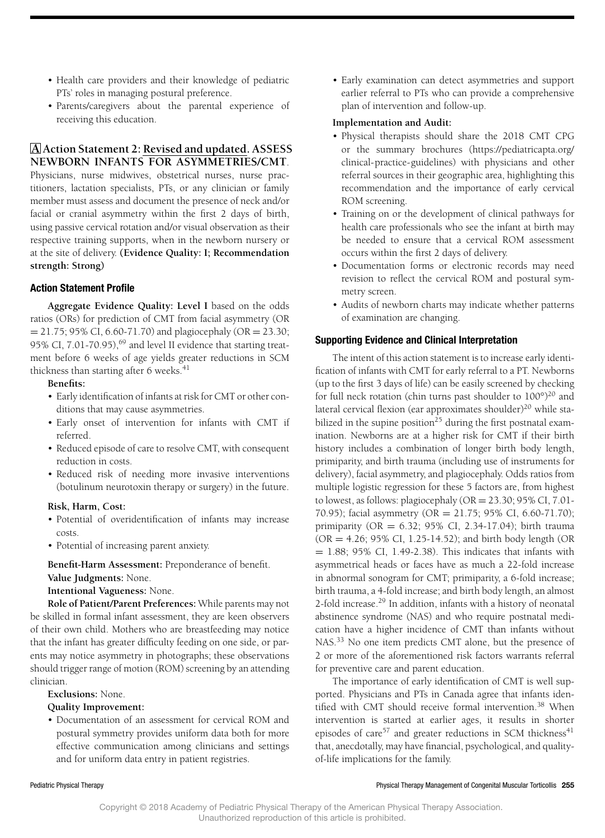- Health care providers and their knowledge of pediatric PTs' roles in managing postural preference.
- Parents/caregivers about the parental experience of receiving this education.

## **A Action Statement 2: Revised and updated. ASSESS NEWBORN INFANTS FOR ASYMMETRIES/CMT**.

Physicians, nurse midwives, obstetrical nurses, nurse practitioners, lactation specialists, PTs, or any clinician or family member must assess and document the presence of neck and/or facial or cranial asymmetry within the first 2 days of birth, using passive cervical rotation and/or visual observation as their respective training supports, when in the newborn nursery or at the site of delivery. **(Evidence Quality: I; Recommendation strength: Strong)**

## **Action Statement Profile**

**Aggregate Evidence Quality: Level I** based on the odds ratios (ORs) for prediction of CMT from facial asymmetry (OR  $= 21.75$ ; 95% CI, 6.60-71.70) and plagiocephaly (OR  $= 23.30$ ; 95% CI,  $7.01-70.95$ ,  $^{69}$  and level II evidence that starting treatment before 6 weeks of age yields greater reductions in SCM thickness than starting after  $6$  weeks.<sup>41</sup>

#### **Benefits:**

- Early identification of infants at risk for CMT or other conditions that may cause asymmetries.
- Early onset of intervention for infants with CMT if referred.
- Reduced episode of care to resolve CMT, with consequent reduction in costs.
- Reduced risk of needing more invasive interventions (botulinum neurotoxin therapy or surgery) in the future.

## **Risk, Harm, Cost:**

- Potential of overidentification of infants may increase costs.
- Potential of increasing parent anxiety.

**Benefit-Harm Assessment:** Preponderance of benefit. **Value Judgments:** None.

**Intentional Vagueness:** None.

**Role of Patient/Parent Preferences:** While parents may not be skilled in formal infant assessment, they are keen observers of their own child. Mothers who are breastfeeding may notice that the infant has greater difficulty feeding on one side, or parents may notice asymmetry in photographs; these observations should trigger range of motion (ROM) screening by an attending clinician.

**Exclusions:** None.

## **Quality Improvement:**

• Documentation of an assessment for cervical ROM and postural symmetry provides uniform data both for more effective communication among clinicians and settings and for uniform data entry in patient registries.

• Early examination can detect asymmetries and support earlier referral to PTs who can provide a comprehensive plan of intervention and follow-up.

### **Implementation and Audit:**

- Physical therapists should share the 2018 CMT CPG [or the summary brochures \(https://pediatricapta.org/](https://pediatricapta.org/clinical-practice-guidelines) clinical-practice-guidelines) with physicians and other referral sources in their geographic area, highlighting this recommendation and the importance of early cervical ROM screening.
- Training on or the development of clinical pathways for health care professionals who see the infant at birth may be needed to ensure that a cervical ROM assessment occurs within the first 2 days of delivery.
- Documentation forms or electronic records may need revision to reflect the cervical ROM and postural symmetry screen.
- Audits of newborn charts may indicate whether patterns of examination are changing.

## **Supporting Evidence and Clinical Interpretation**

The intent of this action statement is to increase early identification of infants with CMT for early referral to a PT. Newborns (up to the first 3 days of life) can be easily screened by checking for full neck rotation (chin turns past shoulder to 100°)<sup>20</sup> and lateral cervical flexion (ear approximates shoulder)<sup>20</sup> while stabilized in the supine position<sup>25</sup> during the first postnatal examination. Newborns are at a higher risk for CMT if their birth history includes a combination of longer birth body length, primiparity, and birth trauma (including use of instruments for delivery), facial asymmetry, and plagiocephaly. Odds ratios from multiple logistic regression for these 5 factors are, from highest to lowest, as follows: plagiocephaly ( $OR = 23.30$ ;  $95\%$  CI,  $7.01$ -70.95); facial asymmetry (OR = 21.75; 95% CI, 6.60-71.70); primiparity (OR = 6.32; 95% CI, 2.34-17.04); birth trauma  $(OR = 4.26; 95\% CI, 1.25-14.52);$  and birth body length  $(OR)$  $= 1.88$ ; 95% CI, 1.49-2.38). This indicates that infants with asymmetrical heads or faces have as much a 22-fold increase in abnormal sonogram for CMT; primiparity, a 6-fold increase; birth trauma, a 4-fold increase; and birth body length, an almost 2-fold increase.<sup>29</sup> In addition, infants with a history of neonatal abstinence syndrome (NAS) and who require postnatal medication have a higher incidence of CMT than infants without NAS.<sup>33</sup> No one item predicts CMT alone, but the presence of 2 or more of the aforementioned risk factors warrants referral for preventive care and parent education.

The importance of early identification of CMT is well supported. Physicians and PTs in Canada agree that infants identified with CMT should receive formal intervention.<sup>38</sup> When intervention is started at earlier ages, it results in shorter episodes of care<sup>57</sup> and greater reductions in SCM thickness<sup>41</sup> that, anecdotally, may have financial, psychological, and qualityof-life implications for the family.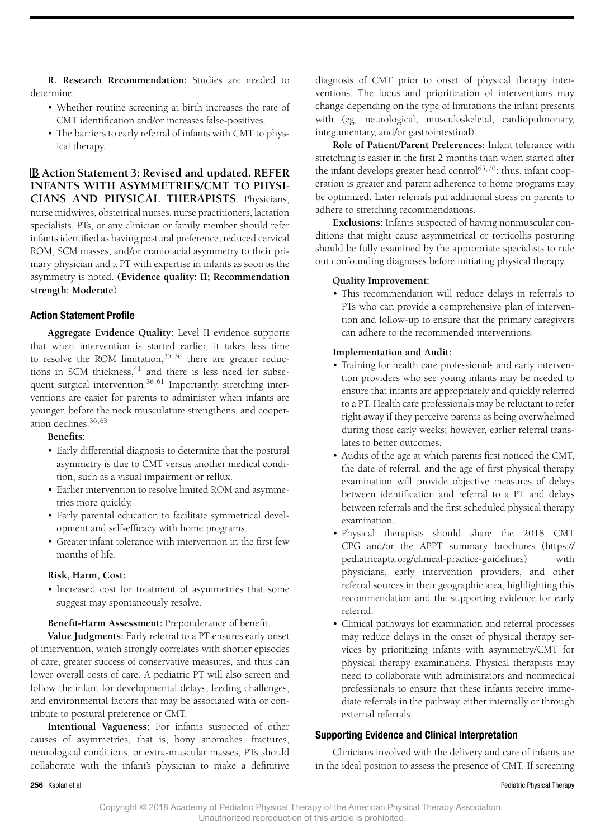**R. Research Recommendation:** Studies are needed to determine:

- Whether routine screening at birth increases the rate of CMT identification and/or increases false-positives.
- The barriers to early referral of infants with CMT to physical therapy.

**B Action Statement 3: Revised and updated. REFER INFANTS WITH ASYMMETRIES/CMT TO PHYSI-CIANS AND PHYSICAL THERAPISTS**. Physicians, nurse midwives, obstetrical nurses, nurse practitioners, lactation specialists, PTs, or any clinician or family member should refer infants identified as having postural preference, reduced cervical ROM, SCM masses, and/or craniofacial asymmetry to their primary physician and a PT with expertise in infants as soon as the asymmetry is noted. **(Evidence quality: II; Recommendation strength: Moderate**)

## **Action Statement Profile**

**Aggregate Evidence Quality:** Level II evidence supports that when intervention is started earlier, it takes less time to resolve the ROM limitation,  $35,36$  there are greater reductions in SCM thickness, $41$  and there is less need for subsequent surgical intervention.<sup>36,61</sup> Importantly, stretching interventions are easier for parents to administer when infants are younger, before the neck musculature strengthens, and cooperation declines.36,63

**Benefits:**

- Early differential diagnosis to determine that the postural asymmetry is due to CMT versus another medical condition, such as a visual impairment or reflux.
- Earlier intervention to resolve limited ROM and asymmetries more quickly.
- Early parental education to facilitate symmetrical development and self-efficacy with home programs.
- Greater infant tolerance with intervention in the first few months of life.

## **Risk, Harm, Cost:**

• Increased cost for treatment of asymmetries that some suggest may spontaneously resolve.

## **Benefit-Harm Assessment:** Preponderance of benefit.

**Value Judgments:** Early referral to a PT ensures early onset of intervention, which strongly correlates with shorter episodes of care, greater success of conservative measures, and thus can lower overall costs of care. A pediatric PT will also screen and follow the infant for developmental delays, feeding challenges, and environmental factors that may be associated with or contribute to postural preference or CMT.

**Intentional Vagueness:** For infants suspected of other causes of asymmetries, that is, bony anomalies, fractures, neurological conditions, or extra-muscular masses, PTs should collaborate with the infant's physician to make a definitive

diagnosis of CMT prior to onset of physical therapy interventions. The focus and prioritization of interventions may change depending on the type of limitations the infant presents with (eg, neurological, musculoskeletal, cardiopulmonary, integumentary, and/or gastrointestinal).

**Role of Patient/Parent Preferences:** Infant tolerance with stretching is easier in the first 2 months than when started after the infant develops greater head control<sup>63,70</sup>; thus, infant cooperation is greater and parent adherence to home programs may be optimized. Later referrals put additional stress on parents to adhere to stretching recommendations.

**Exclusions:** Infants suspected of having nonmuscular conditions that might cause asymmetrical or torticollis posturing should be fully examined by the appropriate specialists to rule out confounding diagnoses before initiating physical therapy.

## **Quality Improvement:**

• This recommendation will reduce delays in referrals to PTs who can provide a comprehensive plan of intervention and follow-up to ensure that the primary caregivers can adhere to the recommended interventions.

## **Implementation and Audit:**

- Training for health care professionals and early intervention providers who see young infants may be needed to ensure that infants are appropriately and quickly referred to a PT. Health care professionals may be reluctant to refer right away if they perceive parents as being overwhelmed during those early weeks; however, earlier referral translates to better outcomes.
- Audits of the age at which parents first noticed the CMT, the date of referral, and the age of first physical therapy examination will provide objective measures of delays between identification and referral to a PT and delays between referrals and the first scheduled physical therapy examination.
- Physical therapists should share the 2018 CMT [CPG and/or the APPT summary brochures \(https://](https://pediatricapta.org/clinical-practice-guidelines) pediatricapta.org/clinical-practice-guidelines) with physicians, early intervention providers, and other referral sources in their geographic area, highlighting this recommendation and the supporting evidence for early referral.
- Clinical pathways for examination and referral processes may reduce delays in the onset of physical therapy services by prioritizing infants with asymmetry/CMT for physical therapy examinations. Physical therapists may need to collaborate with administrators and nonmedical professionals to ensure that these infants receive immediate referrals in the pathway, either internally or through external referrals.

## **Supporting Evidence and Clinical Interpretation**

Clinicians involved with the delivery and care of infants are in the ideal position to assess the presence of CMT. If screening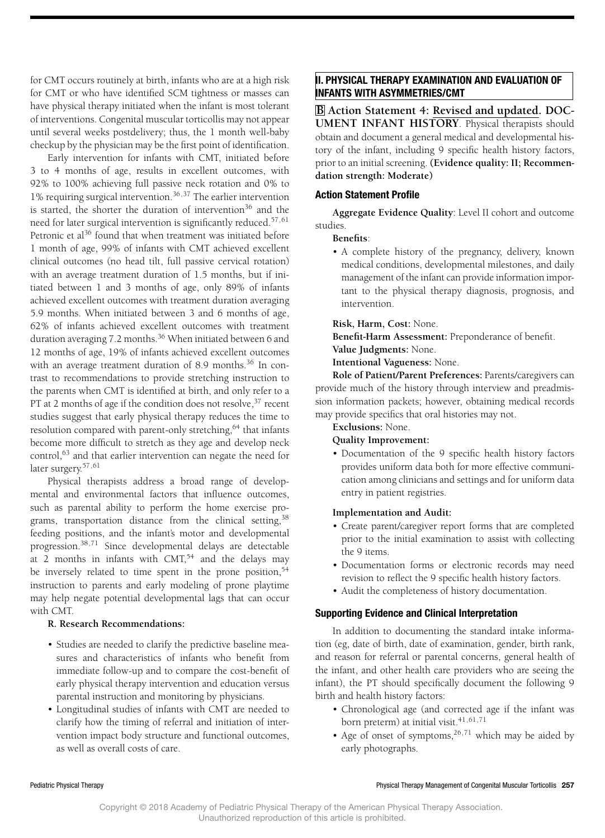for CMT occurs routinely at birth, infants who are at a high risk for CMT or who have identified SCM tightness or masses can have physical therapy initiated when the infant is most tolerant of interventions. Congenital muscular torticollis may not appear until several weeks postdelivery; thus, the 1 month well-baby checkup by the physician may be the first point of identification.

Early intervention for infants with CMT, initiated before 3 to 4 months of age, results in excellent outcomes, with 92% to 100% achieving full passive neck rotation and 0% to  $1\%$  requiring surgical intervention.<sup>36,37</sup> The earlier intervention is started, the shorter the duration of intervention<sup>36</sup> and the need for later surgical intervention is significantly reduced.<sup>57,61</sup> Petronic et al<sup>36</sup> found that when treatment was initiated before 1 month of age, 99% of infants with CMT achieved excellent clinical outcomes (no head tilt, full passive cervical rotation) with an average treatment duration of 1.5 months, but if initiated between 1 and 3 months of age, only 89% of infants achieved excellent outcomes with treatment duration averaging 5.9 months. When initiated between 3 and 6 months of age, 62% of infants achieved excellent outcomes with treatment duration averaging 7.2 months.<sup>36</sup> When initiated between 6 and 12 months of age, 19% of infants achieved excellent outcomes with an average treatment duration of 8.9 months.<sup>36</sup> In contrast to recommendations to provide stretching instruction to the parents when CMT is identified at birth, and only refer to a PT at 2 months of age if the condition does not resolve,<sup>37</sup> recent studies suggest that early physical therapy reduces the time to resolution compared with parent-only stretching,  $64$  that infants become more difficult to stretch as they age and develop neck control,<sup>63</sup> and that earlier intervention can negate the need for later surgery.<sup>57,61</sup>

Physical therapists address a broad range of developmental and environmental factors that influence outcomes, such as parental ability to perform the home exercise programs, transportation distance from the clinical setting,<sup>38</sup> feeding positions, and the infant's motor and developmental progression.38,71 Since developmental delays are detectable at 2 months in infants with  $CMT$ <sup>54</sup> and the delays may be inversely related to time spent in the prone position,  $54$ instruction to parents and early modeling of prone playtime may help negate potential developmental lags that can occur with CMT.

## **R. Research Recommendations:**

- Studies are needed to clarify the predictive baseline measures and characteristics of infants who benefit from immediate follow-up and to compare the cost-benefit of early physical therapy intervention and education versus parental instruction and monitoring by physicians.
- Longitudinal studies of infants with CMT are needed to clarify how the timing of referral and initiation of intervention impact body structure and functional outcomes, as well as overall costs of care.

## **II. PHYSICAL THERAPY EXAMINATION AND EVALUATION OF INFANTS WITH ASYMMETRIES/CMT**

**B Action Statement 4: Revised and updated. DOC-UMENT INFANT HISTORY**. Physical therapists should obtain and document a general medical and developmental history of the infant, including 9 specific health history factors, prior to an initial screening. **(Evidence quality: II; Recommendation strength: Moderate)**

#### **Action Statement Profile**

**Aggregate Evidence Quality**: Level II cohort and outcome studies.

#### **Benefits**:

• A complete history of the pregnancy, delivery, known medical conditions, developmental milestones, and daily management of the infant can provide information important to the physical therapy diagnosis, prognosis, and intervention.

**Risk, Harm, Cost:** None.

**Benefit-Harm Assessment:** Preponderance of benefit. **Value Judgments:** None.

#### **Intentional Vagueness:** None.

**Role of Patient/Parent Preferences:** Parents/caregivers can provide much of the history through interview and preadmission information packets; however, obtaining medical records may provide specifics that oral histories may not.

**Exclusions:** None.

## **Quality Improvement:**

• Documentation of the 9 specific health history factors provides uniform data both for more effective communication among clinicians and settings and for uniform data entry in patient registries.

#### **Implementation and Audit:**

- Create parent/caregiver report forms that are completed prior to the initial examination to assist with collecting the 9 items.
- Documentation forms or electronic records may need revision to reflect the 9 specific health history factors.
- Audit the completeness of history documentation.

#### **Supporting Evidence and Clinical Interpretation**

In addition to documenting the standard intake information (eg, date of birth, date of examination, gender, birth rank, and reason for referral or parental concerns, general health of the infant, and other health care providers who are seeing the infant), the PT should specifically document the following 9 birth and health history factors:

- Chronological age (and corrected age if the infant was born preterm) at initial visit.<sup>41,61,71</sup>
- Age of onset of symptoms,  $26,71$  which may be aided by early photographs.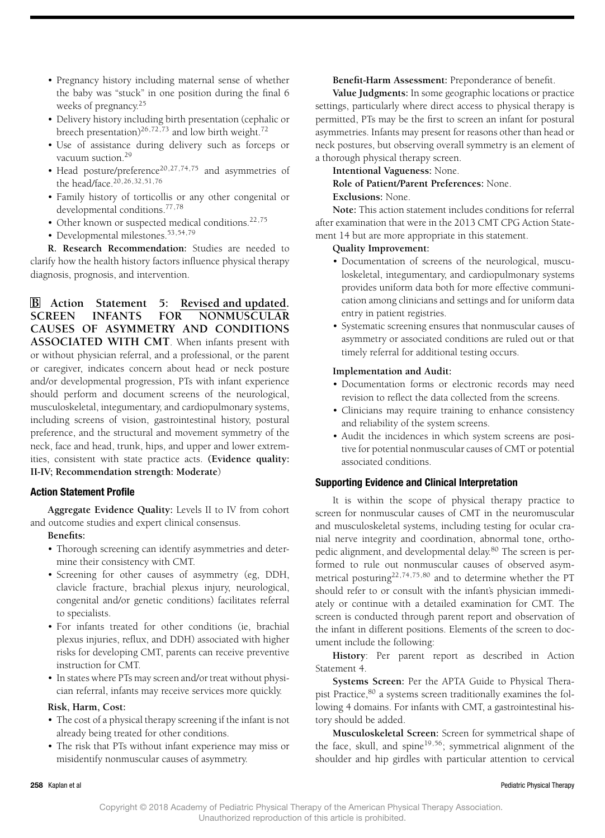- Pregnancy history including maternal sense of whether the baby was "stuck" in one position during the final 6 weeks of pregnancy.<sup>25</sup>
- Delivery history including birth presentation (cephalic or breech presentation)<sup>26,72,73</sup> and low birth weight.<sup>72</sup>
- Use of assistance during delivery such as forceps or vacuum suction.<sup>29</sup>
- Head posture/preference<sup>20,27,74,75</sup> and asymmetries of the head/face.20,26,32,51,76
- Family history of torticollis or any other congenital or developmental conditions.77,78
- Other known or suspected medical conditions. $22,75$
- Developmental milestones.<sup>53,54,79</sup>

**R. Research Recommendation:** Studies are needed to clarify how the health history factors influence physical therapy diagnosis, prognosis, and intervention.

**B Action Statement 5: Revised and updated. NONMUSCULAR CAUSES OF ASYMMETRY AND CONDITIONS ASSOCIATED WITH CMT**. When infants present with or without physician referral, and a professional, or the parent or caregiver, indicates concern about head or neck posture and/or developmental progression, PTs with infant experience should perform and document screens of the neurological, musculoskeletal, integumentary, and cardiopulmonary systems, including screens of vision, gastrointestinal history, postural preference, and the structural and movement symmetry of the neck, face and head, trunk, hips, and upper and lower extremities, consistent with state practice acts. **(Evidence quality: II-IV; Recommendation strength: Moderate**)

## **Action Statement Profile**

**Aggregate Evidence Quality:** Levels II to IV from cohort and outcome studies and expert clinical consensus.

## **Benefits:**

- Thorough screening can identify asymmetries and determine their consistency with CMT.
- Screening for other causes of asymmetry (eg, DDH, clavicle fracture, brachial plexus injury, neurological, congenital and/or genetic conditions) facilitates referral to specialists.
- For infants treated for other conditions (ie, brachial plexus injuries, reflux, and DDH) associated with higher risks for developing CMT, parents can receive preventive instruction for CMT.
- In states where PTs may screen and/or treat without physician referral, infants may receive services more quickly.

## **Risk, Harm, Cost:**

- The cost of a physical therapy screening if the infant is not already being treated for other conditions.
- The risk that PTs without infant experience may miss or misidentify nonmuscular causes of asymmetry.

## **Benefit-Harm Assessment:** Preponderance of benefit.

**Value Judgments:** In some geographic locations or practice settings, particularly where direct access to physical therapy is permitted, PTs may be the first to screen an infant for postural asymmetries. Infants may present for reasons other than head or neck postures, but observing overall symmetry is an element of a thorough physical therapy screen.

**Intentional Vagueness:** None.

**Role of Patient/Parent Preferences:** None.

## **Exclusions:** None.

**Note:** This action statement includes conditions for referral after examination that were in the 2013 CMT CPG Action Statement 14 but are more appropriate in this statement.

## **Quality Improvement:**

- Documentation of screens of the neurological, musculoskeletal, integumentary, and cardiopulmonary systems provides uniform data both for more effective communication among clinicians and settings and for uniform data entry in patient registries.
- Systematic screening ensures that nonmuscular causes of asymmetry or associated conditions are ruled out or that timely referral for additional testing occurs.

## **Implementation and Audit:**

- Documentation forms or electronic records may need revision to reflect the data collected from the screens.
- Clinicians may require training to enhance consistency and reliability of the system screens.
- Audit the incidences in which system screens are positive for potential nonmuscular causes of CMT or potential associated conditions.

## **Supporting Evidence and Clinical Interpretation**

It is within the scope of physical therapy practice to screen for nonmuscular causes of CMT in the neuromuscular and musculoskeletal systems, including testing for ocular cranial nerve integrity and coordination, abnormal tone, orthopedic alignment, and developmental delay.<sup>80</sup> The screen is performed to rule out nonmuscular causes of observed asymmetrical posturing22,74,75,80 and to determine whether the PT should refer to or consult with the infant's physician immediately or continue with a detailed examination for CMT. The screen is conducted through parent report and observation of the infant in different positions. Elements of the screen to document include the following:

**History**: Per parent report as described in Action Statement 4.

**Systems Screen:** Per the APTA Guide to Physical Therapist Practice,  $80$  a systems screen traditionally examines the following 4 domains. For infants with CMT, a gastrointestinal history should be added.

**Musculoskeletal Screen:** Screen for symmetrical shape of the face, skull, and  $spine^{19,56}$ ; symmetrical alignment of the shoulder and hip girdles with particular attention to cervical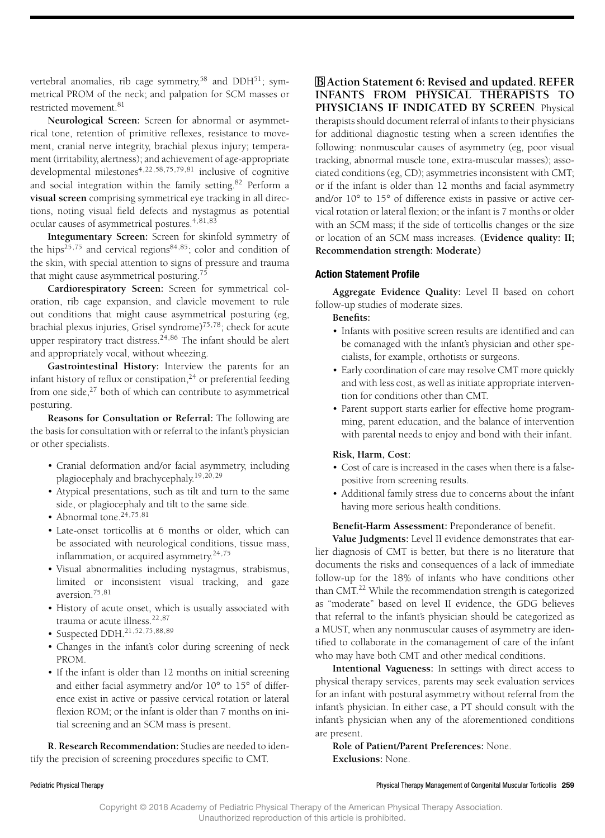vertebral anomalies, rib cage symmetry,<sup>58</sup> and  $DDH<sup>51</sup>$ ; symmetrical PROM of the neck; and palpation for SCM masses or restricted movement.<sup>81</sup>

**Neurological Screen:** Screen for abnormal or asymmetrical tone, retention of primitive reflexes, resistance to movement, cranial nerve integrity, brachial plexus injury; temperament (irritability, alertness); and achievement of age-appropriate developmental milestones<sup>4,22,58,75,79,81</sup> inclusive of cognitive and social integration within the family setting.<sup>82</sup> Perform a **visual screen** comprising symmetrical eye tracking in all directions, noting visual field defects and nystagmus as potential ocular causes of asymmetrical postures.<sup>4,81,83</sup>

**Integumentary Screen:** Screen for skinfold symmetry of the hips<sup>25,75</sup> and cervical regions<sup>84,85</sup>; color and condition of the skin, with special attention to signs of pressure and trauma that might cause asymmetrical posturing.75

**Cardiorespiratory Screen:** Screen for symmetrical coloration, rib cage expansion, and clavicle movement to rule out conditions that might cause asymmetrical posturing (eg, brachial plexus injuries, Grisel syndrome)<sup>75,78</sup>; check for acute upper respiratory tract distress.<sup>24,86</sup> The infant should be alert and appropriately vocal, without wheezing.

**Gastrointestinal History:** Interview the parents for an infant history of reflux or constipation, $24$  or preferential feeding from one side, $27$  both of which can contribute to asymmetrical posturing.

**Reasons for Consultation or Referral:** The following are the basis for consultation with or referral to the infant's physician or other specialists.

- Cranial deformation and/or facial asymmetry, including plagiocephaly and brachycephaly.19,20,29
- Atypical presentations, such as tilt and turn to the same side, or plagiocephaly and tilt to the same side.
- Abnormal tone. $2^{4,75,81}$
- Late-onset torticollis at 6 months or older, which can be associated with neurological conditions, tissue mass, inflammation, or acquired asymmetry.<sup>24,75</sup>
- Visual abnormalities including nystagmus, strabismus, limited or inconsistent visual tracking, and gaze aversion.75,81
- History of acute onset, which is usually associated with trauma or acute illness.<sup>22,87</sup>
- Suspected DDH. $21,52,75,88,89$
- Changes in the infant's color during screening of neck PROM.
- If the infant is older than 12 months on initial screening and either facial asymmetry and/or 10° to 15° of difference exist in active or passive cervical rotation or lateral flexion ROM; or the infant is older than 7 months on initial screening and an SCM mass is present.

**R. Research Recommendation:** Studies are needed to identify the precision of screening procedures specific to CMT.

**B Action Statement 6: Revised and updated. REFER INFANTS FROM PHYSICAL THERAPISTS TO PHYSICIANS IF INDICATED BY SCREEN**. Physical therapists should document referral of infants to their physicians for additional diagnostic testing when a screen identifies the following: nonmuscular causes of asymmetry (eg, poor visual tracking, abnormal muscle tone, extra-muscular masses); associated conditions (eg, CD); asymmetries inconsistent with CMT; or if the infant is older than 12 months and facial asymmetry and/or 10° to 15° of difference exists in passive or active cervical rotation or lateral flexion; or the infant is 7 months or older with an SCM mass; if the side of torticollis changes or the size or location of an SCM mass increases. **(Evidence quality: II; Recommendation strength: Moderate)**

## **Action Statement Profile**

**Aggregate Evidence Quality:** Level II based on cohort follow-up studies of moderate sizes.

#### **Benefits:**

- Infants with positive screen results are identified and can be comanaged with the infant's physician and other specialists, for example, orthotists or surgeons.
- Early coordination of care may resolve CMT more quickly and with less cost, as well as initiate appropriate intervention for conditions other than CMT.
- Parent support starts earlier for effective home programming, parent education, and the balance of intervention with parental needs to enjoy and bond with their infant.

#### **Risk, Harm, Cost:**

- Cost of care is increased in the cases when there is a falsepositive from screening results.
- Additional family stress due to concerns about the infant having more serious health conditions.

#### **Benefit-Harm Assessment:** Preponderance of benefit.

**Value Judgments:** Level II evidence demonstrates that earlier diagnosis of CMT is better, but there is no literature that documents the risks and consequences of a lack of immediate follow-up for the 18% of infants who have conditions other than CMT.22 While the recommendation strength is categorized as "moderate" based on level II evidence, the GDG believes that referral to the infant's physician should be categorized as a MUST, when any nonmuscular causes of asymmetry are identified to collaborate in the comanagement of care of the infant who may have both CMT and other medical conditions.

**Intentional Vagueness:** In settings with direct access to physical therapy services, parents may seek evaluation services for an infant with postural asymmetry without referral from the infant's physician. In either case, a PT should consult with the infant's physician when any of the aforementioned conditions are present.

**Role of Patient/Parent Preferences:** None. **Exclusions:** None.

Pediatric Physical Therapy Physical Therapy Management of Congenital Muscular Torticollis **259**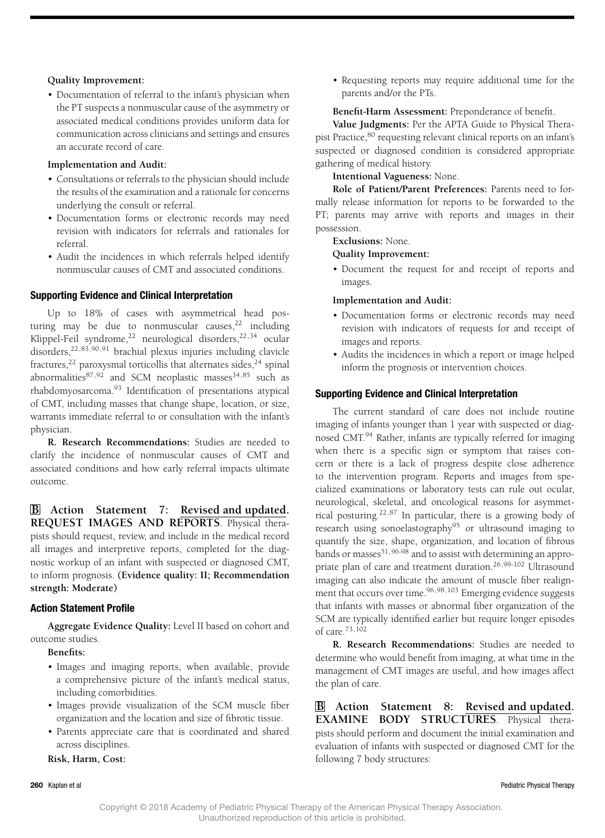#### **Quality Improvement:**

• Documentation of referral to the infant's physician when the PT suspects a nonmuscular cause of the asymmetry or associated medical conditions provides uniform data for communication across clinicians and settings and ensures an accurate record of care.

### **Implementation and Audit:**

- Consultations or referrals to the physician should include the results of the examination and a rationale for concerns underlying the consult or referral.
- Documentation forms or electronic records may need revision with indicators for referrals and rationales for referral.
- Audit the incidences in which referrals helped identify nonmuscular causes of CMT and associated conditions.

## **Supporting Evidence and Clinical Interpretation**

Up to 18% of cases with asymmetrical head posturing may be due to nonmuscular causes, $22$  including Klippel-Feil syndrome,<sup>22</sup> neurological disorders,<sup>22,34</sup> ocular disorders,22,83,90,91 brachial plexus injuries including clavicle fractures,<sup>22</sup> paroxysmal torticollis that alternates sides, $24$  spinal abnormalities $87,92$  and SCM neoplastic masses $34,85$  such as rhabdomyosarcoma.93 Identification of presentations atypical of CMT, including masses that change shape, location, or size, warrants immediate referral to or consultation with the infant's physician.

**R. Research Recommendations:** Studies are needed to clarify the incidence of nonmuscular causes of CMT and associated conditions and how early referral impacts ultimate outcome.

**B Action Statement 7: Revised and updated. REQUEST IMAGES AND REPORTS**. Physical therapists should request, review, and include in the medical record all images and interpretive reports, completed for the diagnostic workup of an infant with suspected or diagnosed CMT, to inform prognosis. **(Evidence quality: II; Recommendation strength: Moderate)**

## **Action Statement Profile**

**Aggregate Evidence Quality:** Level II based on cohort and outcome studies.

#### **Benefits:**

- Images and imaging reports, when available, provide a comprehensive picture of the infant's medical status, including comorbidities.
- Images provide visualization of the SCM muscle fiber organization and the location and size of fibrotic tissue.
- Parents appreciate care that is coordinated and shared across disciplines.

**Risk, Harm, Cost:**

• Requesting reports may require additional time for the parents and/or the PTs.

#### **Benefit-Harm Assessment:** Preponderance of benefit.

**Value Judgments:** Per the APTA Guide to Physical Therapist Practice, <sup>80</sup> requesting relevant clinical reports on an infant's suspected or diagnosed condition is considered appropriate gathering of medical history.

**Intentional Vagueness:** None.

**Role of Patient/Parent Preferences:** Parents need to formally release information for reports to be forwarded to the PT; parents may arrive with reports and images in their possession.

## **Exclusions:** None.

## **Quality Improvement:**

• Document the request for and receipt of reports and images.

#### **Implementation and Audit:**

- Documentation forms or electronic records may need revision with indicators of requests for and receipt of images and reports.
- Audits the incidences in which a report or image helped inform the prognosis or intervention choices.

## **Supporting Evidence and Clinical Interpretation**

The current standard of care does not include routine imaging of infants younger than 1 year with suspected or diagnosed CMT.94 Rather, infants are typically referred for imaging when there is a specific sign or symptom that raises concern or there is a lack of progress despite close adherence to the intervention program. Reports and images from specialized examinations or laboratory tests can rule out ocular, neurological, skeletal, and oncological reasons for asymmetrical posturing.22,87 In particular, there is a growing body of research using sonoelastography<sup>95</sup> or ultrasound imaging to quantify the size, shape, organization, and location of fibrous bands or masses<sup>51,96-98</sup> and to assist with determining an appropriate plan of care and treatment duration.26,99-102 Ultrasound imaging can also indicate the amount of muscle fiber realignment that occurs over time.<sup>96,98,103</sup> Emerging evidence suggests that infants with masses or abnormal fiber organization of the SCM are typically identified earlier but require longer episodes of care.73,102

**R. Research Recommendations:** Studies are needed to determine who would benefit from imaging, at what time in the management of CMT images are useful, and how images affect the plan of care.

**B Action Statement 8: Revised and updated. EXAMINE BODY STRUCTURES**. Physical therapists should perform and document the initial examination and evaluation of infants with suspected or diagnosed CMT for the following 7 body structures: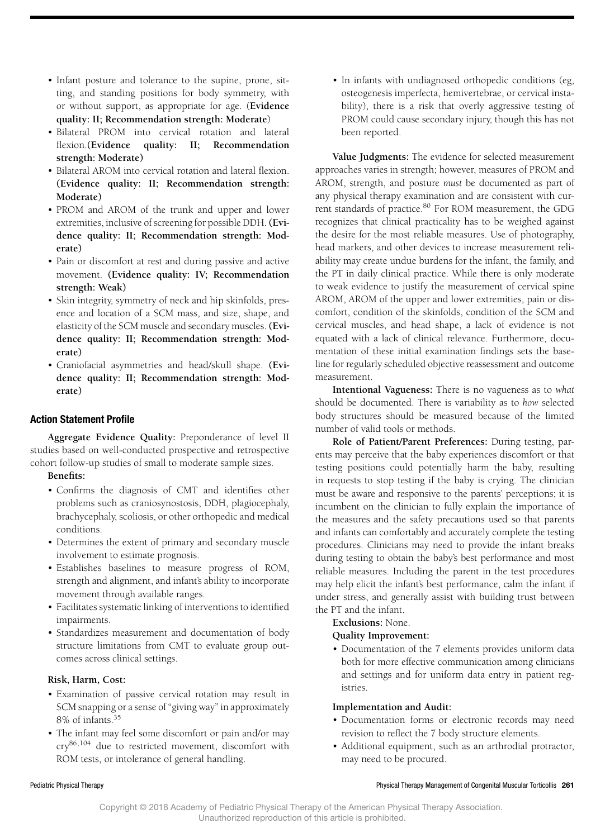- Infant posture and tolerance to the supine, prone, sitting, and standing positions for body symmetry, with or without support, as appropriate for age. (**Evidence quality: II; Recommendation strength: Moderate**)
- Bilateral PROM into cervical rotation and lateral flexion.**(Evidence quality: II; Recommendation strength: Moderate)**
- Bilateral AROM into cervical rotation and lateral flexion. **(Evidence quality: II; Recommendation strength: Moderate)**
- PROM and AROM of the trunk and upper and lower extremities, inclusive of screening for possible DDH.**(Evidence quality: II; Recommendation strength: Moderate)**
- Pain or discomfort at rest and during passive and active movement. **(Evidence quality: IV; Recommendation strength: Weak)**
- Skin integrity, symmetry of neck and hip skinfolds, presence and location of a SCM mass, and size, shape, and elasticity of the SCM muscle and secondary muscles.**(Evidence quality: II; Recommendation strength: Moderate)**
- Craniofacial asymmetries and head/skull shape. **(Evidence quality: II; Recommendation strength: Moderate)**

## **Action Statement Profile**

**Aggregate Evidence Quality:** Preponderance of level II studies based on well-conducted prospective and retrospective cohort follow-up studies of small to moderate sample sizes.

## **Benefits:**

- Confirms the diagnosis of CMT and identifies other problems such as craniosynostosis, DDH, plagiocephaly, brachycephaly, scoliosis, or other orthopedic and medical conditions.
- Determines the extent of primary and secondary muscle involvement to estimate prognosis.
- Establishes baselines to measure progress of ROM, strength and alignment, and infant's ability to incorporate movement through available ranges.
- Facilitates systematic linking of interventions to identified impairments.
- Standardizes measurement and documentation of body structure limitations from CMT to evaluate group outcomes across clinical settings.

## **Risk, Harm, Cost:**

- Examination of passive cervical rotation may result in SCM snapping or a sense of "giving way" in approximately 8% of infants.35
- The infant may feel some discomfort or pain and/or may cry86,104 due to restricted movement, discomfort with ROM tests, or intolerance of general handling.

• In infants with undiagnosed orthopedic conditions (eg, osteogenesis imperfecta, hemivertebrae, or cervical instability), there is a risk that overly aggressive testing of PROM could cause secondary injury, though this has not been reported.

**Value Judgments:** The evidence for selected measurement approaches varies in strength; however, measures of PROM and AROM, strength, and posture *must* be documented as part of any physical therapy examination and are consistent with current standards of practice.<sup>80</sup> For ROM measurement, the GDG recognizes that clinical practicality has to be weighed against the desire for the most reliable measures. Use of photography, head markers, and other devices to increase measurement reliability may create undue burdens for the infant, the family, and the PT in daily clinical practice. While there is only moderate to weak evidence to justify the measurement of cervical spine AROM, AROM of the upper and lower extremities, pain or discomfort, condition of the skinfolds, condition of the SCM and cervical muscles, and head shape, a lack of evidence is not equated with a lack of clinical relevance. Furthermore, documentation of these initial examination findings sets the baseline for regularly scheduled objective reassessment and outcome measurement.

**Intentional Vagueness:** There is no vagueness as to *what* should be documented. There is variability as to *how* selected body structures should be measured because of the limited number of valid tools or methods.

**Role of Patient/Parent Preferences:** During testing, parents may perceive that the baby experiences discomfort or that testing positions could potentially harm the baby, resulting in requests to stop testing if the baby is crying. The clinician must be aware and responsive to the parents' perceptions; it is incumbent on the clinician to fully explain the importance of the measures and the safety precautions used so that parents and infants can comfortably and accurately complete the testing procedures. Clinicians may need to provide the infant breaks during testing to obtain the baby's best performance and most reliable measures. Including the parent in the test procedures may help elicit the infant's best performance, calm the infant if under stress, and generally assist with building trust between the PT and the infant.

**Exclusions:** None.

## **Quality Improvement:**

• Documentation of the 7 elements provides uniform data both for more effective communication among clinicians and settings and for uniform data entry in patient registries.

## **Implementation and Audit:**

- Documentation forms or electronic records may need revision to reflect the 7 body structure elements.
- Additional equipment, such as an arthrodial protractor, may need to be procured.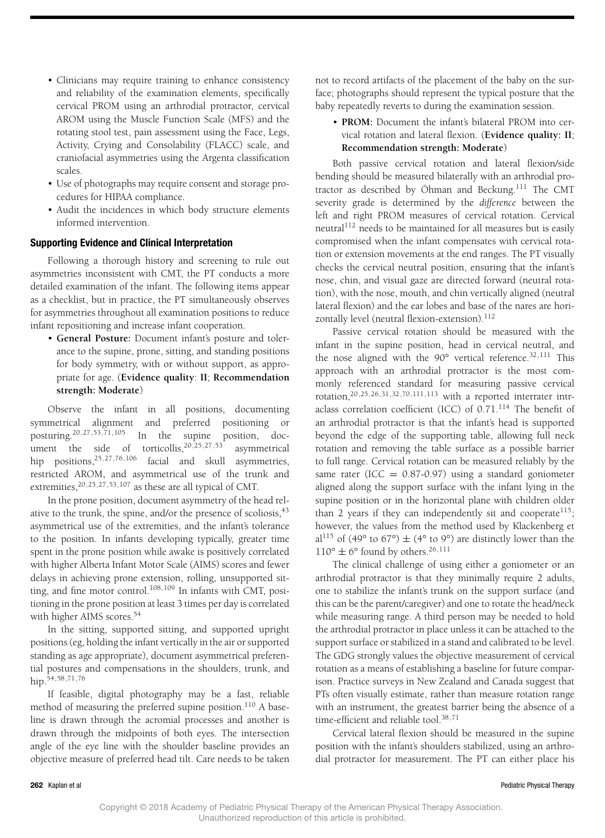- Clinicians may require training to enhance consistency and reliability of the examination elements, specifically cervical PROM using an arthrodial protractor, cervical AROM using the Muscle Function Scale (MFS) and the rotating stool test, pain assessment using the Face, Legs, Activity, Crying and Consolability (FLACC) scale, and craniofacial asymmetries using the Argenta classification scales.
- Use of photographs may require consent and storage procedures for HIPAA compliance.
- Audit the incidences in which body structure elements informed intervention.

#### **Supporting Evidence and Clinical Interpretation**

Following a thorough history and screening to rule out asymmetries inconsistent with CMT, the PT conducts a more detailed examination of the infant. The following items appear as a checklist, but in practice, the PT simultaneously observes for asymmetries throughout all examination positions to reduce infant repositioning and increase infant cooperation.

• **General Posture:** Document infant's posture and tolerance to the supine, prone, sitting, and standing positions for body symmetry, with or without support, as appropriate for age. (**Evidence quality**: **II**; **Recommendation strength: Moderate**)

Observe the infant in all positions, documenting symmetrical alignment and preferred positioning or posturing.<sup>20,27,53,71,105</sup> In the supine position, document the side of torticollis,  $20,25,27,53$  asymmetrical hip positions, <sup>25, 27, 76, 106</sup> facial and skull asymmetries, restricted AROM, and asymmetrical use of the trunk and extremities,  $^{20,25,27,53,107}$  as these are all typical of CMT.

In the prone position, document asymmetry of the head relative to the trunk, the spine, and/or the presence of scoliosis, $43$ asymmetrical use of the extremities, and the infant's tolerance to the position. In infants developing typically, greater time spent in the prone position while awake is positively correlated with higher Alberta Infant Motor Scale (AIMS) scores and fewer delays in achieving prone extension, rolling, unsupported sitting, and fine motor control.<sup>108,109</sup> In infants with CMT, positioning in the prone position at least 3 times per day is correlated with higher AIMS scores.<sup>54</sup>

In the sitting, supported sitting, and supported upright positions (eg, holding the infant vertically in the air or supported standing as age appropriate), document asymmetrical preferential postures and compensations in the shoulders, trunk, and hip.54,58,71,76

If feasible, digital photography may be a fast, reliable method of measuring the preferred supine position.<sup>110</sup> A baseline is drawn through the acromial processes and another is drawn through the midpoints of both eyes. The intersection angle of the eye line with the shoulder baseline provides an objective measure of preferred head tilt. Care needs to be taken not to record artifacts of the placement of the baby on the surface; photographs should represent the typical posture that the baby repeatedly reverts to during the examination session.

• **PROM:** Document the infant's bilateral PROM into cervical rotation and lateral flexion. (**Evidence quality: II**; **Recommendation strength: Moderate**)

Both passive cervical rotation and lateral flexion/side bending should be measured bilaterally with an arthrodial protractor as described by Öhman and Beckung.<sup>111</sup> The CMT severity grade is determined by the *difference* between the left and right PROM measures of cervical rotation. Cervical neutral<sup>112</sup> needs to be maintained for all measures but is easily compromised when the infant compensates with cervical rotation or extension movements at the end ranges. The PT visually checks the cervical neutral position, ensuring that the infant's nose, chin, and visual gaze are directed forward (neutral rotation), with the nose, mouth, and chin vertically aligned (neutral lateral flexion) and the ear lobes and base of the nares are horizontally level (neutral flexion-extension).<sup>112</sup>

Passive cervical rotation should be measured with the infant in the supine position, head in cervical neutral, and the nose aligned with the 90° vertical reference.<sup>32,111</sup> This approach with an arthrodial protractor is the most commonly referenced standard for measuring passive cervical rotation,20,25,26,31,32,70,111,113 with a reported interrater intraclass correlation coefficient (ICC) of  $0.71$ .<sup>114</sup> The benefit of an arthrodial protractor is that the infant's head is supported beyond the edge of the supporting table, allowing full neck rotation and removing the table surface as a possible barrier to full range. Cervical rotation can be measured reliably by the same rater (ICC =  $0.87-0.97$ ) using a standard goniometer aligned along the support surface with the infant lying in the supine position or in the horizontal plane with children older than 2 years if they can independently sit and cooperate $^{115}$ ; however, the values from the method used by Klackenberg et al<sup>115</sup> of (49° to 67°)  $\pm$  (4° to 9°) are distinctly lower than the  $110^{\circ} \pm 6^{\circ}$  found by others.<sup>26,111</sup>

The clinical challenge of using either a goniometer or an arthrodial protractor is that they minimally require 2 adults, one to stabilize the infant's trunk on the support surface (and this can be the parent/caregiver) and one to rotate the head/neck while measuring range. A third person may be needed to hold the arthrodial protractor in place unless it can be attached to the support surface or stabilized in a stand and calibrated to be level. The GDG strongly values the objective measurement of cervical rotation as a means of establishing a baseline for future comparison. Practice surveys in New Zealand and Canada suggest that PTs often visually estimate, rather than measure rotation range with an instrument, the greatest barrier being the absence of a time-efficient and reliable tool.38,71

Cervical lateral flexion should be measured in the supine position with the infant's shoulders stabilized, using an arthrodial protractor for measurement. The PT can either place his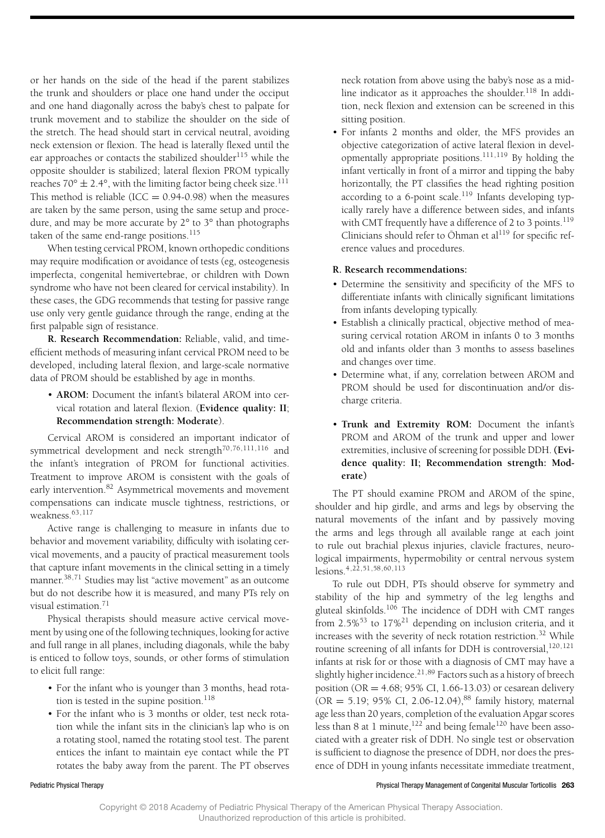or her hands on the side of the head if the parent stabilizes the trunk and shoulders or place one hand under the occiput and one hand diagonally across the baby's chest to palpate for trunk movement and to stabilize the shoulder on the side of the stretch. The head should start in cervical neutral, avoiding neck extension or flexion. The head is laterally flexed until the ear approaches or contacts the stabilized shoulder<sup>115</sup> while the opposite shoulder is stabilized; lateral flexion PROM typically reaches  $70^{\circ} \pm 2.4^{\circ}$ , with the limiting factor being cheek size.<sup>111</sup> This method is reliable (ICC =  $0.94$ -0.98) when the measures are taken by the same person, using the same setup and procedure, and may be more accurate by 2° to 3° than photographs taken of the same end-range positions. $^{115}$ 

When testing cervical PROM, known orthopedic conditions may require modification or avoidance of tests (eg, osteogenesis imperfecta, congenital hemivertebrae, or children with Down syndrome who have not been cleared for cervical instability). In these cases, the GDG recommends that testing for passive range use only very gentle guidance through the range, ending at the first palpable sign of resistance.

**R. Research Recommendation:** Reliable, valid, and timeefficient methods of measuring infant cervical PROM need to be developed, including lateral flexion, and large-scale normative data of PROM should be established by age in months.

• **AROM:** Document the infant's bilateral AROM into cervical rotation and lateral flexion. (**Evidence quality: II**; **Recommendation strength: Moderate**).

Cervical AROM is considered an important indicator of symmetrical development and neck strength<sup>70,76,111,116</sup> and the infant's integration of PROM for functional activities. Treatment to improve AROM is consistent with the goals of early intervention.82 Asymmetrical movements and movement compensations can indicate muscle tightness, restrictions, or weakness.63,117

Active range is challenging to measure in infants due to behavior and movement variability, difficulty with isolating cervical movements, and a paucity of practical measurement tools that capture infant movements in the clinical setting in a timely manner.<sup>38,71</sup> Studies may list "active movement" as an outcome but do not describe how it is measured, and many PTs rely on visual estimation.<sup>71</sup>

Physical therapists should measure active cervical movement by using one of the following techniques, looking for active and full range in all planes, including diagonals, while the baby is enticed to follow toys, sounds, or other forms of stimulation to elicit full range:

- For the infant who is younger than 3 months, head rotation is tested in the supine position.<sup>118</sup>
- For the infant who is 3 months or older, test neck rotation while the infant sits in the clinician's lap who is on a rotating stool, named the rotating stool test. The parent entices the infant to maintain eye contact while the PT rotates the baby away from the parent. The PT observes

neck rotation from above using the baby's nose as a midline indicator as it approaches the shoulder.<sup>118</sup> In addition, neck flexion and extension can be screened in this sitting position.

• For infants 2 months and older, the MFS provides an objective categorization of active lateral flexion in developmentally appropriate positions.<sup>111,119</sup> By holding the infant vertically in front of a mirror and tipping the baby horizontally, the PT classifies the head righting position according to a 6-point scale.<sup>119</sup> Infants developing typically rarely have a difference between sides, and infants with CMT frequently have a difference of 2 to 3 points.<sup>119</sup> Clinicians should refer to Öhman et al<sup>119</sup> for specific reference values and procedures.

#### **R. Research recommendations:**

- Determine the sensitivity and specificity of the MFS to differentiate infants with clinically significant limitations from infants developing typically.
- Establish a clinically practical, objective method of measuring cervical rotation AROM in infants 0 to 3 months old and infants older than 3 months to assess baselines and changes over time.
- Determine what, if any, correlation between AROM and PROM should be used for discontinuation and/or discharge criteria.
- **Trunk and Extremity ROM:** Document the infant's PROM and AROM of the trunk and upper and lower extremities, inclusive of screening for possible DDH.**(Evidence quality: II; Recommendation strength: Moderate)**

The PT should examine PROM and AROM of the spine, shoulder and hip girdle, and arms and legs by observing the natural movements of the infant and by passively moving the arms and legs through all available range at each joint to rule out brachial plexus injuries, clavicle fractures, neurological impairments, hypermobility or central nervous system lesions.<sup>4,22,51,58,60,113</sup>

To rule out DDH, PTs should observe for symmetry and stability of the hip and symmetry of the leg lengths and gluteal skinfolds.106 The incidence of DDH with CMT ranges from  $2.5\%$ <sup>53</sup> to  $17\%$ <sup>21</sup> depending on inclusion criteria, and it increases with the severity of neck rotation restriction.<sup>32</sup> While routine screening of all infants for DDH is controversial,<sup>120,121</sup> infants at risk for or those with a diagnosis of CMT may have a slightly higher incidence.<sup>21,89</sup> Factors such as a history of breech position ( $OR = 4.68$ ;  $95\%$  CI, 1.66-13.03) or cesarean delivery  $(OR = 5.19; 95\% CI, 2.06-12.04).$ <sup>88</sup> family history, maternal age less than 20 years, completion of the evaluation Apgar scores less than 8 at 1 minute,<sup>122</sup> and being female<sup>120</sup> have been associated with a greater risk of DDH. No single test or observation is sufficient to diagnose the presence of DDH, nor does the presence of DDH in young infants necessitate immediate treatment,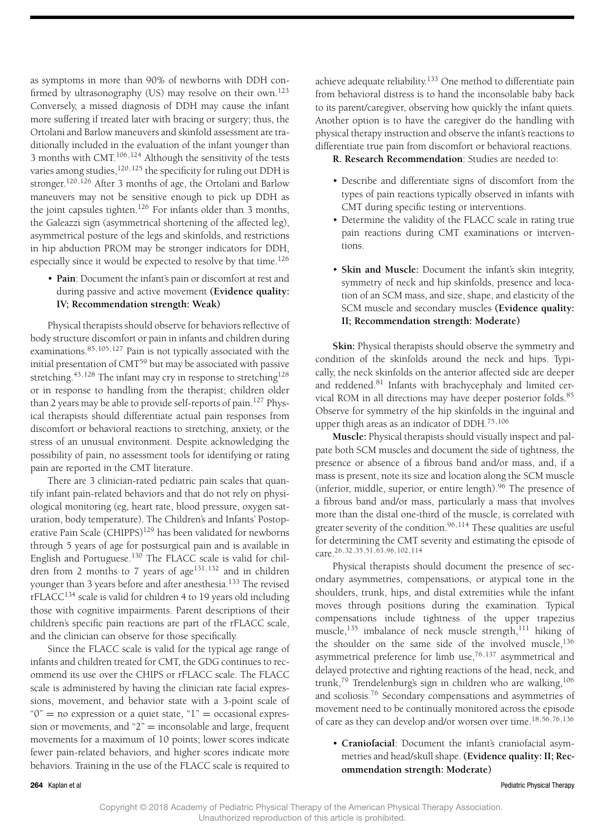as symptoms in more than 90% of newborns with DDH confirmed by ultrasonography (US) may resolve on their own.<sup>123</sup> Conversely, a missed diagnosis of DDH may cause the infant more suffering if treated later with bracing or surgery; thus, the Ortolani and Barlow maneuvers and skinfold assessment are traditionally included in the evaluation of the infant younger than 3 months with CMT.106,124 Although the sensitivity of the tests varies among studies,  $120,125$  the specificity for ruling out DDH is stronger.<sup>120,126</sup> After 3 months of age, the Ortolani and Barlow maneuvers may not be sensitive enough to pick up DDH as the joint capsules tighten.<sup>126</sup> For infants older than  $\overline{3}$  months, the Galeazzi sign (asymmetrical shortening of the affected leg), asymmetrical posture of the legs and skinfolds, and restrictions in hip abduction PROM may be stronger indicators for DDH, especially since it would be expected to resolve by that time.<sup>126</sup>

## • **Pain**: Document the infant's pain or discomfort at rest and during passive and active movement **(Evidence quality: IV; Recommendation strength: Weak)**

Physical therapists should observe for behaviors reflective of body structure discomfort or pain in infants and children during examinations.85,105,127 Pain is not typically associated with the initial presentation of  $CMT^{59}$  but may be associated with passive stretching.<sup>43,128</sup> The infant may cry in response to stretching<sup>128</sup> or in response to handling from the therapist; children older than 2 years may be able to provide self-reports of pain.<sup>127</sup> Physical therapists should differentiate actual pain responses from discomfort or behavioral reactions to stretching, anxiety, or the stress of an unusual environment. Despite acknowledging the possibility of pain, no assessment tools for identifying or rating pain are reported in the CMT literature.

There are 3 clinician-rated pediatric pain scales that quantify infant pain-related behaviors and that do not rely on physiological monitoring (eg, heart rate, blood pressure, oxygen saturation, body temperature). The Children's and Infants' Postoperative Pain Scale (CHIPPS)<sup>129</sup> has been validated for newborns through 5 years of age for postsurgical pain and is available in English and Portuguese.<sup>130</sup> The FLACC scale is valid for children from 2 months to 7 years of age $131,132$  and in children younger than 3 years before and after anesthesia.<sup>133</sup> The revised  $rF LACC<sup>134</sup>$  scale is valid for children 4 to 19 years old including those with cognitive impairments. Parent descriptions of their children's specific pain reactions are part of the rFLACC scale, and the clinician can observe for those specifically.

Since the FLACC scale is valid for the typical age range of infants and children treated for CMT, the GDG continues to recommend its use over the CHIPS or rFLACC scale. The FLACC scale is administered by having the clinician rate facial expressions, movement, and behavior state with a 3-point scale of " $0$ " = no expression or a quiet state, " $1$ " = occasional expression or movements, and " $2$ " = inconsolable and large, frequent movements for a maximum of 10 points; lower scores indicate fewer pain-related behaviors, and higher scores indicate more behaviors. Training in the use of the FLACC scale is required to achieve adequate reliability.<sup>133</sup> One method to differentiate pain from behavioral distress is to hand the inconsolable baby back to its parent/caregiver, observing how quickly the infant quiets. Another option is to have the caregiver do the handling with physical therapy instruction and observe the infant's reactions to differentiate true pain from discomfort or behavioral reactions.

**R. Research Recommendation**: Studies are needed to:

- Describe and differentiate signs of discomfort from the types of pain reactions typically observed in infants with CMT during specific testing or interventions.
- Determine the validity of the FLACC scale in rating true pain reactions during CMT examinations or interventions.
- **Skin and Muscle:** Document the infant's skin integrity, symmetry of neck and hip skinfolds, presence and location of an SCM mass, and size, shape, and elasticity of the SCM muscle and secondary muscles **(Evidence quality: II; Recommendation strength: Moderate)**

**Skin:** Physical therapists should observe the symmetry and condition of the skinfolds around the neck and hips. Typically, the neck skinfolds on the anterior affected side are deeper and reddened.<sup>81</sup> Infants with brachycephaly and limited cervical ROM in all directions may have deeper posterior folds.<sup>85</sup> Observe for symmetry of the hip skinfolds in the inguinal and upper thigh areas as an indicator of DDH.75,106

**Muscle:** Physical therapists should visually inspect and palpate both SCM muscles and document the side of tightness, the presence or absence of a fibrous band and/or mass, and, if a mass is present, note its size and location along the SCM muscle (inferior, middle, superior, or entire length).<sup>96</sup> The presence of a fibrous band and/or mass, particularly a mass that involves more than the distal one-third of the muscle, is correlated with greater severity of the condition.<sup>96,114</sup> These qualities are useful for determining the CMT severity and estimating the episode of care.<sup>26,32,35,51,63,96,102,114</sup>

Physical therapists should document the presence of secondary asymmetries, compensations, or atypical tone in the shoulders, trunk, hips, and distal extremities while the infant moves through positions during the examination. Typical compensations include tightness of the upper trapezius muscle,<sup>135</sup> imbalance of neck muscle strength,<sup>111</sup> hiking of the shoulder on the same side of the involved muscle, $^{136}$ asymmetrical preference for limb use, $76,137$  asymmetrical and delayed protective and righting reactions of the head, neck, and trunk,<sup>79</sup> Trendelenburg's sign in children who are walking,<sup>106</sup> and scoliosis.76 Secondary compensations and asymmetries of movement need to be continually monitored across the episode of care as they can develop and/or worsen over time.18,56,76,136

• **Craniofacial**: Document the infant's craniofacial asymmetries and head/skull shape. **(Evidence quality: II; Recommendation strength: Moderate)**

**264** Kaplan et al Pediatric Physical Therapy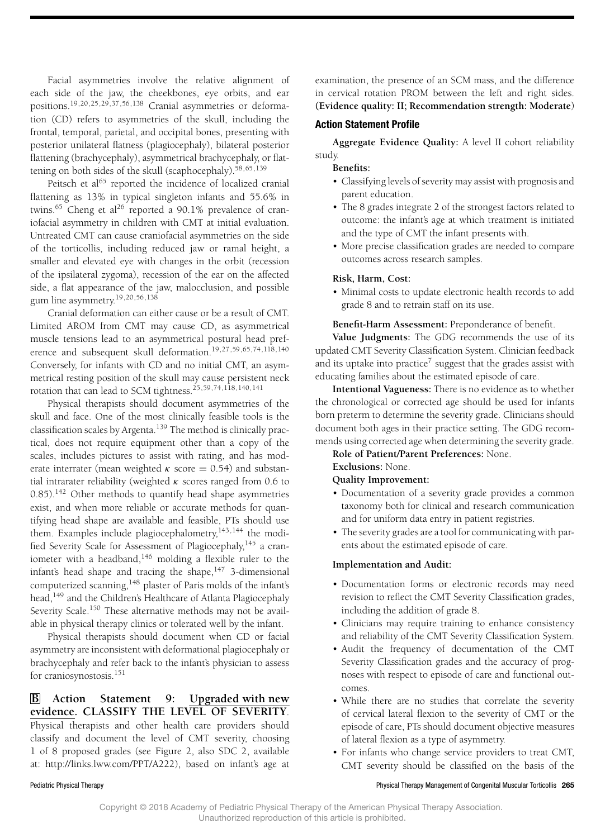Facial asymmetries involve the relative alignment of each side of the jaw, the cheekbones, eye orbits, and ear positions.19,20,25,29,37,56,138 Cranial asymmetries or deformation (CD) refers to asymmetries of the skull, including the frontal, temporal, parietal, and occipital bones, presenting with posterior unilateral flatness (plagiocephaly), bilateral posterior flattening (brachycephaly), asymmetrical brachycephaly, or flattening on both sides of the skull (scaphocephaly).<sup>58,65,139</sup>

Peitsch et al<sup>65</sup> reported the incidence of localized cranial flattening as 13% in typical singleton infants and 55.6% in twins.<sup>65</sup> Cheng et al<sup>26</sup> reported a 90.1% prevalence of craniofacial asymmetry in children with CMT at initial evaluation. Untreated CMT can cause craniofacial asymmetries on the side of the torticollis, including reduced jaw or ramal height, a smaller and elevated eye with changes in the orbit (recession of the ipsilateral zygoma), recession of the ear on the affected side, a flat appearance of the jaw, malocclusion, and possible gum line asymmetry.19,20,56,138

Cranial deformation can either cause or be a result of CMT. Limited AROM from CMT may cause CD, as asymmetrical muscle tensions lead to an asymmetrical postural head preference and subsequent skull deformation.<sup>19,27,59,65,74,118,140</sup> Conversely, for infants with CD and no initial CMT, an asymmetrical resting position of the skull may cause persistent neck rotation that can lead to SCM tightness.25,59,74,118,140,141

Physical therapists should document asymmetries of the skull and face. One of the most clinically feasible tools is the classification scales by Argenta.<sup>139</sup> The method is clinically practical, does not require equipment other than a copy of the scales, includes pictures to assist with rating, and has moderate interrater (mean weighted  $\kappa$  score = 0.54) and substantial intrarater reliability (weighted  $\kappa$  scores ranged from 0.6 to  $0.85$ ).<sup>142</sup> Other methods to quantify head shape asymmetries exist, and when more reliable or accurate methods for quantifying head shape are available and feasible, PTs should use them. Examples include plagiocephalometry,<sup>143,144</sup> the modified Severity Scale for Assessment of Plagiocephaly,<sup>145</sup> a craniometer with a headband,<sup>146</sup> molding a flexible ruler to the infant's head shape and tracing the shape, $147$  3-dimensional computerized scanning,<sup>148</sup> plaster of Paris molds of the infant's head,<sup>149</sup> and the Children's Healthcare of Atlanta Plagiocephaly Severity Scale.<sup>150</sup> These alternative methods may not be available in physical therapy clinics or tolerated well by the infant.

Physical therapists should document when CD or facial asymmetry are inconsistent with deformational plagiocephaly or brachycephaly and refer back to the infant's physician to assess for craniosynostosis.<sup>151</sup>

#### **B Action Statement 9: Upgraded with new evidence. CLASSIFY THE LEVEL OF SEVERITY**.

Physical therapists and other health care providers should classify and document the level of CMT severity, choosing 1 of 8 proposed grades (see Figure 2, also SDC 2, available at: [http://links.lww.com/PPT/A222\)](http://links.lww.com/PPT/A222), based on infant's age at

examination, the presence of an SCM mass, and the difference in cervical rotation PROM between the left and right sides. **(Evidence quality: II; Recommendation strength: Moderate**)

## **Action Statement Profile**

**Aggregate Evidence Quality:** A level II cohort reliability study.

### **Benefits:**

- Classifying levels of severity may assist with prognosis and parent education.
- The 8 grades integrate 2 of the strongest factors related to outcome: the infant's age at which treatment is initiated and the type of CMT the infant presents with.
- More precise classification grades are needed to compare outcomes across research samples.

#### **Risk, Harm, Cost:**

• Minimal costs to update electronic health records to add grade 8 and to retrain staff on its use.

#### **Benefit-Harm Assessment:** Preponderance of benefit.

**Value Judgments:** The GDG recommends the use of its updated CMT Severity Classification System. Clinician feedback and its uptake into practice<sup>7</sup> suggest that the grades assist with educating families about the estimated episode of care.

**Intentional Vagueness:** There is no evidence as to whether the chronological or corrected age should be used for infants born preterm to determine the severity grade. Clinicians should document both ages in their practice setting. The GDG recommends using corrected age when determining the severity grade.

**Role of Patient/Parent Preferences:** None.

#### **Exclusions:** None.

## **Quality Improvement:**

- Documentation of a severity grade provides a common taxonomy both for clinical and research communication and for uniform data entry in patient registries.
- The severity grades are a tool for communicating with parents about the estimated episode of care.

## **Implementation and Audit:**

- Documentation forms or electronic records may need revision to reflect the CMT Severity Classification grades, including the addition of grade 8.
- Clinicians may require training to enhance consistency and reliability of the CMT Severity Classification System.
- Audit the frequency of documentation of the CMT Severity Classification grades and the accuracy of prognoses with respect to episode of care and functional outcomes.
- While there are no studies that correlate the severity of cervical lateral flexion to the severity of CMT or the episode of care, PTs should document objective measures of lateral flexion as a type of asymmetry.
- For infants who change service providers to treat CMT, CMT severity should be classified on the basis of the

#### Pediatric Physical Therapy Physical Therapy Management of Congenital Muscular Torticollis **265**

Copyright © 2018 Academy of Pediatric Physical Therapy of the American Physical Therapy Association. Unauthorized reproduction of this article is prohibited.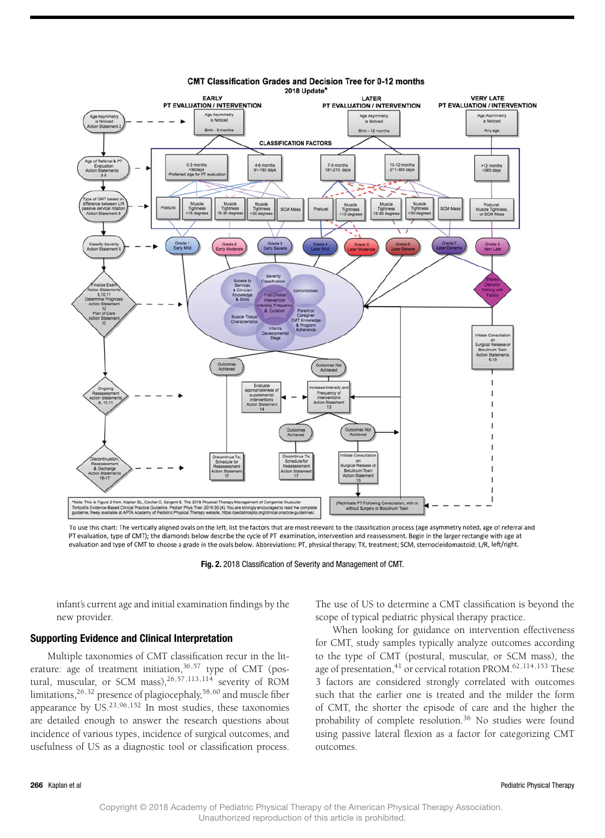

## **CMT Classification Grades and Decision Tree for 0-12 months**

To use this chart: The vertically aligned ovals on the left, list the factors that are most relevant to the classification process (age asymmetry noted, age of referral and PT evaluation, type of CMT); the diamonds below describe the cycle of PT examination, intervention and reassessment. Begin in the larger rectangle with age at evaluation and type of CMT to choose a grade in the ovals below. Abbreviations: PT, physical therapy; TX, treatment; SCM, sternocleidomastoid; L/R, left/right.

**Fig. 2.** 2018 Classification of Severity and Management of CMT.

infant's current age and initial examination findings by the new provider.

#### **Supporting Evidence and Clinical Interpretation**

Multiple taxonomies of CMT classification recur in the literature: age of treatment initiation,<sup>36,57</sup> type of CMT (postural, muscular, or SCM mass),<sup>26,57,113,114</sup> severity of ROM limitations,<sup>26,32</sup> presence of plagiocephaly,<sup>58,60</sup> and muscle fiber appearance by  $\overline{US}^{23,96,152}$  In most studies, these taxonomies are detailed enough to answer the research questions about incidence of various types, incidence of surgical outcomes, and usefulness of US as a diagnostic tool or classification process.

The use of US to determine a CMT classification is beyond the scope of typical pediatric physical therapy practice.

When looking for guidance on intervention effectiveness for CMT, study samples typically analyze outcomes according to the type of CMT (postural, muscular, or SCM mass), the age of presentation, $41$  or cervical rotation PROM.<sup>62,114,153</sup> These 3 factors are considered strongly correlated with outcomes such that the earlier one is treated and the milder the form of CMT, the shorter the episode of care and the higher the probability of complete resolution.36 No studies were found using passive lateral flexion as a factor for categorizing CMT outcomes.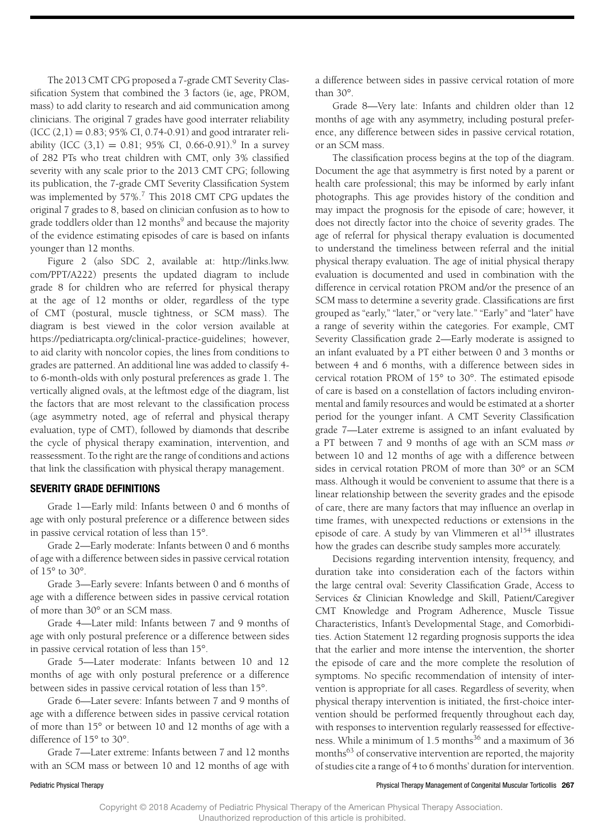The 2013 CMT CPG proposed a 7-grade CMT Severity Classification System that combined the 3 factors (ie, age, PROM, mass) to add clarity to research and aid communication among clinicians. The original 7 grades have good interrater reliability  $(ICC (2,1) = 0.83; 95\% CI, 0.74-0.91)$  and good intrarater reliability (ICC  $(3,1) = 0.81$ ; 95% CI, 0.66-0.91).<sup>9</sup> In a survey of 282 PTs who treat children with CMT, only 3% classified severity with any scale prior to the 2013 CMT CPG; following its publication, the 7-grade CMT Severity Classification System was implemented by 57%.<sup>7</sup> This 2018 CMT CPG updates the original 7 grades to 8, based on clinician confusion as to how to grade toddlers older than  $12$  months<sup>9</sup> and because the majority of the evidence estimating episodes of care is based on infants younger than 12 months.

Figure 2 (also SDC 2, available at: http://links.lww. [com/PPT/A222\) presents the updated diagram to include](http://links.lww.com/PPT/A222) grade 8 for children who are referred for physical therapy at the age of 12 months or older, regardless of the type of CMT (postural, muscle tightness, or SCM mass). The diagram is best viewed in the color version available at [https://pediatricapta.org/clinical-practice-guidelines;](https://pediatricapta.org/clinical-practice-guidelines) however, to aid clarity with noncolor copies, the lines from conditions to grades are patterned. An additional line was added to classify 4 to 6-month-olds with only postural preferences as grade 1. The vertically aligned ovals, at the leftmost edge of the diagram, list the factors that are most relevant to the classification process (age asymmetry noted, age of referral and physical therapy evaluation, type of CMT), followed by diamonds that describe the cycle of physical therapy examination, intervention, and reassessment. To the right are the range of conditions and actions that link the classification with physical therapy management.

## **SEVERITY GRADE DEFINITIONS**

Grade 1—Early mild: Infants between 0 and 6 months of age with only postural preference or a difference between sides in passive cervical rotation of less than 15°.

Grade 2—Early moderate: Infants between 0 and 6 months of age with a difference between sides in passive cervical rotation of 15° to 30°.

Grade 3—Early severe: Infants between 0 and 6 months of age with a difference between sides in passive cervical rotation of more than 30° or an SCM mass.

Grade 4—Later mild: Infants between 7 and 9 months of age with only postural preference or a difference between sides in passive cervical rotation of less than 15°.

Grade 5—Later moderate: Infants between 10 and 12 months of age with only postural preference or a difference between sides in passive cervical rotation of less than 15°.

Grade 6—Later severe: Infants between 7 and 9 months of age with a difference between sides in passive cervical rotation of more than 15° or between 10 and 12 months of age with a difference of 15° to 30°.

Grade 7—Later extreme: Infants between 7 and 12 months with an SCM mass or between 10 and 12 months of age with

a difference between sides in passive cervical rotation of more than 30°.

Grade 8—Very late: Infants and children older than 12 months of age with any asymmetry, including postural preference, any difference between sides in passive cervical rotation, or an SCM mass.

The classification process begins at the top of the diagram. Document the age that asymmetry is first noted by a parent or health care professional; this may be informed by early infant photographs. This age provides history of the condition and may impact the prognosis for the episode of care; however, it does not directly factor into the choice of severity grades. The age of referral for physical therapy evaluation is documented to understand the timeliness between referral and the initial physical therapy evaluation. The age of initial physical therapy evaluation is documented and used in combination with the difference in cervical rotation PROM and/or the presence of an SCM mass to determine a severity grade. Classifications are first grouped as "early," "later," or "very late." "Early" and "later" have a range of severity within the categories. For example, CMT Severity Classification grade 2—Early moderate is assigned to an infant evaluated by a PT either between 0 and 3 months or between 4 and 6 months, with a difference between sides in cervical rotation PROM of 15° to 30°. The estimated episode of care is based on a constellation of factors including environmental and family resources and would be estimated at a shorter period for the younger infant. A CMT Severity Classification grade 7—Later extreme is assigned to an infant evaluated by a PT between 7 and 9 months of age with an SCM mass *or* between 10 and 12 months of age with a difference between sides in cervical rotation PROM of more than 30° or an SCM mass. Although it would be convenient to assume that there is a linear relationship between the severity grades and the episode of care, there are many factors that may influence an overlap in time frames, with unexpected reductions or extensions in the episode of care. A study by van Vlimmeren et al<sup>154</sup> illustrates how the grades can describe study samples more accurately.

Decisions regarding intervention intensity, frequency, and duration take into consideration each of the factors within the large central oval: Severity Classification Grade, Access to Services & Clinician Knowledge and Skill, Patient/Caregiver CMT Knowledge and Program Adherence, Muscle Tissue Characteristics, Infant's Developmental Stage, and Comorbidities. Action Statement 12 regarding prognosis supports the idea that the earlier and more intense the intervention, the shorter the episode of care and the more complete the resolution of symptoms. No specific recommendation of intensity of intervention is appropriate for all cases. Regardless of severity, when physical therapy intervention is initiated, the first-choice intervention should be performed frequently throughout each day, with responses to intervention regularly reassessed for effectiveness. While a minimum of  $1.5$  months<sup>36</sup> and a maximum of 36 months $63$  of conservative intervention are reported, the majority of studies cite a range of 4 to 6 months' duration for intervention.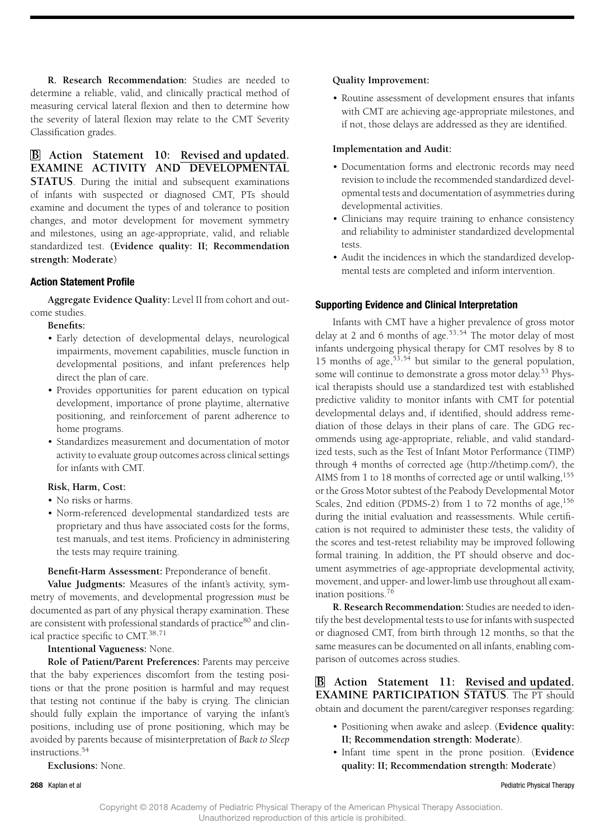**R. Research Recommendation:** Studies are needed to determine a reliable, valid, and clinically practical method of measuring cervical lateral flexion and then to determine how the severity of lateral flexion may relate to the CMT Severity Classification grades.

## **B Action Statement 10: Revised and updated. EXAMINE ACTIVITY AND DEVELOPMENTAL STATUS**. During the initial and subsequent examinations of infants with suspected or diagnosed CMT, PTs should examine and document the types of and tolerance to position changes, and motor development for movement symmetry and milestones, using an age-appropriate, valid, and reliable standardized test. **(Evidence quality: II; Recommendation strength: Moderate**)

## **Action Statement Profile**

**Aggregate Evidence Quality:** Level II from cohort and outcome studies.

**Benefits:**

- Early detection of developmental delays, neurological impairments, movement capabilities, muscle function in developmental positions, and infant preferences help direct the plan of care.
- Provides opportunities for parent education on typical development, importance of prone playtime, alternative positioning, and reinforcement of parent adherence to home programs.
- Standardizes measurement and documentation of motor activity to evaluate group outcomes across clinical settings for infants with CMT.

#### **Risk, Harm, Cost:**

- No risks or harms.
- Norm-referenced developmental standardized tests are proprietary and thus have associated costs for the forms, test manuals, and test items. Proficiency in administering the tests may require training.

#### **Benefit-Harm Assessment:** Preponderance of benefit.

**Value Judgments:** Measures of the infant's activity, symmetry of movements, and developmental progression *must* be documented as part of any physical therapy examination. These are consistent with professional standards of practice<sup>80</sup> and clinical practice specific to CMT.38,71

## **Intentional Vagueness:** None.

**Role of Patient/Parent Preferences:** Parents may perceive that the baby experiences discomfort from the testing positions or that the prone position is harmful and may request that testing not continue if the baby is crying. The clinician should fully explain the importance of varying the infant's positions, including use of prone positioning, which may be avoided by parents because of misinterpretation of *Back to Sleep* instructions.54

**Exclusions:** None.

#### **Quality Improvement:**

• Routine assessment of development ensures that infants with CMT are achieving age-appropriate milestones, and if not, those delays are addressed as they are identified.

#### **Implementation and Audit:**

- Documentation forms and electronic records may need revision to include the recommended standardized developmental tests and documentation of asymmetries during developmental activities.
- Clinicians may require training to enhance consistency and reliability to administer standardized developmental tests.
- Audit the incidences in which the standardized developmental tests are completed and inform intervention.

#### **Supporting Evidence and Clinical Interpretation**

Infants with CMT have a higher prevalence of gross motor delay at 2 and 6 months of age.53,54 The motor delay of most infants undergoing physical therapy for CMT resolves by 8 to 15 months of age,  $53,54$  but similar to the general population, some will continue to demonstrate a gross motor delay.<sup>53</sup> Physical therapists should use a standardized test with established predictive validity to monitor infants with CMT for potential developmental delays and, if identified, should address remediation of those delays in their plans of care. The GDG recommends using age-appropriate, reliable, and valid standardized tests, such as the Test of Infant Motor Performance (TIMP) through 4 months of corrected age [\(http://thetimp.com/\)](http://thetimp.com/), the AIMS from 1 to 18 months of corrected age or until walking,<sup>155</sup> or the Gross Motor subtest of the Peabody Developmental Motor Scales, 2nd edition (PDMS-2) from 1 to 72 months of age,  $156$ during the initial evaluation and reassessments. While certification is not required to administer these tests, the validity of the scores and test-retest reliability may be improved following formal training. In addition, the PT should observe and document asymmetries of age-appropriate developmental activity, movement, and upper- and lower-limb use throughout all examination positions.<sup>76</sup>

**R. Research Recommendation:** Studies are needed to identify the best developmental tests to use for infants with suspected or diagnosed CMT, from birth through 12 months, so that the same measures can be documented on all infants, enabling comparison of outcomes across studies.

## **B Action Statement 11: Revised and updated. EXAMINE PARTICIPATION STATUS**. The PT should obtain and document the parent/caregiver responses regarding:

- Positioning when awake and asleep. (**Evidence quality: II; Recommendation strength: Moderate**).
- Infant time spent in the prone position. (**Evidence quality: II; Recommendation strength: Moderate**)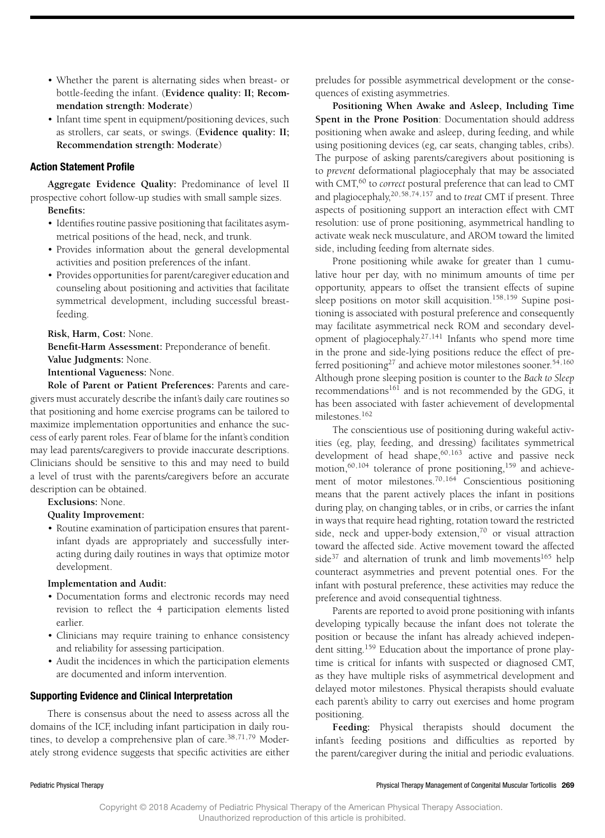- Whether the parent is alternating sides when breast- or bottle-feeding the infant. (**Evidence quality: II; Recommendation strength: Moderate**)
- Infant time spent in equipment/positioning devices, such as strollers, car seats, or swings. (**Evidence quality: II; Recommendation strength: Moderate**)

#### **Action Statement Profile**

**Aggregate Evidence Quality:** Predominance of level II prospective cohort follow-up studies with small sample sizes.

## **Benefits:**

- Identifies routine passive positioning that facilitates asymmetrical positions of the head, neck, and trunk.
- Provides information about the general developmental activities and position preferences of the infant.
- Provides opportunities for parent/caregiver education and counseling about positioning and activities that facilitate symmetrical development, including successful breastfeeding.

#### **Risk, Harm, Cost:** None.

**Benefit-Harm Assessment:** Preponderance of benefit. **Value Judgments:** None.

**Intentional Vagueness:** None.

**Role of Parent or Patient Preferences:** Parents and caregivers must accurately describe the infant's daily care routines so that positioning and home exercise programs can be tailored to maximize implementation opportunities and enhance the success of early parent roles. Fear of blame for the infant's condition may lead parents/caregivers to provide inaccurate descriptions. Clinicians should be sensitive to this and may need to build a level of trust with the parents/caregivers before an accurate description can be obtained.

**Exclusions:** None.

#### **Quality Improvement:**

• Routine examination of participation ensures that parentinfant dyads are appropriately and successfully interacting during daily routines in ways that optimize motor development.

#### **Implementation and Audit:**

- Documentation forms and electronic records may need revision to reflect the 4 participation elements listed earlier.
- Clinicians may require training to enhance consistency and reliability for assessing participation.
- Audit the incidences in which the participation elements are documented and inform intervention.

#### **Supporting Evidence and Clinical Interpretation**

There is consensus about the need to assess across all the domains of the ICF, including infant participation in daily routines, to develop a comprehensive plan of care.<sup>38,71,79</sup> Moderately strong evidence suggests that specific activities are either preludes for possible asymmetrical development or the consequences of existing asymmetries.

**Positioning When Awake and Asleep, Including Time Spent in the Prone Position**: Documentation should address positioning when awake and asleep, during feeding, and while using positioning devices (eg, car seats, changing tables, cribs). The purpose of asking parents/caregivers about positioning is to *prevent* deformational plagiocephaly that may be associated with CMT,<sup>60</sup> to *correct* postural preference that can lead to CMT and plagiocephaly,20,58,74,157 and to *treat* CMT if present. Three aspects of positioning support an interaction effect with CMT resolution: use of prone positioning, asymmetrical handling to activate weak neck musculature, and AROM toward the limited side, including feeding from alternate sides.

Prone positioning while awake for greater than 1 cumulative hour per day, with no minimum amounts of time per opportunity, appears to offset the transient effects of supine sleep positions on motor skill acquisition.<sup>158,159</sup> Supine positioning is associated with postural preference and consequently may facilitate asymmetrical neck ROM and secondary development of plagiocephaly.27,141 Infants who spend more time in the prone and side-lying positions reduce the effect of preferred positioning<sup>27</sup> and achieve motor milestones sooner.<sup>54,160</sup> Although prone sleeping position is counter to the *Back to Sleep* recommendations<sup>161</sup> and is not recommended by the GDG, it has been associated with faster achievement of developmental milestones<sup>162</sup>

The conscientious use of positioning during wakeful activities (eg, play, feeding, and dressing) facilitates symmetrical development of head shape, $60,163$  active and passive neck motion,<sup>60,104</sup> tolerance of prone positioning,<sup>159</sup> and achievement of motor milestones.70,164 Conscientious positioning means that the parent actively places the infant in positions during play, on changing tables, or in cribs, or carries the infant in ways that require head righting, rotation toward the restricted side, neck and upper-body extension, $^{70}$  or visual attraction toward the affected side. Active movement toward the affected side<sup>37</sup> and alternation of trunk and limb movements<sup>165</sup> help counteract asymmetries and prevent potential ones. For the infant with postural preference, these activities may reduce the preference and avoid consequential tightness.

Parents are reported to avoid prone positioning with infants developing typically because the infant does not tolerate the position or because the infant has already achieved independent sitting.159 Education about the importance of prone playtime is critical for infants with suspected or diagnosed CMT, as they have multiple risks of asymmetrical development and delayed motor milestones. Physical therapists should evaluate each parent's ability to carry out exercises and home program positioning.

**Feeding:** Physical therapists should document the infant's feeding positions and difficulties as reported by the parent/caregiver during the initial and periodic evaluations.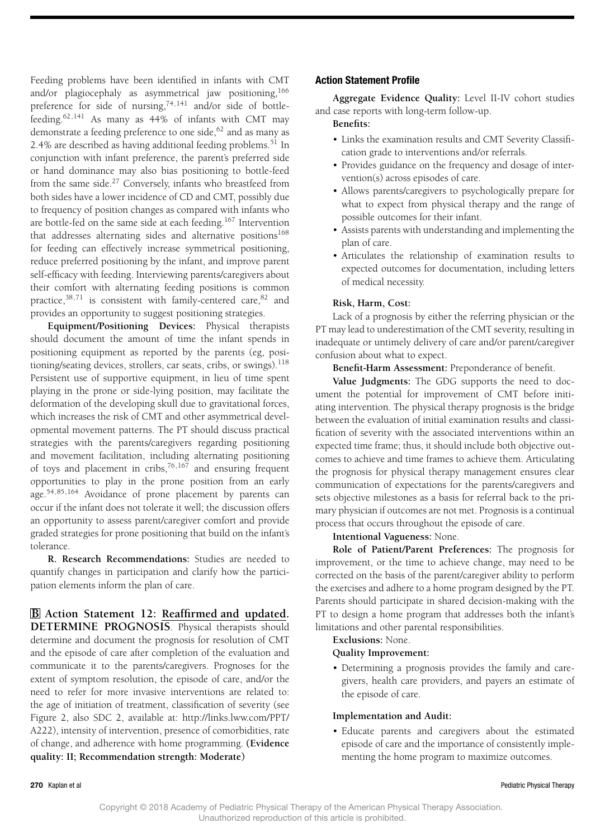Feeding problems have been identified in infants with CMT and/or plagiocephaly as asymmetrical jaw positioning,<sup>166</sup> preference for side of nursing,<sup>74,141</sup> and/or side of bottlefeeding.62,141 As many as 44% of infants with CMT may demonstrate a feeding preference to one side, $62$  and as many as 2.4% are described as having additional feeding problems.<sup>51</sup> In conjunction with infant preference, the parent's preferred side or hand dominance may also bias positioning to bottle-feed from the same side. $27$  Conversely, infants who breastfeed from both sides have a lower incidence of CD and CMT, possibly due to frequency of position changes as compared with infants who are bottle-fed on the same side at each feeding.<sup>167</sup> Intervention that addresses alternating sides and alternative positions<sup>168</sup> for feeding can effectively increase symmetrical positioning, reduce preferred positioning by the infant, and improve parent self-efficacy with feeding. Interviewing parents/caregivers about their comfort with alternating feeding positions is common practice, $38,71$  is consistent with family-centered care,  $82$  and provides an opportunity to suggest positioning strategies.

**Equipment/Positioning Devices:** Physical therapists should document the amount of time the infant spends in positioning equipment as reported by the parents (eg, positioning/seating devices, strollers, car seats, cribs, or swings).<sup>118</sup> Persistent use of supportive equipment, in lieu of time spent playing in the prone or side-lying position, may facilitate the deformation of the developing skull due to gravitational forces, which increases the risk of CMT and other asymmetrical developmental movement patterns. The PT should discuss practical strategies with the parents/caregivers regarding positioning and movement facilitation, including alternating positioning of toys and placement in cribs,  $76,167$  and ensuring frequent opportunities to play in the prone position from an early age.54,85,164 Avoidance of prone placement by parents can occur if the infant does not tolerate it well; the discussion offers an opportunity to assess parent/caregiver comfort and provide graded strategies for prone positioning that build on the infant's tolerance.

**R. Research Recommendations:** Studies are needed to quantify changes in participation and clarify how the participation elements inform the plan of care.

**B Action Statement 12: Reaffirmed and updated. DETERMINE PROGNOSIS**. Physical therapists should determine and document the prognosis for resolution of CMT and the episode of care after completion of the evaluation and communicate it to the parents/caregivers. Prognoses for the extent of symptom resolution, the episode of care, and/or the need to refer for more invasive interventions are related to: the age of initiation of treatment, classification of severity (see Figure 2, also SDC 2, available at: http://links.lww.com/PPT/ [A222\), intensity of intervention, presence of comorbidities, rate](http://links.lww.com/PPT/A222) of change, and adherence with home programming. **(Evidence quality: II; Recommendation strength: Moderate)**

#### **Action Statement Profile**

**Aggregate Evidence Quality:** Level II-IV cohort studies and case reports with long-term follow-up.

#### **Benefits:**

- Links the examination results and CMT Severity Classification grade to interventions and/or referrals.
- Provides guidance on the frequency and dosage of intervention(s) across episodes of care.
- Allows parents/caregivers to psychologically prepare for what to expect from physical therapy and the range of possible outcomes for their infant.
- Assists parents with understanding and implementing the plan of care.
- Articulates the relationship of examination results to expected outcomes for documentation, including letters of medical necessity.

#### **Risk, Harm, Cost:**

Lack of a prognosis by either the referring physician or the PT may lead to underestimation of the CMT severity, resulting in inadequate or untimely delivery of care and/or parent/caregiver confusion about what to expect.

**Benefit-Harm Assessment:** Preponderance of benefit.

**Value Judgments:** The GDG supports the need to document the potential for improvement of CMT before initiating intervention. The physical therapy prognosis is the bridge between the evaluation of initial examination results and classification of severity with the associated interventions within an expected time frame; thus, it should include both objective outcomes to achieve and time frames to achieve them. Articulating the prognosis for physical therapy management ensures clear communication of expectations for the parents/caregivers and sets objective milestones as a basis for referral back to the primary physician if outcomes are not met. Prognosis is a continual process that occurs throughout the episode of care.

#### **Intentional Vagueness:** None.

**Role of Patient/Parent Preferences:** The prognosis for improvement, or the time to achieve change, may need to be corrected on the basis of the parent/caregiver ability to perform the exercises and adhere to a home program designed by the PT. Parents should participate in shared decision-making with the PT to design a home program that addresses both the infant's limitations and other parental responsibilities.

**Exclusions:** None.

#### **Quality Improvement:**

• Determining a prognosis provides the family and caregivers, health care providers, and payers an estimate of the episode of care.

#### **Implementation and Audit:**

• Educate parents and caregivers about the estimated episode of care and the importance of consistently implementing the home program to maximize outcomes.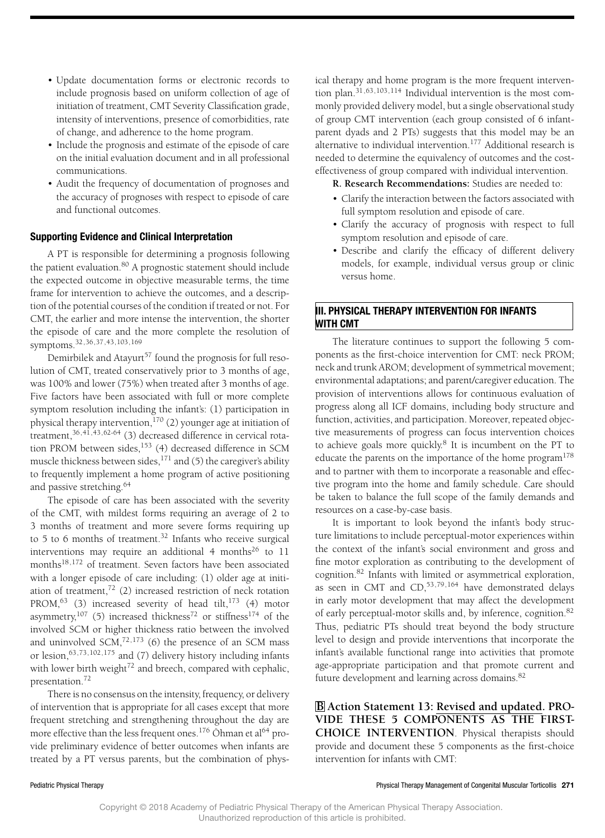- Update documentation forms or electronic records to include prognosis based on uniform collection of age of initiation of treatment, CMT Severity Classification grade, intensity of interventions, presence of comorbidities, rate of change, and adherence to the home program.
- Include the prognosis and estimate of the episode of care on the initial evaluation document and in all professional communications.
- Audit the frequency of documentation of prognoses and the accuracy of prognoses with respect to episode of care and functional outcomes.

#### **Supporting Evidence and Clinical Interpretation**

A PT is responsible for determining a prognosis following the patient evaluation.<sup>80</sup> A prognostic statement should include the expected outcome in objective measurable terms, the time frame for intervention to achieve the outcomes, and a description of the potential courses of the condition if treated or not. For CMT, the earlier and more intense the intervention, the shorter the episode of care and the more complete the resolution of symptoms.32,36,37,43,103,169

Demirbilek and Atayurt $57$  found the prognosis for full resolution of CMT, treated conservatively prior to 3 months of age, was 100% and lower (75%) when treated after 3 months of age. Five factors have been associated with full or more complete symptom resolution including the infant's: (1) participation in physical therapy intervention,  $170$  (2) younger age at initiation of treatment,36,41,43,62-64 (3) decreased difference in cervical rotation PROM between sides,<sup>153</sup> (4) decreased difference in SCM muscle thickness between sides, $^{171}$  and (5) the caregiver's ability to frequently implement a home program of active positioning and passive stretching.64

The episode of care has been associated with the severity of the CMT, with mildest forms requiring an average of 2 to 3 months of treatment and more severe forms requiring up to 5 to 6 months of treatment.<sup>32</sup> Infants who receive surgical interventions may require an additional 4 months<sup>26</sup> to  $11$ months<sup>18,172</sup> of treatment. Seven factors have been associated with a longer episode of care including: (1) older age at initiation of treatment, $72$  (2) increased restriction of neck rotation PROM, $^{63}$  (3) increased severity of head tilt, $^{173}$  (4) motor asymmetry,<sup>107</sup> (5) increased thickness<sup>72</sup> or stiffness<sup>174</sup> of the involved SCM or higher thickness ratio between the involved and uninvolved SCM, $72,173$  (6) the presence of an SCM mass or lesion,63,73,102,175 and (7) delivery history including infants with lower birth weight<sup>72</sup> and breech, compared with cephalic, presentation.72

There is no consensus on the intensity, frequency, or delivery of intervention that is appropriate for all cases except that more frequent stretching and strengthening throughout the day are more effective than the less frequent ones.<sup>176</sup> Öhman et al<sup>64</sup> provide preliminary evidence of better outcomes when infants are treated by a PT versus parents, but the combination of physical therapy and home program is the more frequent intervention plan.31,63,103,114 Individual intervention is the most commonly provided delivery model, but a single observational study of group CMT intervention (each group consisted of 6 infantparent dyads and 2 PTs) suggests that this model may be an alternative to individual intervention.<sup>177</sup> Additional research is needed to determine the equivalency of outcomes and the costeffectiveness of group compared with individual intervention.

**R. Research Recommendations:** Studies are needed to:

- Clarify the interaction between the factors associated with full symptom resolution and episode of care.
- Clarify the accuracy of prognosis with respect to full symptom resolution and episode of care.
- Describe and clarify the efficacy of different delivery models, for example, individual versus group or clinic versus home.

## **III. PHYSICAL THERAPY INTERVENTION FOR INFANTS WITH CMT**

The literature continues to support the following 5 components as the first-choice intervention for CMT: neck PROM; neck and trunk AROM; development of symmetrical movement; environmental adaptations; and parent/caregiver education. The provision of interventions allows for continuous evaluation of progress along all ICF domains, including body structure and function, activities, and participation. Moreover, repeated objective measurements of progress can focus intervention choices to achieve goals more quickly.8 It is incumbent on the PT to educate the parents on the importance of the home program<sup>178</sup> and to partner with them to incorporate a reasonable and effective program into the home and family schedule. Care should be taken to balance the full scope of the family demands and resources on a case-by-case basis.

It is important to look beyond the infant's body structure limitations to include perceptual-motor experiences within the context of the infant's social environment and gross and fine motor exploration as contributing to the development of cognition.82 Infants with limited or asymmetrical exploration, as seen in CMT and CD,<sup>53,79,164</sup> have demonstrated delays in early motor development that may affect the development of early perceptual-motor skills and, by inference, cognition.82 Thus, pediatric PTs should treat beyond the body structure level to design and provide interventions that incorporate the infant's available functional range into activities that promote age-appropriate participation and that promote current and future development and learning across domains.<sup>82</sup>

**B Action Statement 13: Revised and updated. PRO-VIDE THESE 5 COMPONENTS AS THE FIRST-CHOICE INTERVENTION**. Physical therapists should provide and document these 5 components as the first-choice intervention for infants with CMT:

Pediatric Physical Therapy Physical Therapy Management of Congenital Muscular Torticollis **271**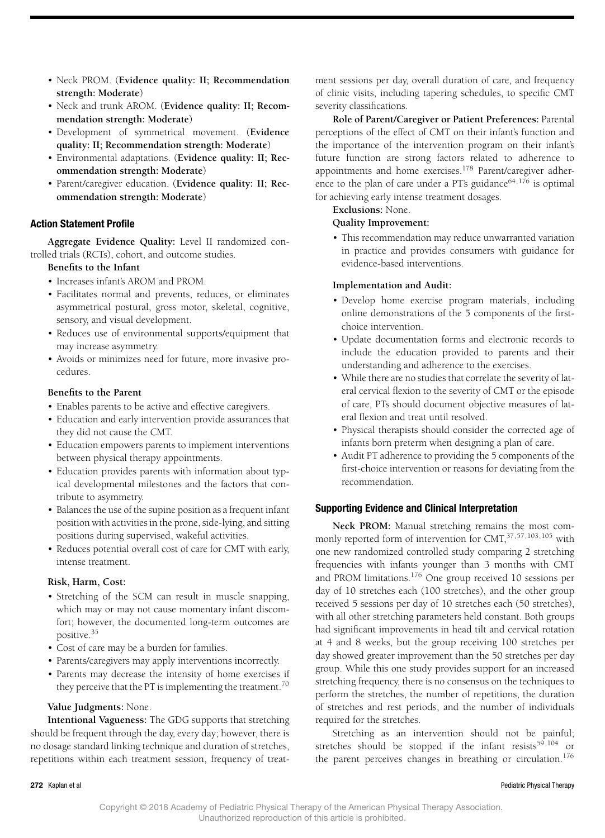- Neck PROM. (**Evidence quality: II; Recommendation strength: Moderate**)
- Neck and trunk AROM. (**Evidence quality: II; Recommendation strength: Moderate**)
- Development of symmetrical movement. (**Evidence quality: II; Recommendation strength: Moderate**)
- Environmental adaptations. (**Evidence quality: II; Recommendation strength: Moderate**)
- Parent/caregiver education. (**Evidence quality: II; Recommendation strength: Moderate**)

## **Action Statement Profile**

**Aggregate Evidence Quality:** Level II randomized controlled trials (RCTs), cohort, and outcome studies.

## **Benefits to the Infant**

- Increases infant's AROM and PROM.
- Facilitates normal and prevents, reduces, or eliminates asymmetrical postural, gross motor, skeletal, cognitive, sensory, and visual development.
- Reduces use of environmental supports/equipment that may increase asymmetry.
- Avoids or minimizes need for future, more invasive procedures.

#### **Benefits to the Parent**

- Enables parents to be active and effective caregivers.
- Education and early intervention provide assurances that they did not cause the CMT.
- Education empowers parents to implement interventions between physical therapy appointments.
- Education provides parents with information about typical developmental milestones and the factors that contribute to asymmetry.
- Balances the use of the supine position as a frequent infant position with activities in the prone, side-lying, and sitting positions during supervised, wakeful activities.
- Reduces potential overall cost of care for CMT with early, intense treatment.

## **Risk, Harm, Cost:**

- Stretching of the SCM can result in muscle snapping, which may or may not cause momentary infant discomfort; however, the documented long-term outcomes are positive.35
- Cost of care may be a burden for families.
- Parents/caregivers may apply interventions incorrectly.
- Parents may decrease the intensity of home exercises if they perceive that the PT is implementing the treatment.<sup>70</sup>

#### **Value Judgments:** None.

**Intentional Vagueness:** The GDG supports that stretching should be frequent through the day, every day; however, there is no dosage standard linking technique and duration of stretches, repetitions within each treatment session, frequency of treatment sessions per day, overall duration of care, and frequency of clinic visits, including tapering schedules, to specific CMT severity classifications.

**Role of Parent/Caregiver or Patient Preferences:** Parental perceptions of the effect of CMT on their infant's function and the importance of the intervention program on their infant's future function are strong factors related to adherence to appointments and home exercises.<sup>178</sup> Parent/caregiver adherence to the plan of care under a PT's guidance $64,176$  is optimal for achieving early intense treatment dosages.

## **Exclusions:** None.

## **Quality Improvement:**

• This recommendation may reduce unwarranted variation in practice and provides consumers with guidance for evidence-based interventions.

#### **Implementation and Audit:**

- Develop home exercise program materials, including online demonstrations of the 5 components of the firstchoice intervention.
- Update documentation forms and electronic records to include the education provided to parents and their understanding and adherence to the exercises.
- While there are no studies that correlate the severity of lateral cervical flexion to the severity of CMT or the episode of care, PTs should document objective measures of lateral flexion and treat until resolved.
- Physical therapists should consider the corrected age of infants born preterm when designing a plan of care.
- Audit PT adherence to providing the 5 components of the first-choice intervention or reasons for deviating from the recommendation.

## **Supporting Evidence and Clinical Interpretation**

**Neck PROM:** Manual stretching remains the most commonly reported form of intervention for CMT,  $37,57,103,105$  with one new randomized controlled study comparing 2 stretching frequencies with infants younger than 3 months with CMT and PROM limitations.<sup>176</sup> One group received 10 sessions per day of 10 stretches each (100 stretches), and the other group received 5 sessions per day of 10 stretches each (50 stretches), with all other stretching parameters held constant. Both groups had significant improvements in head tilt and cervical rotation at 4 and 8 weeks, but the group receiving 100 stretches per day showed greater improvement than the 50 stretches per day group. While this one study provides support for an increased stretching frequency, there is no consensus on the techniques to perform the stretches, the number of repetitions, the duration of stretches and rest periods, and the number of individuals required for the stretches.

Stretching as an intervention should not be painful; stretches should be stopped if the infant resists $59,104$  or the parent perceives changes in breathing or circulation.<sup>176</sup>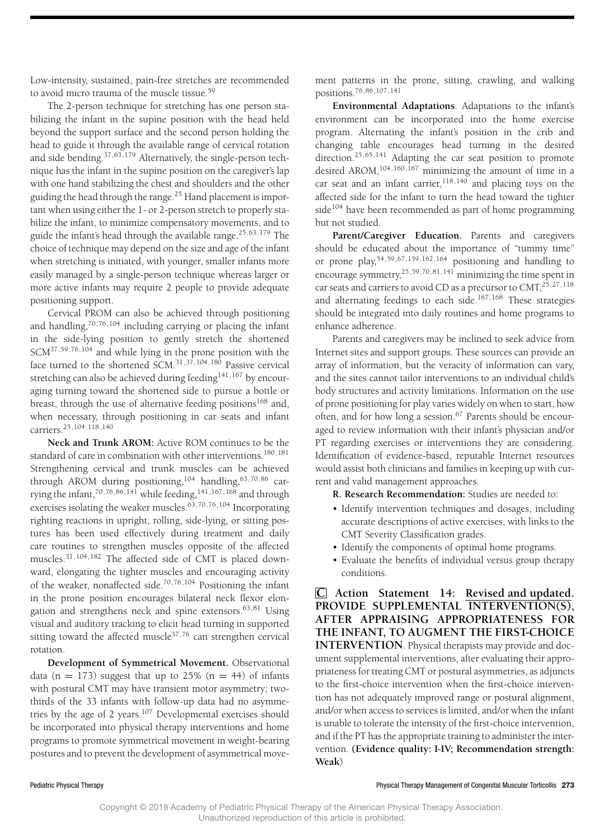Low-intensity, sustained, pain-free stretches are recommended to avoid micro trauma of the muscle tissue.<sup>59</sup>

The 2-person technique for stretching has one person stabilizing the infant in the supine position with the head held beyond the support surface and the second person holding the head to guide it through the available range of cervical rotation and side bending.<sup>37,63,179</sup> Alternatively, the single-person technique has the infant in the supine position on the caregiver's lap with one hand stabilizing the chest and shoulders and the other guiding the head through the range. $^{25}$  Hand placement is important when using either the 1- or 2-person stretch to properly stabilize the infant, to minimize compensatory movements, and to guide the infant's head through the available range.<sup>25,63,179</sup> The choice of technique may depend on the size and age of the infant when stretching is initiated, with younger, smaller infants more easily managed by a single-person technique whereas larger or more active infants may require 2 people to provide adequate positioning support.

Cervical PROM can also be achieved through positioning and handling, $70,76,104$  including carrying or placing the infant in the side-lying position to gently stretch the shortened SCM37,59,76,104 and while lying in the prone position with the face turned to the shortened SCM.31,37,104,180 Passive cervical stretching can also be achieved during feeding<sup>141,167</sup> by encouraging turning toward the shortened side to pursue a bottle or breast, through the use of alternative feeding positions<sup>168</sup> and, when necessary, through positioning in car seats and infant carriers.25,104,118,140

**Neck and Trunk AROM:** Active ROM continues to be the standard of care in combination with other interventions.<sup>180,181</sup> Strengthening cervical and trunk muscles can be achieved through AROM during positioning,<sup>104</sup> handling,<sup>63,70,86</sup> carrying the infant, $^{70,76,86,141}$  while feeding, $^{141,167,168}$  and through exercises isolating the weaker muscles.63,70,76,104 Incorporating righting reactions in upright, rolling, side-lying, or sitting postures has been used effectively during treatment and daily care routines to strengthen muscles opposite of the affected muscles.31,104,182 The affected side of CMT is placed downward, elongating the tighter muscles and encouraging activity of the weaker, nonaffected side.<sup>70,76,104</sup> Positioning the infant in the prone position encourages bilateral neck flexor elongation and strengthens neck and spine extensors.63,81 Using visual and auditory tracking to elicit head turning in supported sitting toward the affected muscle $37,76$  can strengthen cervical rotation.

**Development of Symmetrical Movement.** Observational data (n = 173) suggest that up to 25% (n = 44) of infants with postural CMT may have transient motor asymmetry; twothirds of the 33 infants with follow-up data had no asymmetries by the age of 2 years.<sup>107</sup> Developmental exercises should be incorporated into physical therapy interventions and home programs to promote symmetrical movement in weight-bearing postures and to prevent the development of asymmetrical movement patterns in the prone, sitting, crawling, and walking positions.76,86,107,141

**Environmental Adaptations**. Adaptations to the infant's environment can be incorporated into the home exercise program. Alternating the infant's position in the crib and changing table encourages head turning in the desired direction.25,65,141 Adapting the car seat position to promote desired AROM,<sup>104,160,167</sup> minimizing the amount of time in a car seat and an infant carrier,  $118,140$  and placing toys on the affected side for the infant to turn the head toward the tighter side $104$  have been recommended as part of home programming but not studied.

**Parent/Caregiver Education.** Parents and caregivers should be educated about the importance of "tummy time" or prone play,54,59,67,159,162,164 positioning and handling to encourage symmetry,<sup>25,59,70,81,141</sup> minimizing the time spent in car seats and carriers to avoid CD as a precursor to  $CMT<sub>2</sub><sup>25,27,118</sup>$ and alternating feedings to each side.<sup>167,168</sup> These strategies should be integrated into daily routines and home programs to enhance adherence.

Parents and caregivers may be inclined to seek advice from Internet sites and support groups. These sources can provide an array of information, but the veracity of information can vary, and the sites cannot tailor interventions to an individual child's body structures and activity limitations. Information on the use of prone positioning for play varies widely on when to start, how often, and for how long a session.<sup>67</sup> Parents should be encouraged to review information with their infant's physician and/or PT regarding exercises or interventions they are considering. Identification of evidence-based, reputable Internet resources would assist both clinicians and families in keeping up with current and valid management approaches.

**R. Research Recommendation:** Studies are needed to:

- Identify intervention techniques and dosages, including accurate descriptions of active exercises, with links to the CMT Severity Classification grades.
- Identify the components of optimal home programs.
- Evaluate the benefits of individual versus group therapy conditions.

**C Action Statement 14: Revised and updated. PROVIDE SUPPLEMENTAL INTERVENTION(S), AFTER APPRAISING APPROPRIATENESS FOR THE INFANT, TO AUGMENT THE FIRST-CHOICE INTERVENTION**. Physical therapists may provide and document supplemental interventions, after evaluating their appropriateness for treating CMT or postural asymmetries, as adjuncts to the first-choice intervention when the first-choice intervention has not adequately improved range or postural alignment, and/or when access to services is limited, and/or when the infant is unable to tolerate the intensity of the first-choice intervention, and if the PT has the appropriate training to administer the intervention. **(Evidence quality: I-IV; Recommendation strength: Weak**)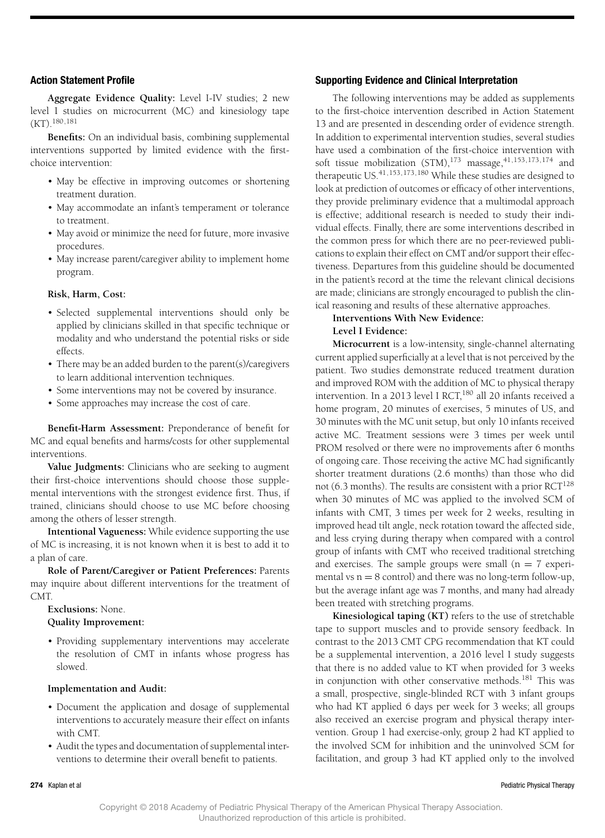#### **Action Statement Profile**

**Aggregate Evidence Quality:** Level I-IV studies; 2 new level I studies on microcurrent (MC) and kinesiology tape (KT).180,181

**Benefits:** On an individual basis, combining supplemental interventions supported by limited evidence with the firstchoice intervention:

- May be effective in improving outcomes or shortening treatment duration.
- May accommodate an infant's temperament or tolerance to treatment.
- May avoid or minimize the need for future, more invasive procedures.
- May increase parent/caregiver ability to implement home program.

#### **Risk, Harm, Cost:**

- Selected supplemental interventions should only be applied by clinicians skilled in that specific technique or modality and who understand the potential risks or side effects.
- There may be an added burden to the parent(s)/caregivers to learn additional intervention techniques.
- Some interventions may not be covered by insurance.
- Some approaches may increase the cost of care.

**Benefit-Harm Assessment:** Preponderance of benefit for MC and equal benefits and harms/costs for other supplemental interventions.

**Value Judgments:** Clinicians who are seeking to augment their first-choice interventions should choose those supplemental interventions with the strongest evidence first. Thus, if trained, clinicians should choose to use MC before choosing among the others of lesser strength.

**Intentional Vagueness:** While evidence supporting the use of MC is increasing, it is not known when it is best to add it to a plan of care.

**Role of Parent/Caregiver or Patient Preferences:** Parents may inquire about different interventions for the treatment of CMT.

**Exclusions:** None. **Quality Improvement:**

• Providing supplementary interventions may accelerate the resolution of CMT in infants whose progress has slowed.

#### **Implementation and Audit:**

- Document the application and dosage of supplemental interventions to accurately measure their effect on infants with CMT.
- Audit the types and documentation of supplemental interventions to determine their overall benefit to patients.

#### **Supporting Evidence and Clinical Interpretation**

The following interventions may be added as supplements to the first-choice intervention described in Action Statement 13 and are presented in descending order of evidence strength. In addition to experimental intervention studies, several studies have used a combination of the first-choice intervention with soft tissue mobilization (STM),<sup>173</sup> massage,<sup>41,153,173,174</sup> and therapeutic US.41,153,173,180 While these studies are designed to look at prediction of outcomes or efficacy of other interventions, they provide preliminary evidence that a multimodal approach is effective; additional research is needed to study their individual effects. Finally, there are some interventions described in the common press for which there are no peer-reviewed publications to explain their effect on CMT and/or support their effectiveness. Departures from this guideline should be documented in the patient's record at the time the relevant clinical decisions are made; clinicians are strongly encouraged to publish the clinical reasoning and results of these alternative approaches.

#### **Interventions With New Evidence: Level I Evidence:**

**Microcurrent** is a low-intensity, single-channel alternating current applied superficially at a level that is not perceived by the patient. Two studies demonstrate reduced treatment duration and improved ROM with the addition of MC to physical therapy intervention. In a 2013 level I RCT,<sup>180</sup> all 20 infants received a home program, 20 minutes of exercises, 5 minutes of US, and 30 minutes with the MC unit setup, but only 10 infants received active MC. Treatment sessions were 3 times per week until PROM resolved or there were no improvements after 6 months of ongoing care. Those receiving the active MC had significantly shorter treatment durations (2.6 months) than those who did not (6.3 months). The results are consistent with a prior  $RCT^{128}$ when 30 minutes of MC was applied to the involved SCM of infants with CMT, 3 times per week for 2 weeks, resulting in improved head tilt angle, neck rotation toward the affected side, and less crying during therapy when compared with a control group of infants with CMT who received traditional stretching and exercises. The sample groups were small  $(n = 7$  experimental vs  $n = 8$  control) and there was no long-term follow-up, but the average infant age was 7 months, and many had already been treated with stretching programs.

**Kinesiological taping (KT)** refers to the use of stretchable tape to support muscles and to provide sensory feedback. In contrast to the 2013 CMT CPG recommendation that KT could be a supplemental intervention, a 2016 level I study suggests that there is no added value to KT when provided for 3 weeks in conjunction with other conservative methods.<sup>181</sup> This was a small, prospective, single-blinded RCT with 3 infant groups who had KT applied 6 days per week for 3 weeks; all groups also received an exercise program and physical therapy intervention. Group 1 had exercise-only, group 2 had KT applied to the involved SCM for inhibition and the uninvolved SCM for facilitation, and group 3 had KT applied only to the involved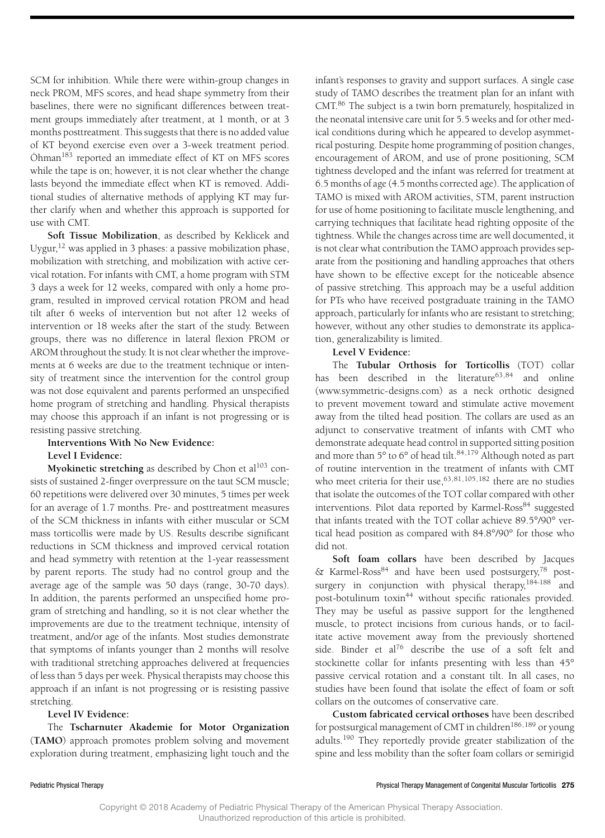SCM for inhibition. While there were within-group changes in neck PROM, MFS scores, and head shape symmetry from their baselines, there were no significant differences between treatment groups immediately after treatment, at 1 month, or at 3 months posttreatment. This suggests that there is no added value of KT beyond exercise even over a 3-week treatment period. Öhman<sup>183</sup> reported an immediate effect of KT on MFS scores while the tape is on; however, it is not clear whether the change lasts beyond the immediate effect when KT is removed. Additional studies of alternative methods of applying KT may further clarify when and whether this approach is supported for use with CMT.

**Soft Tissue Mobilization**, as described by Keklicek and Uygur, $12$  was applied in 3 phases: a passive mobilization phase, mobilization with stretching, and mobilization with active cervical rotation**.** For infants with CMT, a home program with STM 3 days a week for 12 weeks, compared with only a home program, resulted in improved cervical rotation PROM and head tilt after 6 weeks of intervention but not after 12 weeks of intervention or 18 weeks after the start of the study. Between groups, there was no difference in lateral flexion PROM or AROM throughout the study. It is not clear whether the improvements at 6 weeks are due to the treatment technique or intensity of treatment since the intervention for the control group was not dose equivalent and parents performed an unspecified home program of stretching and handling. Physical therapists may choose this approach if an infant is not progressing or is resisting passive stretching.

#### **Interventions With No New Evidence:**

**Level I Evidence:**

**Myokinetic stretching** as described by Chon et al<sup>103</sup> consists of sustained 2-finger overpressure on the taut SCM muscle; 60 repetitions were delivered over 30 minutes, 5 times per week for an average of 1.7 months. Pre- and posttreatment measures of the SCM thickness in infants with either muscular or SCM mass torticollis were made by US. Results describe significant reductions in SCM thickness and improved cervical rotation and head symmetry with retention at the 1-year reassessment by parent reports. The study had no control group and the average age of the sample was 50 days (range, 30-70 days). In addition, the parents performed an unspecified home program of stretching and handling, so it is not clear whether the improvements are due to the treatment technique, intensity of treatment, and/or age of the infants. Most studies demonstrate that symptoms of infants younger than 2 months will resolve with traditional stretching approaches delivered at frequencies of less than 5 days per week. Physical therapists may choose this approach if an infant is not progressing or is resisting passive stretching.

#### **Level IV Evidence:**

The **Tscharnuter Akademie for Motor Organization** (**TAMO**) approach promotes problem solving and movement exploration during treatment, emphasizing light touch and the

infant's responses to gravity and support surfaces. A single case study of TAMO describes the treatment plan for an infant with CMT.86 The subject is a twin born prematurely, hospitalized in the neonatal intensive care unit for 5.5 weeks and for other medical conditions during which he appeared to develop asymmetrical posturing. Despite home programming of position changes, encouragement of AROM, and use of prone positioning, SCM tightness developed and the infant was referred for treatment at 6.5 months of age (4.5 months corrected age). The application of TAMO is mixed with AROM activities, STM, parent instruction for use of home positioning to facilitate muscle lengthening, and carrying techniques that facilitate head righting opposite of the tightness. While the changes across time are well documented, it is not clear what contribution the TAMO approach provides separate from the positioning and handling approaches that others have shown to be effective except for the noticeable absence of passive stretching. This approach may be a useful addition for PTs who have received postgraduate training in the TAMO approach, particularly for infants who are resistant to stretching; however, without any other studies to demonstrate its application, generalizability is limited.

#### **Level V Evidence:**

The **Tubular Orthosis for Torticollis** (TOT) collar has been described in the literature<sup>63,84</sup> and online [\(](www.symmetric-designs.com)[www.symmetric-designs.com](http://www.symmetric-designs.com)[\)](www.symmetric-designs.com) as a neck orthotic designed to prevent movement toward and stimulate active movement away from the tilted head position. The collars are used as an adjunct to conservative treatment of infants with CMT who demonstrate adequate head control in supported sitting position and more than  $5^{\circ}$  to  $6^{\circ}$  of head tilt.<sup>84,179</sup> Although noted as part of routine intervention in the treatment of infants with CMT who meet criteria for their use,<sup>63,81,105,182</sup> there are no studies that isolate the outcomes of the TOT collar compared with other interventions. Pilot data reported by Karmel-Ross<sup>84</sup> suggested that infants treated with the TOT collar achieve 89.5°/90° vertical head position as compared with 84.8°/90° for those who did not.

**Soft foam collars** have been described by Jacques  $&$  Karmel-Ross<sup>84</sup> and have been used postsurgery,<sup>78</sup> postsurgery in conjunction with physical therapy,<sup>184-188</sup> and post-botulinum toxin<sup>44</sup> without specific rationales provided. They may be useful as passive support for the lengthened muscle, to protect incisions from curious hands, or to facilitate active movement away from the previously shortened side. Binder et al<sup>76</sup> describe the use of a soft felt and stockinette collar for infants presenting with less than 45° passive cervical rotation and a constant tilt. In all cases, no studies have been found that isolate the effect of foam or soft collars on the outcomes of conservative care.

**Custom fabricated cervical orthoses** have been described for postsurgical management of CMT in children<sup>186,189</sup> or young adults.190 They reportedly provide greater stabilization of the spine and less mobility than the softer foam collars or semirigid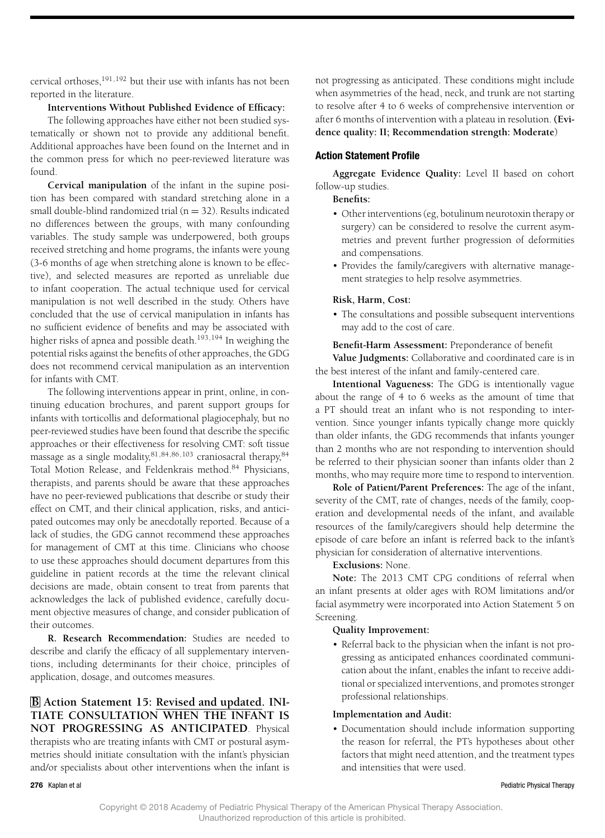cervical orthoses,191,192 but their use with infants has not been reported in the literature.

**Interventions Without Published Evidence of Efficacy:**

The following approaches have either not been studied systematically or shown not to provide any additional benefit. Additional approaches have been found on the Internet and in the common press for which no peer-reviewed literature was found.

**Cervical manipulation** of the infant in the supine position has been compared with standard stretching alone in a small double-blind randomized trial ( $n = 32$ ). Results indicated no differences between the groups, with many confounding variables. The study sample was underpowered, both groups received stretching and home programs, the infants were young (3-6 months of age when stretching alone is known to be effective), and selected measures are reported as unreliable due to infant cooperation. The actual technique used for cervical manipulation is not well described in the study. Others have concluded that the use of cervical manipulation in infants has no sufficient evidence of benefits and may be associated with higher risks of apnea and possible death.<sup>193,194</sup> In weighing the potential risks against the benefits of other approaches, the GDG does not recommend cervical manipulation as an intervention for infants with CMT.

The following interventions appear in print, online, in continuing education brochures, and parent support groups for infants with torticollis and deformational plagiocephaly, but no peer-reviewed studies have been found that describe the specific approaches or their effectiveness for resolving CMT: soft tissue massage as a single modality,  $81,84,86,103$  craniosacral therapy,  $84$ Total Motion Release, and Feldenkrais method.<sup>84</sup> Physicians, therapists, and parents should be aware that these approaches have no peer-reviewed publications that describe or study their effect on CMT, and their clinical application, risks, and anticipated outcomes may only be anecdotally reported. Because of a lack of studies, the GDG cannot recommend these approaches for management of CMT at this time. Clinicians who choose to use these approaches should document departures from this guideline in patient records at the time the relevant clinical decisions are made, obtain consent to treat from parents that acknowledges the lack of published evidence, carefully document objective measures of change, and consider publication of their outcomes.

**R. Research Recommendation:** Studies are needed to describe and clarify the efficacy of all supplementary interventions, including determinants for their choice, principles of application, dosage, and outcomes measures.

**B Action Statement 15: Revised and updated. INI-TIATE CONSULTATION WHEN THE INFANT IS NOT PROGRESSING AS ANTICIPATED**. Physical therapists who are treating infants with CMT or postural asymmetries should initiate consultation with the infant's physician and/or specialists about other interventions when the infant is

not progressing as anticipated. These conditions might include when asymmetries of the head, neck, and trunk are not starting to resolve after 4 to 6 weeks of comprehensive intervention or after 6 months of intervention with a plateau in resolution. **(Evidence quality: II; Recommendation strength: Moderate**)

## **Action Statement Profile**

**Aggregate Evidence Quality:** Level II based on cohort follow-up studies.

**Benefits:**

- Other interventions (eg, botulinum neurotoxin therapy or surgery) can be considered to resolve the current asymmetries and prevent further progression of deformities and compensations.
- Provides the family/caregivers with alternative management strategies to help resolve asymmetries.

## **Risk, Harm, Cost:**

• The consultations and possible subsequent interventions may add to the cost of care.

## **Benefit-Harm Assessment:** Preponderance of benefit

**Value Judgments:** Collaborative and coordinated care is in the best interest of the infant and family-centered care.

**Intentional Vagueness:** The GDG is intentionally vague about the range of 4 to 6 weeks as the amount of time that a PT should treat an infant who is not responding to intervention. Since younger infants typically change more quickly than older infants, the GDG recommends that infants younger than 2 months who are not responding to intervention should be referred to their physician sooner than infants older than 2 months, who may require more time to respond to intervention.

**Role of Patient/Parent Preferences:** The age of the infant, severity of the CMT, rate of changes, needs of the family, cooperation and developmental needs of the infant, and available resources of the family/caregivers should help determine the episode of care before an infant is referred back to the infant's physician for consideration of alternative interventions.

## **Exclusions:** None.

**Note:** The 2013 CMT CPG conditions of referral when an infant presents at older ages with ROM limitations and/or facial asymmetry were incorporated into Action Statement 5 on Screening.

## **Quality Improvement:**

• Referral back to the physician when the infant is not progressing as anticipated enhances coordinated communication about the infant, enables the infant to receive additional or specialized interventions, and promotes stronger professional relationships.

## **Implementation and Audit:**

• Documentation should include information supporting the reason for referral, the PT's hypotheses about other factors that might need attention, and the treatment types and intensities that were used.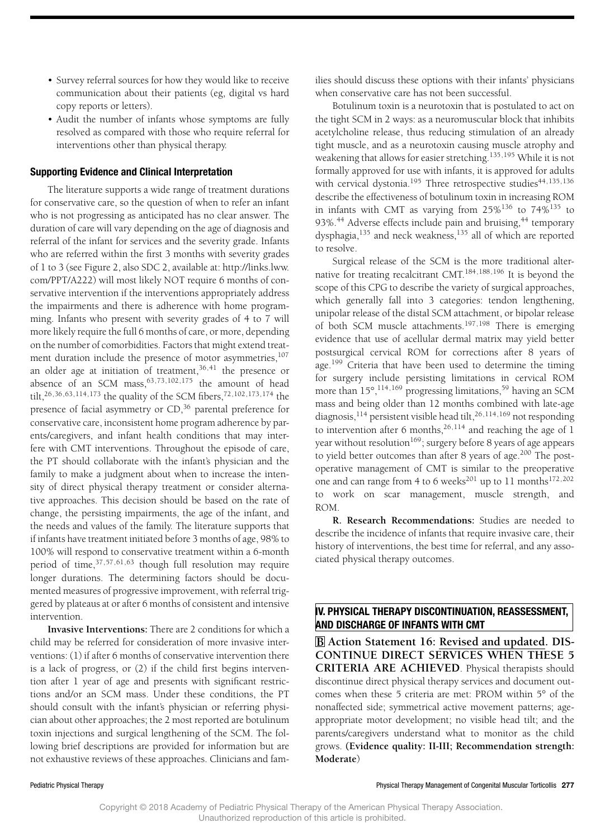- Survey referral sources for how they would like to receive communication about their patients (eg, digital vs hard copy reports or letters).
- Audit the number of infants whose symptoms are fully resolved as compared with those who require referral for interventions other than physical therapy.

#### **Supporting Evidence and Clinical Interpretation**

The literature supports a wide range of treatment durations for conservative care, so the question of when to refer an infant who is not progressing as anticipated has no clear answer. The duration of care will vary depending on the age of diagnosis and referral of the infant for services and the severity grade. Infants who are referred within the first 3 months with severity grades of 1 to 3 (see Figure 2, also SDC 2, available at: http://links.lww. [com/PPT/A222\) will most likely NOT require 6 months of con](http://links.lww.com/PPT/A222)servative intervention if the interventions appropriately address the impairments and there is adherence with home programming. Infants who present with severity grades of 4 to 7 will more likely require the full 6 months of care, or more, depending on the number of comorbidities. Factors that might extend treatment duration include the presence of motor asymmetries,<sup>107</sup> an older age at initiation of treatment,  $36,41$  the presence or absence of an SCM mass,  $63,73,102,175$  the amount of head tilt,<sup>26,36,63,114,173</sup> the quality of the SCM fibers,<sup>72,102,173,174</sup> the presence of facial asymmetry or CD,<sup>36</sup> parental preference for conservative care, inconsistent home program adherence by parents/caregivers, and infant health conditions that may interfere with CMT interventions. Throughout the episode of care, the PT should collaborate with the infant's physician and the family to make a judgment about when to increase the intensity of direct physical therapy treatment or consider alternative approaches. This decision should be based on the rate of change, the persisting impairments, the age of the infant, and the needs and values of the family. The literature supports that if infants have treatment initiated before 3 months of age, 98% to 100% will respond to conservative treatment within a 6-month period of time,  $37,57,61,63$  though full resolution may require longer durations. The determining factors should be documented measures of progressive improvement, with referral triggered by plateaus at or after 6 months of consistent and intensive intervention.

**Invasive Interventions:** There are 2 conditions for which a child may be referred for consideration of more invasive interventions: (1) if after 6 months of conservative intervention there is a lack of progress, or (2) if the child first begins intervention after 1 year of age and presents with significant restrictions and/or an SCM mass. Under these conditions, the PT should consult with the infant's physician or referring physician about other approaches; the 2 most reported are botulinum toxin injections and surgical lengthening of the SCM. The following brief descriptions are provided for information but are not exhaustive reviews of these approaches. Clinicians and families should discuss these options with their infants' physicians when conservative care has not been successful.

Botulinum toxin is a neurotoxin that is postulated to act on the tight SCM in 2 ways: as a neuromuscular block that inhibits acetylcholine release, thus reducing stimulation of an already tight muscle, and as a neurotoxin causing muscle atrophy and weakening that allows for easier stretching.<sup>135,195</sup> While it is not formally approved for use with infants, it is approved for adults with cervical dystonia.<sup>195</sup> Three retrospective studies<sup>44,135,136</sup> describe the effectiveness of botulinum toxin in increasing ROM in infants with CMT as varying from  $25\%$ <sup>136</sup> to  $74\%$ <sup>135</sup> to 93%.<sup>44</sup> Adverse effects include pain and bruising,<sup>44</sup> temporary dysphagia,135 and neck weakness,135 all of which are reported to resolve.

Surgical release of the SCM is the more traditional alternative for treating recalcitrant CMT.<sup>184,188,196</sup> It is beyond the scope of this CPG to describe the variety of surgical approaches, which generally fall into 3 categories: tendon lengthening, unipolar release of the distal SCM attachment, or bipolar release of both SCM muscle attachments.197,198 There is emerging evidence that use of acellular dermal matrix may yield better postsurgical cervical ROM for corrections after 8 years of age.<sup>199</sup> Criteria that have been used to determine the timing for surgery include persisting limitations in cervical ROM more than 15°, 114, 169 progressing limitations, <sup>59</sup> having an SCM mass and being older than 12 months combined with late-age diagnosis,<sup>114</sup> persistent visible head tilt,<sup>26,114,169</sup> not responding to intervention after 6 months,  $26,114$  and reaching the age of 1 year without resolution<sup>169</sup>; surgery before 8 years of age appears to yield better outcomes than after 8 years of age.<sup>200</sup> The postoperative management of CMT is similar to the preoperative one and can range from 4 to 6 weeks<sup>201</sup> up to 11 months<sup>172,202</sup> to work on scar management, muscle strength, and ROM.

**R. Research Recommendations:** Studies are needed to describe the incidence of infants that require invasive care, their history of interventions, the best time for referral, and any associated physical therapy outcomes.

## **IV. PHYSICAL THERAPY DISCONTINUATION, REASSESSMENT, AND DISCHARGE OF INFANTS WITH CMT**

**B Action Statement 16: Revised and updated. DIS-CONTINUE DIRECT SERVICES WHEN THESE 5 CRITERIA ARE ACHIEVED**. Physical therapists should discontinue direct physical therapy services and document outcomes when these 5 criteria are met: PROM within 5° of the nonaffected side; symmetrical active movement patterns; ageappropriate motor development; no visible head tilt; and the parents/caregivers understand what to monitor as the child grows. **(Evidence quality: II-III; Recommendation strength: Moderate**)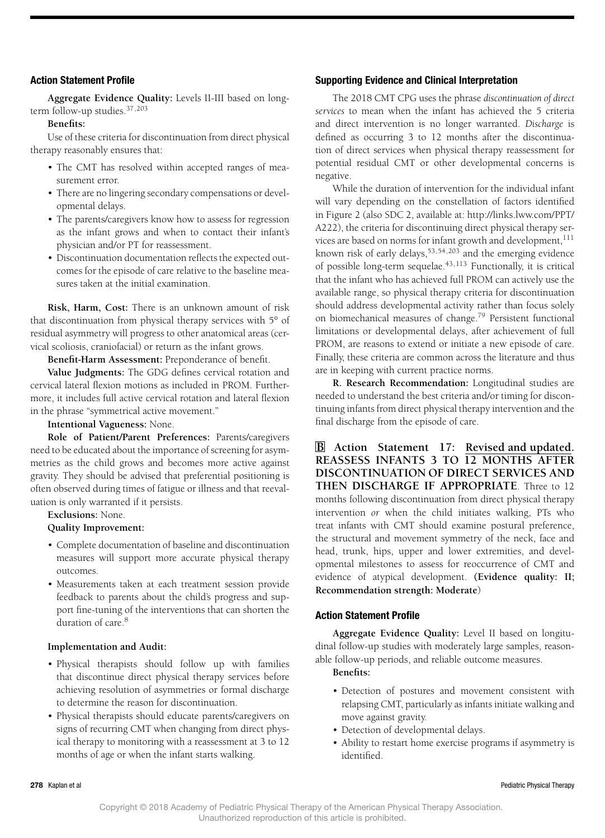#### **Action Statement Profile**

**Aggregate Evidence Quality:** Levels II-III based on longterm follow-up studies.37,203

#### **Benefits:**

Use of these criteria for discontinuation from direct physical therapy reasonably ensures that:

- The CMT has resolved within accepted ranges of measurement error.
- There are no lingering secondary compensations or developmental delays.
- The parents/caregivers know how to assess for regression as the infant grows and when to contact their infant's physician and/or PT for reassessment.
- Discontinuation documentation reflects the expected outcomes for the episode of care relative to the baseline measures taken at the initial examination.

**Risk, Harm, Cost:** There is an unknown amount of risk that discontinuation from physical therapy services with 5° of residual asymmetry will progress to other anatomical areas (cervical scoliosis, craniofacial) or return as the infant grows.

**Benefit-Harm Assessment:** Preponderance of benefit.

**Value Judgments:** The GDG defines cervical rotation and cervical lateral flexion motions as included in PROM. Furthermore, it includes full active cervical rotation and lateral flexion in the phrase "symmetrical active movement."

**Intentional Vagueness:** None.

**Role of Patient/Parent Preferences:** Parents/caregivers need to be educated about the importance of screening for asymmetries as the child grows and becomes more active against gravity. They should be advised that preferential positioning is often observed during times of fatigue or illness and that reevaluation is only warranted if it persists.

**Exclusions:** None.

#### **Quality Improvement:**

- Complete documentation of baseline and discontinuation measures will support more accurate physical therapy outcomes.
- Measurements taken at each treatment session provide feedback to parents about the child's progress and support fine-tuning of the interventions that can shorten the duration of care.<sup>8</sup>

#### **Implementation and Audit:**

- Physical therapists should follow up with families that discontinue direct physical therapy services before achieving resolution of asymmetries or formal discharge to determine the reason for discontinuation.
- Physical therapists should educate parents/caregivers on signs of recurring CMT when changing from direct physical therapy to monitoring with a reassessment at 3 to 12 months of age or when the infant starts walking.

### **Supporting Evidence and Clinical Interpretation**

The 2018 CMT CPG uses the phrase *discontinuation of direct services* to mean when the infant has achieved the 5 criteria and direct intervention is no longer warranted. *Discharge* is defined as occurring 3 to 12 months after the discontinuation of direct services when physical therapy reassessment for potential residual CMT or other developmental concerns is negative.

While the duration of intervention for the individual infant will vary depending on the constellation of factors identified in Figure 2 (also SDC 2, available at: http://links.lww.com/PPT/ [A222\), the criteria for discontinuing direct physical therapy ser](http://links.lww.com/PPT/A222)vices are based on norms for infant growth and development, <sup>111</sup> known risk of early delays,  $53,54,203$  and the emerging evidence of possible long-term sequelae.<sup>43,113</sup> Functionally, it is critical that the infant who has achieved full PROM can actively use the available range, so physical therapy criteria for discontinuation should address developmental activity rather than focus solely on biomechanical measures of change.79 Persistent functional limitations or developmental delays, after achievement of full PROM, are reasons to extend or initiate a new episode of care. Finally, these criteria are common across the literature and thus are in keeping with current practice norms.

**R. Research Recommendation:** Longitudinal studies are needed to understand the best criteria and/or timing for discontinuing infants from direct physical therapy intervention and the final discharge from the episode of care.

**B Action Statement 17: Revised and updated. REASSESS INFANTS 3 TO 12 MONTHS AFTER DISCONTINUATION OF DIRECT SERVICES AND THEN DISCHARGE IF APPROPRIATE**. Three to 12 months following discontinuation from direct physical therapy intervention *or* when the child initiates walking, PTs who treat infants with CMT should examine postural preference, the structural and movement symmetry of the neck, face and head, trunk, hips, upper and lower extremities, and developmental milestones to assess for reoccurrence of CMT and evidence of atypical development. **(Evidence quality: II; Recommendation strength: Moderate**)

## **Action Statement Profile**

**Aggregate Evidence Quality:** Level II based on longitudinal follow-up studies with moderately large samples, reasonable follow-up periods, and reliable outcome measures.

**Benefits:**

- Detection of postures and movement consistent with relapsing CMT, particularly as infants initiate walking and move against gravity.
- Detection of developmental delays.
- Ability to restart home exercise programs if asymmetry is identified.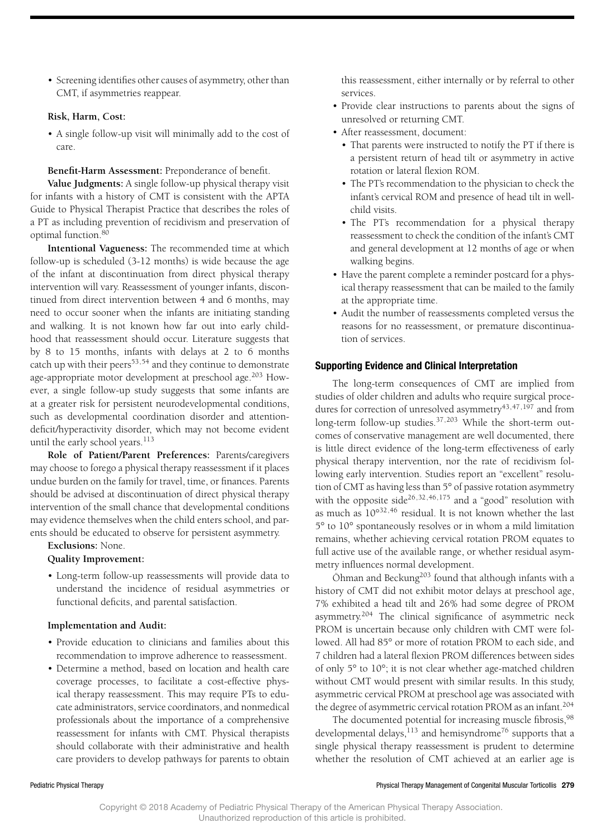• Screening identifies other causes of asymmetry, other than CMT, if asymmetries reappear.

#### **Risk, Harm, Cost:**

• A single follow-up visit will minimally add to the cost of care.

#### **Benefit-Harm Assessment:** Preponderance of benefit.

**Value Judgments:** A single follow-up physical therapy visit for infants with a history of CMT is consistent with the APTA Guide to Physical Therapist Practice that describes the roles of a PT as including prevention of recidivism and preservation of optimal function.80

**Intentional Vagueness:** The recommended time at which follow-up is scheduled (3-12 months) is wide because the age of the infant at discontinuation from direct physical therapy intervention will vary. Reassessment of younger infants, discontinued from direct intervention between 4 and 6 months, may need to occur sooner when the infants are initiating standing and walking. It is not known how far out into early childhood that reassessment should occur. Literature suggests that by 8 to 15 months, infants with delays at 2 to 6 months catch up with their peers $53,54$  and they continue to demonstrate age-appropriate motor development at preschool age.<sup>203</sup> However, a single follow-up study suggests that some infants are at a greater risk for persistent neurodevelopmental conditions, such as developmental coordination disorder and attentiondeficit/hyperactivity disorder, which may not become evident until the early school years.<sup>113</sup>

**Role of Patient/Parent Preferences:** Parents/caregivers may choose to forego a physical therapy reassessment if it places undue burden on the family for travel, time, or finances. Parents should be advised at discontinuation of direct physical therapy intervention of the small chance that developmental conditions may evidence themselves when the child enters school, and parents should be educated to observe for persistent asymmetry.

#### **Exclusions:** None.

#### **Quality Improvement:**

• Long-term follow-up reassessments will provide data to understand the incidence of residual asymmetries or functional deficits, and parental satisfaction.

#### **Implementation and Audit:**

- Provide education to clinicians and families about this recommendation to improve adherence to reassessment.
- Determine a method, based on location and health care coverage processes, to facilitate a cost-effective physical therapy reassessment. This may require PTs to educate administrators, service coordinators, and nonmedical professionals about the importance of a comprehensive reassessment for infants with CMT. Physical therapists should collaborate with their administrative and health care providers to develop pathways for parents to obtain

this reassessment, either internally or by referral to other services.

- Provide clear instructions to parents about the signs of unresolved or returning CMT.
- After reassessment, document:
	- That parents were instructed to notify the PT if there is a persistent return of head tilt or asymmetry in active rotation or lateral flexion ROM.
	- The PT's recommendation to the physician to check the infant's cervical ROM and presence of head tilt in wellchild visits.
	- The PT's recommendation for a physical therapy reassessment to check the condition of the infant's CMT and general development at 12 months of age or when walking begins.
- Have the parent complete a reminder postcard for a physical therapy reassessment that can be mailed to the family at the appropriate time.
- Audit the number of reassessments completed versus the reasons for no reassessment, or premature discontinuation of services.

#### **Supporting Evidence and Clinical Interpretation**

The long-term consequences of CMT are implied from studies of older children and adults who require surgical procedures for correction of unresolved asymmetry<sup>43,47,197</sup> and from long-term follow-up studies.<sup>37,203</sup> While the short-term outcomes of conservative management are well documented, there is little direct evidence of the long-term effectiveness of early physical therapy intervention, nor the rate of recidivism following early intervention. Studies report an "excellent" resolution of CMT as having less than 5° of passive rotation asymmetry with the opposite side<sup>26,32,46,175</sup> and a "good" resolution with as much as  $10^{\circ32,46}$  residual. It is not known whether the last 5° to 10° spontaneously resolves or in whom a mild limitation remains, whether achieving cervical rotation PROM equates to full active use of the available range, or whether residual asymmetry influences normal development.

Öhman and Beckung203 found that although infants with a history of CMT did not exhibit motor delays at preschool age, 7% exhibited a head tilt and 26% had some degree of PROM asymmetry.<sup>204</sup> The clinical significance of asymmetric neck PROM is uncertain because only children with CMT were followed. All had 85° or more of rotation PROM to each side, and 7 children had a lateral flexion PROM differences between sides of only 5° to 10°; it is not clear whether age-matched children without CMT would present with similar results. In this study, asymmetric cervical PROM at preschool age was associated with the degree of asymmetric cervical rotation PROM as an infant.<sup>204</sup>

The documented potential for increasing muscle fibrosis, 98 developmental delays, $^{113}$  and hemisyndrome<sup>76</sup> supports that a single physical therapy reassessment is prudent to determine whether the resolution of CMT achieved at an earlier age is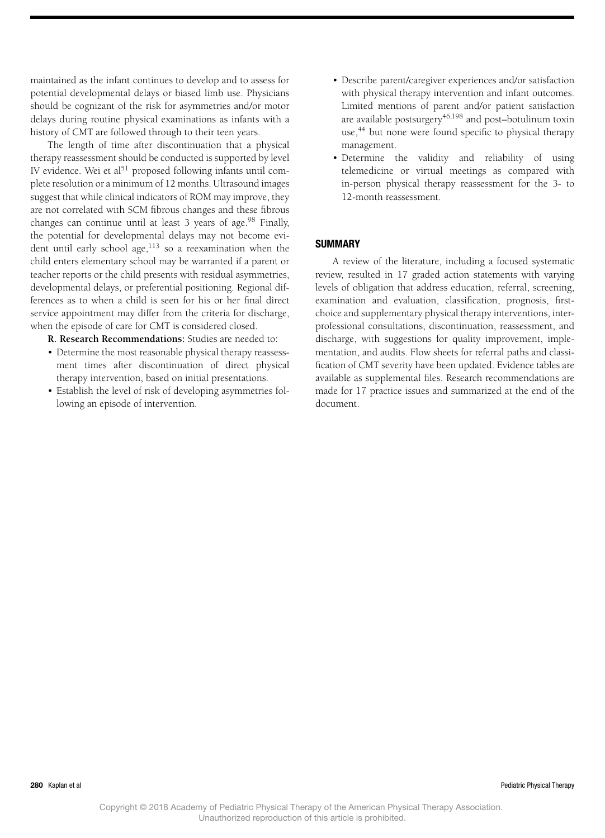maintained as the infant continues to develop and to assess for potential developmental delays or biased limb use. Physicians should be cognizant of the risk for asymmetries and/or motor delays during routine physical examinations as infants with a history of CMT are followed through to their teen years.

The length of time after discontinuation that a physical therapy reassessment should be conducted is supported by level IV evidence. Wei et al<sup>51</sup> proposed following infants until complete resolution or a minimum of 12 months. Ultrasound images suggest that while clinical indicators of ROM may improve, they are not correlated with SCM fibrous changes and these fibrous changes can continue until at least 3 years of age.<sup>98</sup> Finally, the potential for developmental delays may not become evident until early school age, $113$  so a reexamination when the child enters elementary school may be warranted if a parent or teacher reports or the child presents with residual asymmetries, developmental delays, or preferential positioning. Regional differences as to when a child is seen for his or her final direct service appointment may differ from the criteria for discharge, when the episode of care for CMT is considered closed.

**R. Research Recommendations:** Studies are needed to:

- Determine the most reasonable physical therapy reassessment times after discontinuation of direct physical therapy intervention, based on initial presentations.
- Establish the level of risk of developing asymmetries following an episode of intervention.
- Describe parent/caregiver experiences and/or satisfaction with physical therapy intervention and infant outcomes. Limited mentions of parent and/or patient satisfaction are available postsurgery<sup>46,198</sup> and post-botulinum toxin use, $44$  but none were found specific to physical therapy management.
- Determine the validity and reliability of using telemedicine or virtual meetings as compared with in-person physical therapy reassessment for the 3- to 12-month reassessment.

#### **SUMMARY**

A review of the literature, including a focused systematic review, resulted in 17 graded action statements with varying levels of obligation that address education, referral, screening, examination and evaluation, classification, prognosis, firstchoice and supplementary physical therapy interventions, interprofessional consultations, discontinuation, reassessment, and discharge, with suggestions for quality improvement, implementation, and audits. Flow sheets for referral paths and classification of CMT severity have been updated. Evidence tables are available as supplemental files. Research recommendations are made for 17 practice issues and summarized at the end of the document.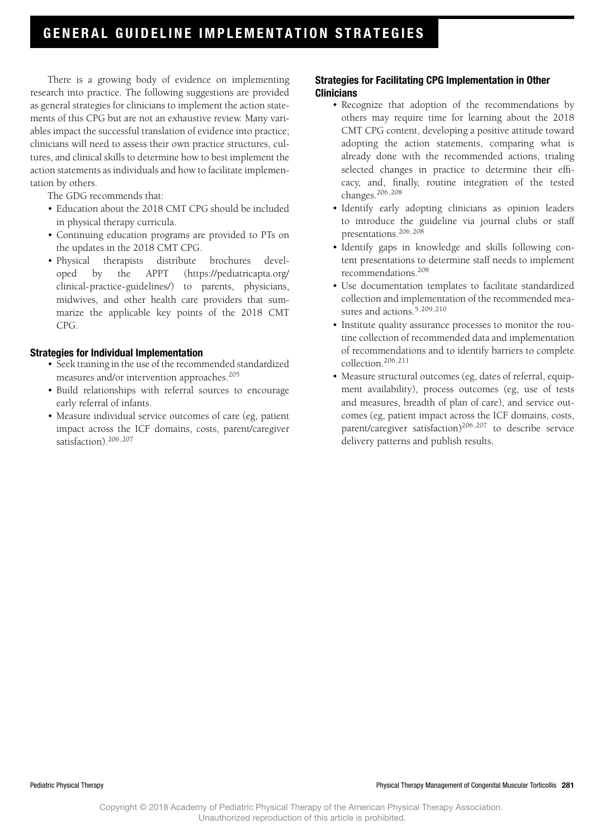There is a growing body of evidence on implementing research into practice. The following suggestions are provided as general strategies for clinicians to implement the action statements of this CPG but are not an exhaustive review. Many variables impact the successful translation of evidence into practice; clinicians will need to assess their own practice structures, cultures, and clinical skills to determine how to best implement the action statements as individuals and how to facilitate implementation by others.

The GDG recommends that:

- Education about the 2018 CMT CPG should be included in physical therapy curricula.
- Continuing education programs are provided to PTs on the updates in the 2018 CMT CPG.
- Physical therapists distribute brochures devel[oped by the APPT \(https://pediatricapta.org/](https://pediatricapta.org/clinical-practice-guidelines/) clinical-practice-guidelines/) to parents, physicians, midwives, and other health care providers that summarize the applicable key points of the 2018 CMT CPG.

## **Strategies for Individual Implementation**

- Seek training in the use of the recommended standardized measures and/or intervention approaches.<sup>205</sup>
- Build relationships with referral sources to encourage early referral of infants.
- Measure individual service outcomes of care (eg, patient impact across the ICF domains, costs, parent/caregiver satisfaction).206,207

### **Strategies for Facilitating CPG Implementation in Other Clinicians**

- Recognize that adoption of the recommendations by others may require time for learning about the 2018 CMT CPG content, developing a positive attitude toward adopting the action statements, comparing what is already done with the recommended actions, trialing selected changes in practice to determine their efficacy, and, finally, routine integration of the tested changes.206,208
- Identify early adopting clinicians as opinion leaders to introduce the guideline via journal clubs or staff presentations.206,208
- Identify gaps in knowledge and skills following content presentations to determine staff needs to implement recommendations.208
- Use documentation templates to facilitate standardized collection and implementation of the recommended measures and actions.<sup>5,209,210</sup>
- Institute quality assurance processes to monitor the routine collection of recommended data and implementation of recommendations and to identify barriers to complete collection.206,211
- Measure structural outcomes (eg, dates of referral, equipment availability), process outcomes (eg, use of tests and measures, breadth of plan of care), and service outcomes (eg, patient impact across the ICF domains, costs, parent/caregiver satisfaction)<sup>206,207</sup> to describe service delivery patterns and publish results.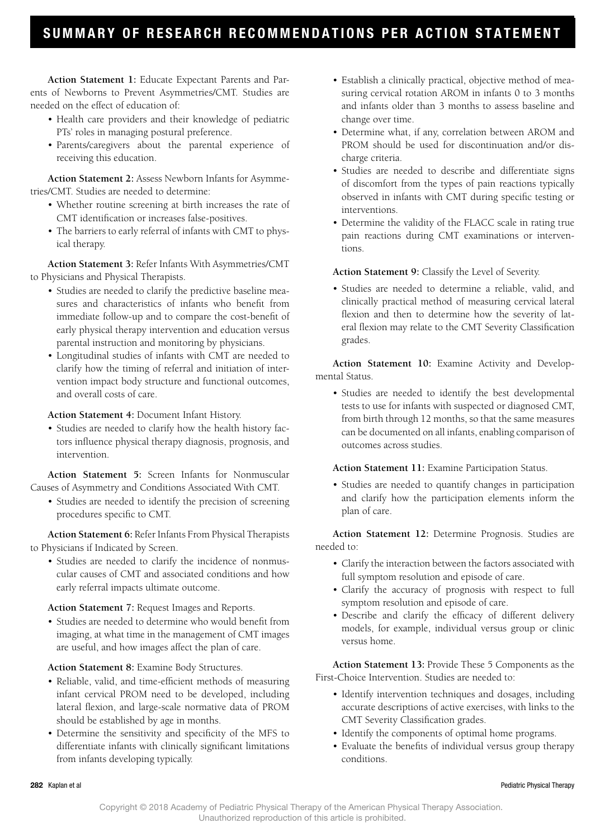**Action Statement 1:** Educate Expectant Parents and Parents of Newborns to Prevent Asymmetries/CMT. Studies are needed on the effect of education of:

- Health care providers and their knowledge of pediatric PTs' roles in managing postural preference.
- Parents/caregivers about the parental experience of receiving this education.

**Action Statement 2:** Assess Newborn Infants for Asymmetries/CMT. Studies are needed to determine:

- Whether routine screening at birth increases the rate of CMT identification or increases false-positives.
- The barriers to early referral of infants with CMT to physical therapy.

**Action Statement 3:** Refer Infants With Asymmetries/CMT to Physicians and Physical Therapists.

- Studies are needed to clarify the predictive baseline measures and characteristics of infants who benefit from immediate follow-up and to compare the cost-benefit of early physical therapy intervention and education versus parental instruction and monitoring by physicians.
- Longitudinal studies of infants with CMT are needed to clarify how the timing of referral and initiation of intervention impact body structure and functional outcomes, and overall costs of care.

**Action Statement 4:** Document Infant History.

• Studies are needed to clarify how the health history factors influence physical therapy diagnosis, prognosis, and intervention.

**Action Statement 5:** Screen Infants for Nonmuscular Causes of Asymmetry and Conditions Associated With CMT.

• Studies are needed to identify the precision of screening procedures specific to CMT.

**Action Statement 6:** Refer Infants From Physical Therapists to Physicians if Indicated by Screen.

• Studies are needed to clarify the incidence of nonmuscular causes of CMT and associated conditions and how early referral impacts ultimate outcome.

**Action Statement 7:** Request Images and Reports.

• Studies are needed to determine who would benefit from imaging, at what time in the management of CMT images are useful, and how images affect the plan of care.

**Action Statement 8:** Examine Body Structures.

- Reliable, valid, and time-efficient methods of measuring infant cervical PROM need to be developed, including lateral flexion, and large-scale normative data of PROM should be established by age in months.
- Determine the sensitivity and specificity of the MFS to differentiate infants with clinically significant limitations from infants developing typically.
- Establish a clinically practical, objective method of measuring cervical rotation AROM in infants 0 to 3 months and infants older than 3 months to assess baseline and change over time.
- Determine what, if any, correlation between AROM and PROM should be used for discontinuation and/or discharge criteria.
- Studies are needed to describe and differentiate signs of discomfort from the types of pain reactions typically observed in infants with CMT during specific testing or interventions.
- Determine the validity of the FLACC scale in rating true pain reactions during CMT examinations or interventions.

**Action Statement 9:** Classify the Level of Severity.

• Studies are needed to determine a reliable, valid, and clinically practical method of measuring cervical lateral flexion and then to determine how the severity of lateral flexion may relate to the CMT Severity Classification grades.

**Action Statement 10:** Examine Activity and Developmental Status.

• Studies are needed to identify the best developmental tests to use for infants with suspected or diagnosed CMT, from birth through 12 months, so that the same measures can be documented on all infants, enabling comparison of outcomes across studies.

**Action Statement 11:** Examine Participation Status.

• Studies are needed to quantify changes in participation and clarify how the participation elements inform the plan of care.

**Action Statement 12:** Determine Prognosis. Studies are needed to:

- Clarify the interaction between the factors associated with full symptom resolution and episode of care.
- Clarify the accuracy of prognosis with respect to full symptom resolution and episode of care.
- Describe and clarify the efficacy of different delivery models, for example, individual versus group or clinic versus home.

**Action Statement 13:** Provide These 5 Components as the First-Choice Intervention. Studies are needed to:

- Identify intervention techniques and dosages, including accurate descriptions of active exercises, with links to the CMT Severity Classification grades.
- Identify the components of optimal home programs.
- Evaluate the benefits of individual versus group therapy conditions.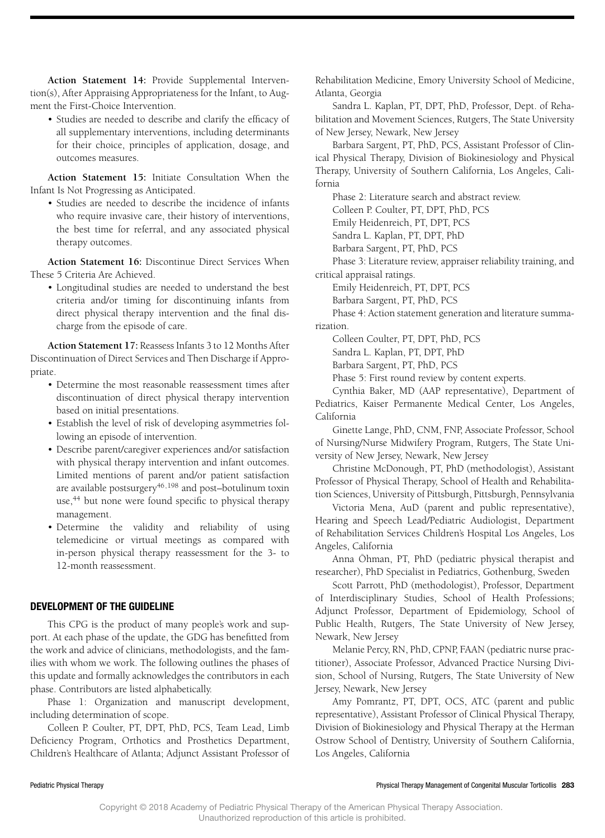**Action Statement 14:** Provide Supplemental Intervention(s), After Appraising Appropriateness for the Infant, to Augment the First-Choice Intervention.

• Studies are needed to describe and clarify the efficacy of all supplementary interventions, including determinants for their choice, principles of application, dosage, and outcomes measures.

**Action Statement 15:** Initiate Consultation When the Infant Is Not Progressing as Anticipated.

• Studies are needed to describe the incidence of infants who require invasive care, their history of interventions, the best time for referral, and any associated physical therapy outcomes.

**Action Statement 16:** Discontinue Direct Services When These 5 Criteria Are Achieved.

• Longitudinal studies are needed to understand the best criteria and/or timing for discontinuing infants from direct physical therapy intervention and the final discharge from the episode of care.

**Action Statement 17:** Reassess Infants 3 to 12 Months After Discontinuation of Direct Services and Then Discharge if Appropriate.

- Determine the most reasonable reassessment times after discontinuation of direct physical therapy intervention based on initial presentations.
- Establish the level of risk of developing asymmetries following an episode of intervention.
- Describe parent/caregiver experiences and/or satisfaction with physical therapy intervention and infant outcomes. Limited mentions of parent and/or patient satisfaction are available postsurgery $46,198$  and post-botulinum toxin use,<sup>44</sup> but none were found specific to physical therapy management.
- Determine the validity and reliability of using telemedicine or virtual meetings as compared with in-person physical therapy reassessment for the 3- to 12-month reassessment.

#### **DEVELOPMENT OF THE GUIDELINE**

This CPG is the product of many people's work and support. At each phase of the update, the GDG has benefitted from the work and advice of clinicians, methodologists, and the families with whom we work. The following outlines the phases of this update and formally acknowledges the contributors in each phase. Contributors are listed alphabetically.

Phase 1: Organization and manuscript development, including determination of scope.

Colleen P. Coulter, PT, DPT, PhD, PCS, Team Lead, Limb Deficiency Program, Orthotics and Prosthetics Department, Children's Healthcare of Atlanta; Adjunct Assistant Professor of Rehabilitation Medicine, Emory University School of Medicine, Atlanta, Georgia

Sandra L. Kaplan, PT, DPT, PhD, Professor, Dept. of Rehabilitation and Movement Sciences, Rutgers, The State University of New Jersey, Newark, New Jersey

Barbara Sargent, PT, PhD, PCS, Assistant Professor of Clinical Physical Therapy, Division of Biokinesiology and Physical Therapy, University of Southern California, Los Angeles, California

Phase 2: Literature search and abstract review.

Colleen P. Coulter, PT, DPT, PhD, PCS

Emily Heidenreich, PT, DPT, PCS

Sandra L. Kaplan, PT, DPT, PhD

Barbara Sargent, PT, PhD, PCS

Phase 3: Literature review, appraiser reliability training, and critical appraisal ratings.

Emily Heidenreich, PT, DPT, PCS

Barbara Sargent, PT, PhD, PCS

Phase 4: Action statement generation and literature summarization.

Colleen Coulter, PT, DPT, PhD, PCS

Sandra L. Kaplan, PT, DPT, PhD

Barbara Sargent, PT, PhD, PCS

Phase 5: First round review by content experts.

Cynthia Baker, MD (AAP representative), Department of Pediatrics, Kaiser Permanente Medical Center, Los Angeles, California

Ginette Lange, PhD, CNM, FNP, Associate Professor, School of Nursing/Nurse Midwifery Program, Rutgers, The State University of New Jersey, Newark, New Jersey

Christine McDonough, PT, PhD (methodologist), Assistant Professor of Physical Therapy, School of Health and Rehabilitation Sciences, University of Pittsburgh, Pittsburgh, Pennsylvania

Victoria Mena, AuD (parent and public representative), Hearing and Speech Lead/Pediatric Audiologist, Department of Rehabilitation Services Children's Hospital Los Angeles, Los Angeles, California

Anna Öhman, PT, PhD (pediatric physical therapist and researcher), PhD Specialist in Pediatrics, Gothenburg, Sweden

Scott Parrott, PhD (methodologist), Professor, Department of Interdisciplinary Studies, School of Health Professions; Adjunct Professor, Department of Epidemiology, School of Public Health, Rutgers, The State University of New Jersey, Newark, New Jersey

Melanie Percy, RN, PhD, CPNP, FAAN (pediatric nurse practitioner), Associate Professor, Advanced Practice Nursing Division, School of Nursing, Rutgers, The State University of New Jersey, Newark, New Jersey

Amy Pomrantz, PT, DPT, OCS, ATC (parent and public representative), Assistant Professor of Clinical Physical Therapy, Division of Biokinesiology and Physical Therapy at the Herman Ostrow School of Dentistry, University of Southern California, Los Angeles, California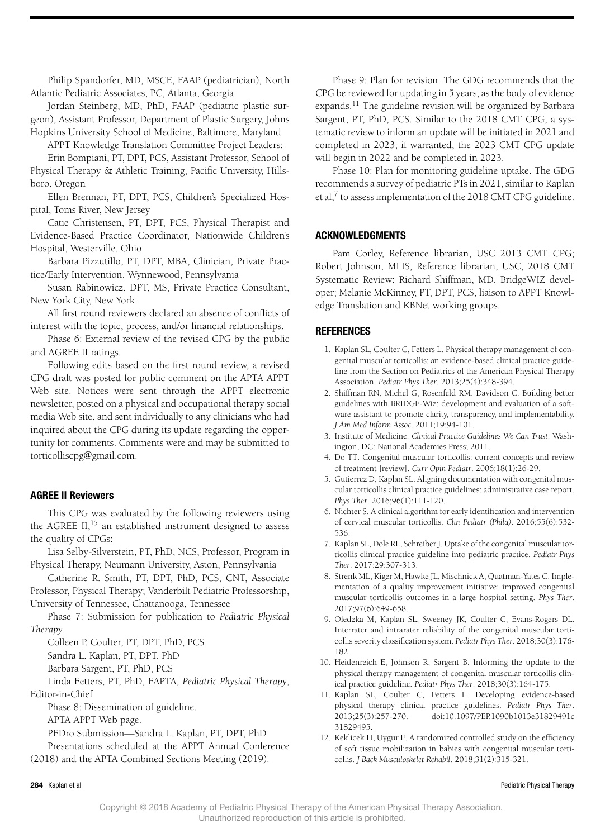Philip Spandorfer, MD, MSCE, FAAP (pediatrician), North Atlantic Pediatric Associates, PC, Atlanta, Georgia

Jordan Steinberg, MD, PhD, FAAP (pediatric plastic surgeon), Assistant Professor, Department of Plastic Surgery, Johns Hopkins University School of Medicine, Baltimore, Maryland

APPT Knowledge Translation Committee Project Leaders:

Erin Bompiani, PT, DPT, PCS, Assistant Professor, School of Physical Therapy & Athletic Training, Pacific University, Hillsboro, Oregon

Ellen Brennan, PT, DPT, PCS, Children's Specialized Hospital, Toms River, New Jersey

Catie Christensen, PT, DPT, PCS, Physical Therapist and Evidence-Based Practice Coordinator, Nationwide Children's Hospital, Westerville, Ohio

Barbara Pizzutillo, PT, DPT, MBA, Clinician, Private Practice/Early Intervention, Wynnewood, Pennsylvania

Susan Rabinowicz, DPT, MS, Private Practice Consultant, New York City, New York

All first round reviewers declared an absence of conflicts of interest with the topic, process, and/or financial relationships.

Phase 6: External review of the revised CPG by the public and AGREE II ratings.

Following edits based on the first round review, a revised CPG draft was posted for public comment on the APTA APPT Web site. Notices were sent through the APPT electronic newsletter, posted on a physical and occupational therapy social media Web site, and sent individually to any clinicians who had inquired about the CPG during its update regarding the opportunity for comments. Comments were and may be submitted to [torticolliscpg@gmail.com.](mailto:torticolliscpg@gmail.com)

### **AGREE II Reviewers**

This CPG was evaluated by the following reviewers using the AGREE II,<sup>15</sup> an established instrument designed to assess the quality of CPGs:

Lisa Selby-Silverstein, PT, PhD, NCS, Professor, Program in Physical Therapy, Neumann University, Aston, Pennsylvania

Catherine R. Smith, PT, DPT, PhD, PCS, CNT, Associate Professor, Physical Therapy; Vanderbilt Pediatric Professorship, University of Tennessee, Chattanooga, Tennessee

Phase 7: Submission for publication to *Pediatric Physical Therapy*.

Colleen P. Coulter, PT, DPT, PhD, PCS

Sandra L. Kaplan, PT, DPT, PhD

Barbara Sargent, PT, PhD, PCS

Linda Fetters, PT, PhD, FAPTA, *Pediatric Physical Therapy*, Editor-in-Chief

Phase 8: Dissemination of guideline.

APTA APPT Web page.

PEDro Submission—Sandra L. Kaplan, PT, DPT, PhD

Presentations scheduled at the APPT Annual Conference

(2018) and the APTA Combined Sections Meeting (2019).

Phase 9: Plan for revision. The GDG recommends that the CPG be reviewed for updating in 5 years, as the body of evidence expands.<sup>11</sup> The guideline revision will be organized by Barbara Sargent, PT, PhD, PCS. Similar to the 2018 CMT CPG, a systematic review to inform an update will be initiated in 2021 and completed in 2023; if warranted, the 2023 CMT CPG update will begin in 2022 and be completed in 2023.

Phase 10: Plan for monitoring guideline uptake. The GDG recommends a survey of pediatric PTs in 2021, similar to Kaplan et al, $^7$  to assess implementation of the 2018 CMT CPG guideline.

#### **ACKNOWLEDGMENTS**

Pam Corley, Reference librarian, USC 2013 CMT CPG; Robert Johnson, MLIS, Reference librarian, USC, 2018 CMT Systematic Review; Richard Shiffman, MD, BridgeWIZ developer; Melanie McKinney, PT, DPT, PCS, liaison to APPT Knowledge Translation and KBNet working groups.

#### **REFERENCES**

- 1. Kaplan SL, Coulter C, Fetters L. Physical therapy management of congenital muscular torticollis: an evidence-based clinical practice guideline from the Section on Pediatrics of the American Physical Therapy Association. *Pediatr Phys Ther*. 2013;25(4):348-394.
- 2. Shiffman RN, Michel G, Rosenfeld RM, Davidson C. Building better guidelines with BRIDGE-Wiz: development and evaluation of a software assistant to promote clarity, transparency, and implementability. *J Am Med Inform Assoc*. 2011;19:94-101.
- 3. Institute of Medicine. *Clinical Practice Guidelines We Can Trust*. Washington, DC: National Academies Press; 2011.
- 4. Do TT. Congenital muscular torticollis: current concepts and review of treatment [review]. *Curr Opin Pediatr*. 2006;18(1):26-29.
- 5. Gutierrez D, Kaplan SL. Aligning documentation with congenital muscular torticollis clinical practice guidelines: administrative case report. *Phys Ther*. 2016;96(1):111-120.
- 6. Nichter S. A clinical algorithm for early identification and intervention of cervical muscular torticollis. *Clin Pediatr (Phila)*. 2016;55(6):532- 536.
- 7. Kaplan SL, Dole RL, Schreiber J. Uptake of the congenital muscular torticollis clinical practice guideline into pediatric practice. *Pediatr Phys Ther*. 2017;29:307-313.
- 8. Strenk ML, Kiger M, Hawke JL, Mischnick A, Quatman-Yates C. Implementation of a quality improvement initiative: improved congenital muscular torticollis outcomes in a large hospital setting. *Phys Ther*. 2017;97(6):649-658.
- 9. Oledzka M, Kaplan SL, Sweeney JK, Coulter C, Evans-Rogers DL. Interrater and intrarater reliability of the congenital muscular torticollis severity classification system. *Pediatr Phys Ther*. 2018;30(3):176- 182.
- 10. Heidenreich E, Johnson R, Sargent B. Informing the update to the physical therapy management of congenital muscular torticollis clinical practice guideline. *Pediatr Phys Ther*. 2018;30(3):164-175.
- 11. Kaplan SL, Coulter C, Fetters L. Developing evidence-based physical therapy clinical practice guidelines. *Pediatr Phys Ther*. 2013;25(3):257-270. doi:10.1097/PEP.1090b1013e31829491c 31829495.
- 12. Keklicek H, Uygur F. A randomized controlled study on the efficiency of soft tissue mobilization in babies with congenital muscular torticollis. *J Back Musculoskelet Rehabil*. 2018;31(2):315-321.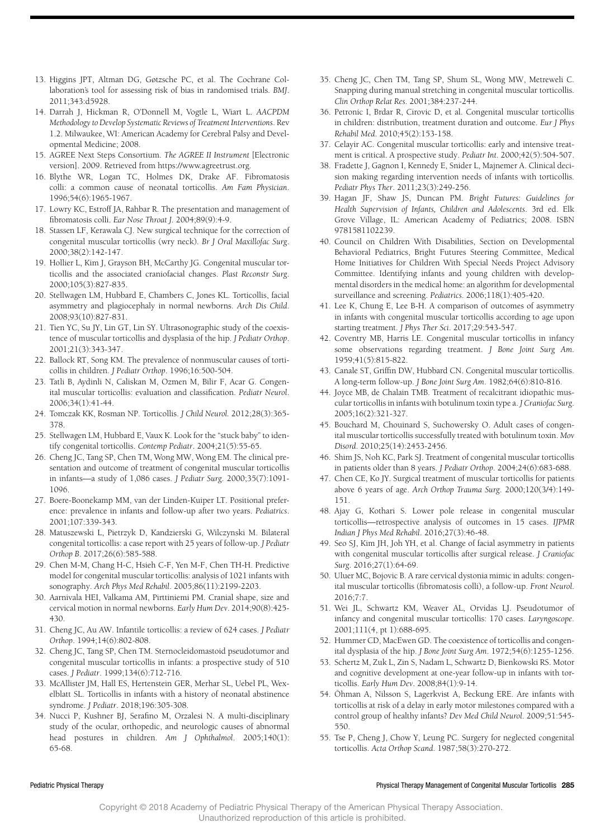- 13. Higgins JPT, Altman DG, Gøtzsche PC, et al. The Cochrane Collaboration's tool for assessing risk of bias in randomised trials. *BMJ*. 2011;343:d5928.
- 14. Darrah J, Hickman R, O'Donnell M, Vogtle L, Wiart L. *AACPDM Methodology to Develop Systematic Reviews of Treatment Interventions*. Rev 1.2. Milwaukee, WI: American Academy for Cerebral Palsy and Developmental Medicine; 2008.
- 15. AGREE Next Steps Consortium. *The AGREE II Instrument* [Electronic version]. 2009. Retrieved from https://www.agreetrust.org.
- 16. Blythe WR, Logan TC, Holmes DK, Drake AF. Fibromatosis colli: a common cause of neonatal torticollis. *Am Fam Physician*. 1996;54(6):1965-1967.
- 17. Lowry KC, Estroff JA, Rahbar R. The presentation and management of fibromatosis colli. *Ear Nose Throat J*. 2004;89(9):4-9.
- 18. Stassen LF, Kerawala CJ. New surgical technique for the correction of congenital muscular torticollis (wry neck). *Br J Oral Maxillofac Surg*. 2000;38(2):142-147.
- 19. Hollier L, Kim J, Grayson BH, McCarthy JG. Congenital muscular torticollis and the associated craniofacial changes. *Plast Reconstr Surg*. 2000;105(3):827-835.
- 20. Stellwagen LM, Hubbard E, Chambers C, Jones KL. Torticollis, facial asymmetry and plagiocephaly in normal newborns. *Arch Dis Child*. 2008;93(10):827-831.
- 21. Tien YC, Su JY, Lin GT, Lin SY. Ultrasonographic study of the coexistence of muscular torticollis and dysplasia of the hip. *J Pediatr Orthop*. 2001;21(3):343-347.
- 22. Ballock RT, Song KM. The prevalence of nonmuscular causes of torticollis in children. *J Pediatr Orthop*. 1996;16:500-504.
- 23. Tatli B, Aydinli N, Caliskan M, Ozmen M, Bilir F, Acar G. Congenital muscular torticollis: evaluation and classification. *Pediatr Neurol*. 2006;34(1):41-44.
- 24. Tomczak KK, Rosman NP. Torticollis. *J Child Neurol.* 2012;28(3):365- 378.
- 25. Stellwagen LM, Hubbard E, Vaux K. Look for the "stuck baby" to identify congenital torticollis. *Contemp Pediatr*. 2004;21(5):55-65.
- 26. Cheng JC, Tang SP, Chen TM, Wong MW, Wong EM. The clinical presentation and outcome of treatment of congenital muscular torticollis in infants—a study of 1,086 cases. *J Pediatr Surg*. 2000;35(7):1091- 1096.
- 27. Boere-Boonekamp MM, van der Linden-Kuiper LT. Positional preference: prevalence in infants and follow-up after two years. *Pediatrics*. 2001;107:339-343.
- 28. Matuszewski L, Pietrzyk D, Kandzierski G, Wilczynski M. Bilateral congenital torticollis: a case report with 25 years of follow-up. *J Pediatr Orthop B*. 2017;26(6):585-588.
- 29. Chen M-M, Chang H-C, Hsieh C-F, Yen M-F, Chen TH-H. Predictive model for congenital muscular torticollis: analysis of 1021 infants with sonography. *Arch Phys Med Rehabil*. 2005;86(11):2199-2203.
- 30. Aarnivala HEI, Valkama AM, Pirttiniemi PM. Cranial shape, size and cervical motion in normal newborns. *Early Hum Dev*. 2014;90(8):425- 430.
- 31. Cheng JC, Au AW. Infantile torticollis: a review of 624 cases. *J Pediatr Orthop*. 1994;14(6):802-808.
- 32. Cheng JC, Tang SP, Chen TM. Sternocleidomastoid pseudotumor and congenital muscular torticollis in infants: a prospective study of 510 cases. *J Pediatr*. 1999;134(6):712-716.
- 33. McAllister JM, Hall ES, Hertenstein GER, Merhar SL, Uebel PL, Wexelblatt SL. Torticollis in infants with a history of neonatal abstinence syndrome. *J Pediatr*. 2018;196:305-308.
- 34. Nucci P, Kushner BJ, Serafino M, Orzalesi N. A multi-disciplinary study of the ocular, orthopedic, and neurologic causes of abnormal head postures in children. *Am J Ophthalmol*. 2005;140(1): 65-68.
- 35. Cheng JC, Chen TM, Tang SP, Shum SL, Wong MW, Metreweli C. Snapping during manual stretching in congenital muscular torticollis. *Clin Orthop Relat Res*. 2001;384:237-244.
- 36. Petronic I, Brdar R, Cirovic D, et al. Congenital muscular torticollis in children: distribution, treatment duration and outcome. *Eur J Phys Rehabil Med*. 2010;45(2):153-158.
- 37. Celayir AC. Congenital muscular torticollis: early and intensive treatment is critical. A prospective study. *Pediatr Int*. 2000;42(5):504-507.
- 38. Fradette J, Gagnon I, Kennedy E, Snider L, Majnemer A. Clinical decision making regarding intervention needs of infants with torticollis. *Pediatr Phys Ther*. 2011;23(3):249-256.
- 39. Hagan JF, Shaw JS, Duncan PM. *Bright Futures: Guidelines for Health Supervision of Infants, Children and Adolescents*. 3rd ed. Elk Grove Village, IL: American Academy of Pediatrics; 2008. ISBN 9781581102239.
- 40. Council on Children With Disabilities, Section on Developmental Behavioral Pediatrics, Bright Futures Steering Committee, Medical Home Initiatives for Children With Special Needs Project Advisory Committee. Identifying infants and young children with developmental disorders in the medical home: an algorithm for developmental surveillance and screening. *Pediatrics*. 2006;118(1):405-420.
- 41. Lee K, Chung E, Lee B-H. A comparison of outcomes of asymmetry in infants with congenital muscular torticollis according to age upon starting treatment. *J Phys Ther Sci*. 2017;29:543-547.
- 42. Coventry MB, Harris LE. Congenital muscular torticollis in infancy some observations regarding treatment. *J Bone Joint Surg Am*. 1959;41(5):815-822.
- 43. Canale ST, Griffin DW, Hubbard CN. Congenital muscular torticollis. A long-term follow-up. *J Bone Joint Surg Am*. 1982;64(6):810-816.
- 44. Joyce MB, de Chalain TMB. Treatment of recalcitrant idiopathic muscular torticollis in infants with botulinum toxin type a. *J Craniofac Surg*. 2005;16(2):321-327.
- 45. Bouchard M, Chouinard S, Suchowersky O. Adult cases of congenital muscular torticollis successfully treated with botulinum toxin. *Mov Disord*. 2010;25(14):2453-2456.
- 46. Shim JS, Noh KC, Park SJ. Treatment of congenital muscular torticollis in patients older than 8 years. *J Pediatr Orthop*. 2004;24(6):683-688.
- 47. Chen CE, Ko JY. Surgical treatment of muscular torticollis for patients above 6 years of age. *Arch Orthop Trauma Surg*. 2000;120(3/4):149- 151.
- 48. Ajay G, Kothari S. Lower pole release in congenital muscular torticollis—retrospective analysis of outcomes in 15 cases. *IJPMR Indian J Phys Med Rehabil*. 2016;27(3):46-48.
- 49. Seo SJ, Kim JH, Joh YH, et al. Change of facial asymmetry in patients with congenital muscular torticollis after surgical release. *J Craniofac Surg*. 2016;27(1):64-69.
- 50. Uluer MC, Bojovic B. A rare cervical dystonia mimic in adults: congenital muscular torticollis (fibromatosis colli), a follow-up. *Front Neurol*. 2016;7:7.
- 51. Wei JL, Schwartz KM, Weaver AL, Orvidas LJ. Pseudotumor of infancy and congenital muscular torticollis: 170 cases. *Laryngoscope*. 2001;111(4, pt 1):688-695.
- 52. Hummer CD, MacEwen GD. The coexistence of torticollis and congenital dysplasia of the hip. *J Bone Joint Surg Am*. 1972;54(6):1255-1256.
- 53. Schertz M, Zuk L, Zin S, Nadam L, Schwartz D, Bienkowski RS. Motor and cognitive development at one-year follow-up in infants with torticollis. *Early Hum Dev*. 2008;84(1):9-14.
- 54. Öhman A, Nilsson S, Lagerkvist A, Beckung ERE. Are infants with torticollis at risk of a delay in early motor milestones compared with a control group of healthy infants? *Dev Med Child Neurol*. 2009;51:545- 550.
- 55. Tse P, Cheng J, Chow Y, Leung PC. Surgery for neglected congenital torticollis. *Acta Orthop Scand*. 1987;58(3):270-272.

#### Pediatric Physical Therapy Physical Therapy Management of Congenital Muscular Torticollis **285**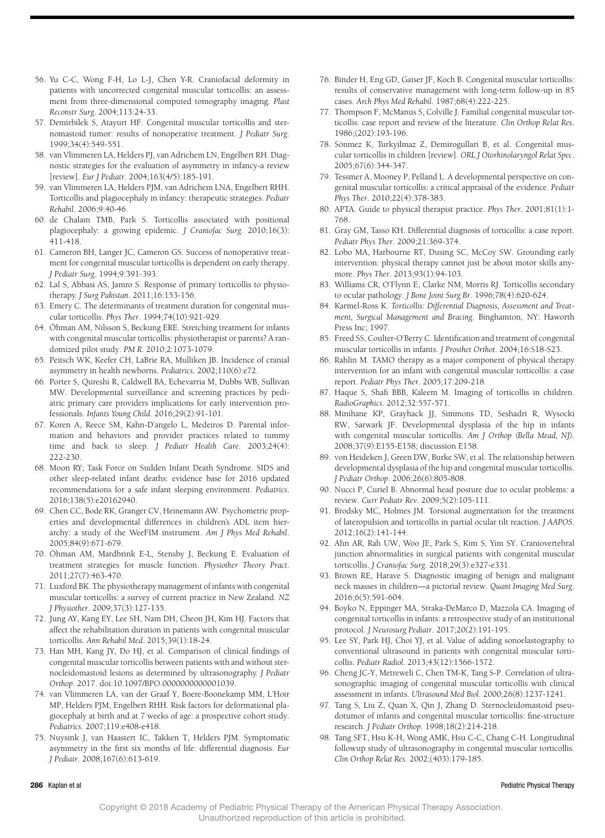- 56. Yu C-C, Wong F-H, Lo L-J, Chen Y-R. Craniofacial deformity in patients with uncorrected congenital muscular torticollis: an assessment from three-dimensional computed tomography imaging. *Plast Reconstr Surg*. 2004;113:24-33.
- 57. Demirbilek S, Atayurt HF. Congenital muscular torticollis and sternomastoid tumor: results of nonoperative treatment. *J Pediatr Surg*. 1999;34(4):549-551.
- 58. van Vlimmeren LA, Helders PJ, van Adrichem LN, Engelbert RH. Diagnostic strategies for the evaluation of asymmetry in infancy-a review [review]. *Eur J Pediatr*. 2004;163(4/5):185-191.
- 59. van Vlimmeren LA, Helders PJM, van Adrichem LNA, Engelbert RHH. Torticollis and plagiocephaly in infancy: therapeutic strategies. *Pediatr Rehabil*. 2006;9:40-46.
- 60. de Chalain TMB, Park S. Torticollis associated with positional plagiocephaly: a growing epidemic. *J Craniofac Surg*. 2010;16(3): 411-418.
- 61. Cameron BH, Langer JC, Cameron GS. Success of nonoperative treatment for congenital muscular torticollis is dependent on early therapy. *J Pediatr Surg*. 1994;9:391-393.
- 62. Lal S, Abbasi AS, Jamro S. Response of primary torticollis to physiotherapy. *J Surg Pakistan*. 2011;16:153-156.
- 63. Emery C. The determinants of treatment duration for congenital muscular torticollis. *Phys Ther*. 1994;74(10):921-929.
- 64. Öhman AM, Nilsson S, Beckung ERE. Stretching treatment for infants with congenital muscular torticollis: physiotherapist or parents? A randomized pilot study. *PM R*. 2010;2:1073-1079.
- 65. Peitsch WK, Keefer CH, LaBrie RA, Mulliken JB. Incidence of cranial asymmetry in health newborns. *Pediatrics*. 2002;110(6):e72.
- 66. Porter S, Qureshi R, Caldwell BA, Echevarria M, Dubbs WB, Sullivan MW. Developmental surveillance and screening practices by pediatric primary care providers implications for early intervention professionals. *Infants Young Child*. 2016;29(2):91-101.
- 67. Koren A, Reece SM, Kahn-D'angelo L, Medeiros D. Parental information and behaviors and provider practices related to tummy time and back to sleep. *J Pediatr Health Care*. 2003;24(4): 222-230.
- 68. Moon RY; Task Force on Sudden Infant Death Syndrome. SIDS and other sleep-related infant deaths: evidence base for 2016 updated recommendations for a safe infant sleeping environment. *Pediatrics*. 2016;138(5):e20162940.
- 69. Chen CC, Bode RK, Granger CV, Heinemann AW. Psychometric properties and developmental differences in children's ADL item hierarchy: a study of the WeeFIM instrument. *Am J Phys Med Rehabil*. 2005;84(9):671-679.
- 70. Öhman AM, Mardbrink E-L, Stensby J, Beckung E. Evaluation of treatment strategies for muscle function. *Physiother Theory Pract*. 2011;27(7):463-470.
- 71. Luxford BK. The physiotherapy management of infants with congenital muscular torticollis: a survey of current practice in New Zealand. *NZ J Physiother*. 2009;37(3):127-135.
- 72. Jung AY, Kang EY, Lee SH, Nam DH, Cheon JH, Kim HJ. Factors that affect the rehabilitation duration in patients with congenital muscular torticollis. *Ann Rehabil Med*. 2015;39(1):18-24.
- 73. Han MH, Kang JY, Do HJ, et al. Comparison of clinical findings of congenital muscular torticollis between patients with and without sternocleidomastoid lesions as determined by ultrasonography. *J Pediatr Orthop*. 2017. doi:10.1097/BPO.0000000000001039.
- 74. van Vlimmeren LA, van der Graaf Y, Boere-Boonekamp MM, L'Hoir MP, Helders PJM, Engelbert RHH. Risk factors for deformational plagiocephaly at birth and at 7 weeks of age: a prospective cohort study. *Pediatrics*. 2007;119:e408-e418.
- 75. Nuysink J, van Haastert IC, Takken T, Helders PJM. Symptomatic asymmetry in the first six months of life: differential diagnosis. *Eur J Pediatr*. 2008;167(6):613-619.
- 76. Binder H, Eng GD, Gaiser JF, Koch B. Congenital muscular torticollis: results of conservative management with long-term follow-up in 85 cases. *Arch Phys Med Rehabil*. 1987;68(4):222-225.
- 77. Thompson F, McManus S, Colville J. Familial congenital muscular torticollis: case report and review of the literature. *Clin Orthop Relat Res*. 1986;(202):193-196.
- 78. Sönmez K, Turkyilmaz Z, Demirogullari B, et al. Congenital muscular torticollis in children [review]. *ORL J Otorhinolaryngol Relat Spec*. 2005;67(6):344-347.
- 79. Tessmer A, Mooney P, Pelland L. A developmental perspective on congenital muscular torticollis: a critical appraisal of the evidence. *Pediatr Phys Ther*. 2010;22(4):378-383.
- 80. APTA. Guide to physical therapist practice. *Phys Ther*. 2001;81(1):1- 768.
- 81. Gray GM, Tasso KH. Differential diagnosis of torticollis: a case report. *Pediatr Phys Ther*. 2009;21:369-374.
- 82. Lobo MA, Harbourne RT, Dusing SC, McCoy SW. Grounding early intervention: physical therapy cannot just be about motor skills anymore. *Phys Ther*. 2013;93(1):94-103.
- 83. Williams CR, O'Flynn E, Clarke NM, Morris RJ. Torticollis secondary to ocular pathology. *J Bone Joint Surg Br*. 1996;78(4):620-624.
- 84. Karmel-Ross K. *Torticollis: Differential Diagnosis, Assessment and Treatment, Surgical Management and Bracing*. Binghamton, NY: Haworth Press Inc: 1997.
- 85. Freed SS, Coulter-O'Berry C. Identification and treatment of congenital muscular torticollis in infants. *J Prosthet Orthot*. 2004;16:S18-S23.
- 86. Rahlin M. TAMO therapy as a major component of physical therapy intervention for an infant with congenital muscular torticollis: a case report. *Pediatr Phys Ther*. 2005;17:209-218.
- 87. Haque S, Shafi BBB, Kaleem M. Imaging of torticollis in children. *RadioGraphics*. 2012;32:557-571.
- 88. Minihane KP, Grayhack JJ, Simmons TD, Seshadri R, Wysocki RW, Sarwark JF. Developmental dysplasia of the hip in infants with congenital muscular torticollis. *Am J Orthop (Bella Mead, NJ).* 2008;37(9):E155-E158; discussion E158.
- 89. von Heideken J, Green DW, Burke SW, et al. The relationship between developmental dysplasia of the hip and congenital muscular torticollis. *J Pediatr Orthop*. 2006;26(6):805-808.
- 90. Nucci P, Curiel B. Abnormal head posture due to ocular problems: a review. *Curr Pediatr Rev*. 2009;5(2):105-111.
- 91. Brodsky MC, Holmes JM. Torsional augmentation for the treatment of lateropulsion and torticollis in partial ocular tilt reaction. *J AAPOS*. 2012;16(2):141-144.
- 92. Ahn AR, Rah UW, Woo JE, Park S, Kim S, Yim SY. Craniovertebral junction abnormalities in surgical patients with congenital muscular torticollis. *J Craniofac Surg*. 2018;29(3):e327-e331.
- 93. Brown RE, Harave S. Diagnostic imaging of benign and malignant neck masses in children—a pictorial review. *Quant Imaging Med Surg*. 2016;6(5):591-604.
- 94. Boyko N, Eppinger MA, Straka-DeMarco D, Mazzola CA. Imaging of congenital torticollis in infants: a retrospective study of an institutional protocol. *J Neurosurg Pediatr*. 2017;20(2):191-195.
- 95. Lee SY, Park HJ, Choi YJ, et al. Value of adding sonoelastography to conventional ultrasound in patients with congenital muscular torticollis. *Pediatr Radiol*. 2013;43(12):1566-1572.
- 96. Cheng JC-Y, Metreweli C, Chen TM-K, Tang S-P. Correlation of ultrasonographic imaging of congenital muscular torticollis with clinical assessment in infants. *Ultrasound Med Biol*. 2000;26(8):1237-1241.
- 97. Tang S, Liu Z, Quan X, Qin J, Zhang D. Sternocleidomastoid pseudotumor of infants and congenital muscular torticollis: fine-structure research. *J Pediatr Orthop*. 1998;18(2):214-218.
- 98. Tang SFT, Hsu K-H, Wong AMK, Hsu C-C, Chang C-H. Longitudinal followup study of ultrasonography in congenital muscular torticollis. *Clin Orthop Relat Res*. 2002;(403):179-185.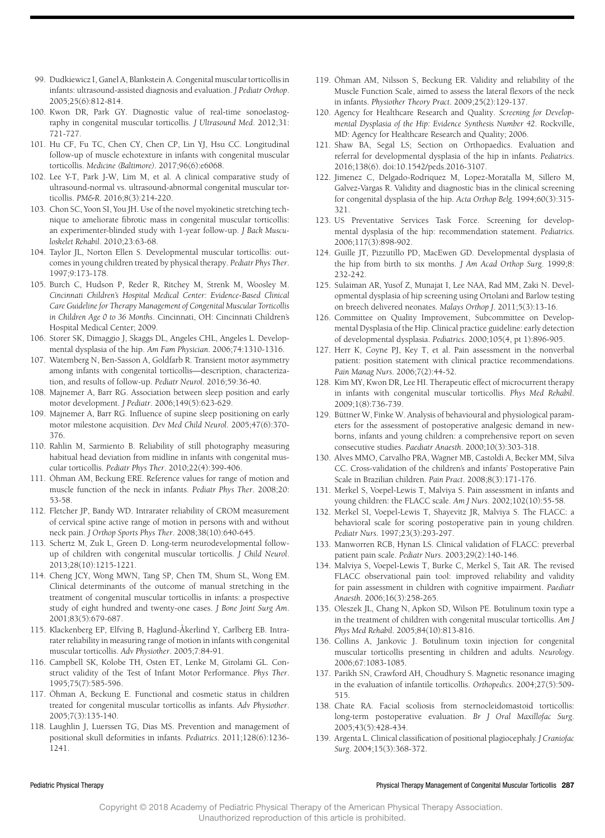- 99. Dudkiewicz I, Ganel A, Blankstein A. Congenital muscular torticollis in infants: ultrasound-assisted diagnosis and evaluation. *J Pediatr Orthop*. 2005;25(6):812-814.
- 100. Kwon DR, Park GY. Diagnostic value of real-time sonoelastography in congenital muscular torticollis. *J Ultrasound Med*. 2012;31: 721-727.
- 101. Hu CF, Fu TC, Chen CY, Chen CP, Lin YJ, Hsu CC. Longitudinal follow-up of muscle echotexture in infants with congenital muscular torticollis. *Medicine (Baltimore)*. 2017;96(6):e6068.
- 102. Lee Y-T, Park J-W, Lim M, et al. A clinical comparative study of ultrasound-normal vs. ultrasound-abnormal congenital muscular torticollis. *PM&R*. 2016;8(3):214-220.
- 103. Chon SC, Yoon SI, You JH. Use of the novel myokinetic stretching technique to ameliorate fibrotic mass in congenital muscular torticollis: an experimenter-blinded study with 1-year follow-up. *J Back Musculoskelet Rehabil*. 2010;23:63-68.
- 104. Taylor JL, Norton Ellen S. Developmental muscular torticollis: outcomes in young children treated by physical therapy. *Pediatr Phys Ther*. 1997;9:173-178.
- 105. Burch C, Hudson P, Reder R, Ritchey M, Strenk M, Woosley M. *Cincinnati Children's Hospital Medical Center: Evidence-Based Clinical Care Guideline for Therapy Management of Congenital Muscular Torticollis in Children Age 0 to 36 Months*. Cincinnati, OH: Cincinnati Children's Hospital Medical Center; 2009.
- 106. Storer SK, Dimaggio J, Skaggs DL, Angeles CHL, Angeles L. Developmental dysplasia of the hip. *Am Fam Physician*. 2006;74:1310-1316.
- 107. Watemberg N, Ben-Sasson A, Goldfarb R. Transient motor asymmetry among infants with congenital torticollis—description, characterization, and results of follow-up. *Pediatr Neurol*. 2016;59:36-40.
- 108. Majnemer A, Barr RG. Association between sleep position and early motor development. *J Pediatr*. 2006;149(5):623-629.
- 109. Majnemer A, Barr RG. Influence of supine sleep positioning on early motor milestone acquisition. *Dev Med Child Neurol*. 2005;47(6):370- 376.
- 110. Rahlin M, Sarmiento B. Reliability of still photography measuring habitual head deviation from midline in infants with congenital muscular torticollis. *Pediatr Phys Ther*. 2010;22(4):399-406.
- 111. Öhman AM, Beckung ERE. Reference values for range of motion and muscle function of the neck in infants. *Pediatr Phys Ther*. 2008;20: 53-58.
- 112. Fletcher JP, Bandy WD. Intrarater reliability of CROM measurement of cervical spine active range of motion in persons with and without neck pain. *J Orthop Sports Phys Ther*. 2008;38(10):640-645.
- 113. Schertz M, Zuk L, Green D. Long-term neurodevelopmental followup of children with congenital muscular torticollis. *J Child Neurol*. 2013;28(10):1215-1221.
- 114. Cheng JCY, Wong MWN, Tang SP, Chen TM, Shum SL, Wong EM. Clinical determinants of the outcome of manual stretching in the treatment of congenital muscular torticollis in infants: a prospective study of eight hundred and twenty-one cases. *J Bone Joint Surg Am*. 2001;83(5):679-687.
- 115. Klackenberg EP, Elfving B, Haglund-Åkerlind Y, Carlberg EB. Intrarater reliability in measuring range of motion in infants with congenital muscular torticollis. *Adv Physiother*. 2005;7:84-91.
- 116. Campbell SK, Kolobe TH, Osten ET, Lenke M, Girolami GL. Construct validity of the Test of Infant Motor Performance. *Phys Ther*. 1995;75(7):585-596.
- 117. Öhman A, Beckung E. Functional and cosmetic status in children treated for congenital muscular torticollis as infants. *Adv Physiother*. 2005;7(3):135-140.
- 118. Laughlin J, Luerssen TG, Dias MS. Prevention and management of positional skull deformities in infants. *Pediatrics*. 2011;128(6):1236- 1241.
- 119. Öhman AM, Nilsson S, Beckung ER. Validity and reliability of the Muscle Function Scale, aimed to assess the lateral flexors of the neck in infants. *Physiother Theory Pract*. 2009;25(2):129-137.
- 120. Agency for Healthcare Research and Quality. *Screening for Developmental Dysplasia of the Hip: Evidence Synthesis Number 42*. Rockville, MD: Agency for Healthcare Research and Quality; 2006.
- 121. Shaw BA, Segal LS; Section on Orthopaedics. Evaluation and referral for developmental dysplasia of the hip in infants. *Pediatrics*. 2016;138(6). doi:10.1542/peds.2016-3107.
- 122. Jimenez C, Delgado-Rodriquez M, Lopez-Moratalla M, Sillero M, Galvez-Vargas R. Validity and diagnostic bias in the clinical screening for congenital dysplasia of the hip. *Acta Orthop Belg*. 1994;60(3):315- 321.
- 123. US Preventative Services Task Force. Screening for developmental dysplasia of the hip: recommendation statement. *Pediatrics.* 2006;117(3):898-902.
- 124. Guille JT, Pizzutillo PD, MacEwen GD. Developmental dysplasia of the hip from birth to six months. *J Am Acad Orthop Surg*. 1999;8: 232-242.
- 125. Sulaiman AR, Yusof Z, Munajat I, Lee NAA, Rad MM, Zaki N. Developmental dysplasia of hip screening using Ortolani and Barlow testing on breech delivered neonates. *Malays Orthop J*. 2011;5(3):13-16.
- 126. Committee on Quality Improvement, Subcommittee on Developmental Dysplasia of the Hip. Clinical practice guideline: early detection of developmental dysplasia. *Pediatrics*. 2000;105(4, pt 1):896-905.
- 127. Herr K, Coyne PJ, Key T, et al. Pain assessment in the nonverbal patient: position statement with clinical practice recommendations. *Pain Manag Nurs*. 2006;7(2):44-52.
- 128. Kim MY, Kwon DR, Lee HI. Therapeutic effect of microcurrent therapy in infants with congenital muscular torticollis. *Phys Med Rehabil*. 2009;1(8):736-739.
- 129. Büttner W, Finke W. Analysis of behavioural and physiological parameters for the assessment of postoperative analgesic demand in newborns, infants and young children: a comprehensive report on seven consecutive studies. *Paediatr Anaesth*. 2000;10(3):303-318.
- 130. Alves MMO, Carvalho PRA, Wagner MB, Castoldi A, Becker MM, Silva CC. Cross-validation of the children's and infants' Postoperative Pain Scale in Brazilian children. *Pain Pract*. 2008;8(3):171-176.
- 131. Merkel S, Voepel-Lewis T, Malviya S. Pain assessment in infants and young children: the FLACC scale. *Am J Nurs*. 2002;102(10):55-58.
- 132. Merkel SI, Voepel-Lewis T, Shayevitz JR, Malviya S. The FLACC: a behavioral scale for scoring postoperative pain in young children. *Pediatr Nurs*. 1997;23(3):293-297.
- 133. Manworren RCB, Hynan LS. Clinical validation of FLACC: preverbal patient pain scale. *Pediatr Nurs*. 2003;29(2):140-146.
- 134. Malviya S, Voepel-Lewis T, Burke C, Merkel S, Tait AR. The revised FLACC observational pain tool: improved reliability and validity for pain assessment in children with cognitive impairment. *Paediatr Anaesth*. 2006;16(3):258-265.
- 135. Oleszek JL, Chang N, Apkon SD, Wilson PE. Botulinum toxin type a in the treatment of children with congenital muscular torticollis. *Am J Phys Med Rehabil*. 2005;84(10):813-816.
- 136. Collins A, Jankovic J. Botulinum toxin injection for congenital muscular torticollis presenting in children and adults. *Neurology*. 2006;67:1083-1085.
- 137. Parikh SN, Crawford AH, Choudhury S. Magnetic resonance imaging in the evaluation of infantile torticollis. *Orthopedics*. 2004;27(5):509- 515.
- 138. Chate RA. Facial scoliosis from sternocleidomastoid torticollis: long-term postoperative evaluation. *Br J Oral Maxillofac Surg*. 2005;43(5):428-434.
- 139. Argenta L. Clinical classification of positional plagiocephaly. *J Craniofac Surg*. 2004;15(3):368-372.

#### Pediatric Physical Therapy Physical Therapy Management of Congenital Muscular Torticollis **287**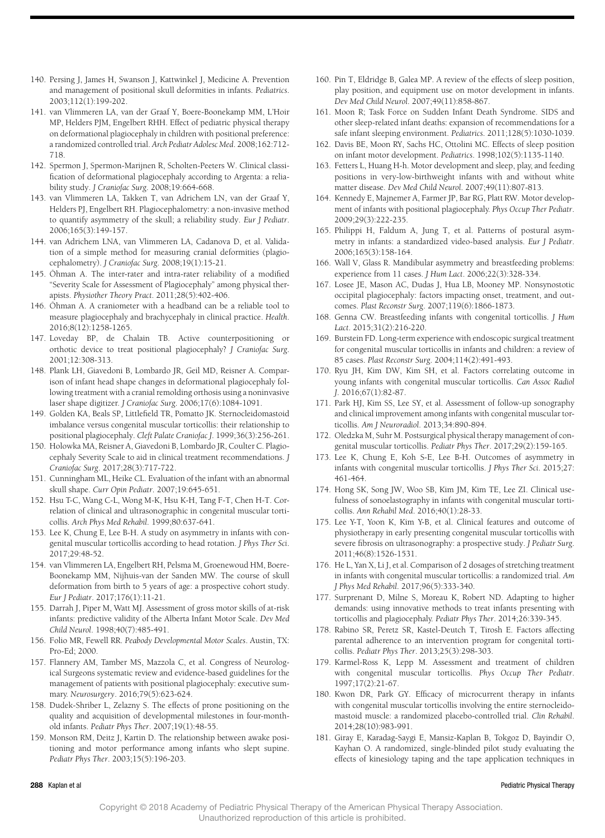- 140. Persing J, James H, Swanson J, Kattwinkel J, Medicine A. Prevention and management of positional skull deformities in infants. *Pediatrics*. 2003;112(1):199-202.
- 141. van Vlimmeren LA, van der Graaf Y, Boere-Boonekamp MM, L'Hoir MP, Helders PJM, Engelbert RHH. Effect of pediatric physical therapy on deformational plagiocephaly in children with positional preference: a randomized controlled trial. *Arch Pediatr Adolesc Med*. 2008;162:712- 718.
- 142. Spermon J, Spermon-Marijnen R, Scholten-Peeters W. Clinical classification of deformational plagiocephaly according to Argenta: a reliability study. *J Craniofac Surg*. 2008;19:664-668.
- 143. van Vlimmeren LA, Takken T, van Adrichem LN, van der Graaf Y, Helders PJ, Engelbert RH. Plagiocephalometry: a non-invasive method to quantify asymmetry of the skull; a reliability study. *Eur J Pediatr*. 2006;165(3):149-157.
- 144. van Adrichem LNA, van Vlimmeren LA, Cadanova D, et al. Validation of a simple method for measuring cranial deformities (plagiocephalometry). *J Craniofac Surg*. 2008;19(1):15-21.
- 145. Öhman A. The inter-rater and intra-rater reliability of a modified "Severity Scale for Assessment of Plagiocephaly" among physical therapists. *Physiother Theory Pract*. 2011;28(5):402-406.
- 146. Öhman A. A craniometer with a headband can be a reliable tool to measure plagiocephaly and brachycephaly in clinical practice. *Health*. 2016;8(12):1258-1265.
- 147. Loveday BP, de Chalain TB. Active counterpositioning or orthotic device to treat positional plagiocephaly? *J Craniofac Surg*. 2001;12:308-313.
- 148. Plank LH, Giavedoni B, Lombardo JR, Geil MD, Reisner A. Comparison of infant head shape changes in deformational plagiocephaly following treatment with a cranial remolding orthosis using a noninvasive laser shape digitizer. *J Craniofac Surg*. 2006;17(6):1084-1091.
- 149. Golden KA, Beals SP, Littlefield TR, Pomatto JK. Sternocleidomastoid imbalance versus congenital muscular torticollis: their relationship to positional plagiocephaly. *Cleft Palate Craniofac J*. 1999;36(3):256-261.
- 150. Holowka MA, Reisner A, Giavedoni B, Lombardo JR, Coulter C. Plagiocephaly Severity Scale to aid in clinical treatment recommendations. *J Craniofac Surg*. 2017;28(3):717-722.
- 151. Cunningham ML, Heike CL. Evaluation of the infant with an abnormal skull shape. *Curr Opin Pediatr*. 2007;19:645-651.
- 152. Hsu T-C, Wang C-L, Wong M-K, Hsu K-H, Tang F-T, Chen H-T. Correlation of clinical and ultrasonographic in congenital muscular torticollis. *Arch Phys Med Rehabil*. 1999;80:637-641.
- 153. Lee K, Chung E, Lee B-H. A study on asymmetry in infants with congenital muscular torticollis according to head rotation. *J Phys Ther Sci*. 2017;29:48-52.
- 154. van Vlimmeren LA, Engelbert RH, Pelsma M, Groenewoud HM, Boere-Boonekamp MM, Nijhuis-van der Sanden MW. The course of skull deformation from birth to 5 years of age: a prospective cohort study. *Eur J Pediatr*. 2017;176(1):11-21.
- 155. Darrah J, Piper M, Watt MJ. Assessment of gross motor skills of at-risk infants: predictive validity of the Alberta Infant Motor Scale. *Dev Med Child Neurol*. 1998;40(7):485-491.
- 156. Folio MR, Fewell RR. *Peabody Developmental Motor Scales*. Austin, TX: Pro-Ed; 2000.
- 157. Flannery AM, Tamber MS, Mazzola C, et al. Congress of Neurological Surgeons systematic review and evidence-based guidelines for the management of patients with positional plagiocephaly: executive summary. *Neurosurgery*. 2016;79(5):623-624.
- 158. Dudek-Shriber L, Zelazny S. The effects of prone positioning on the quality and acquisition of developmental milestones in four-monthold infants. *Pediatr Phys Ther*. 2007;19(1):48-55.
- 159. Monson RM, Deitz J, Kartin D. The relationship between awake positioning and motor performance among infants who slept supine. *Pediatr Phys Ther*. 2003;15(5):196-203.
- 160. Pin T, Eldridge B, Galea MP. A review of the effects of sleep position, play position, and equipment use on motor development in infants. *Dev Med Child Neurol*. 2007;49(11):858-867.
- 161. Moon R; Task Force on Sudden Infant Death Syndrome. SIDS and other sleep-related infant deaths: expansion of recommendations for a safe infant sleeping environment. *Pediatrics*. 2011;128(5):1030-1039.
- 162. Davis BE, Moon RY, Sachs HC, Ottolini MC. Effects of sleep position on infant motor development. *Pediatrics*. 1998;102(5):1135-1140.
- 163. Fetters L, Huang H-h. Motor development and sleep, play, and feeding positions in very-low-birthweight infants with and without white matter disease. *Dev Med Child Neurol*. 2007;49(11):807-813.
- 164. Kennedy E, Majnemer A, Farmer JP, Bar RG, Platt RW. Motor development of infants with positional plagiocephaly. *Phys Occup Ther Pediatr*. 2009;29(3):222-235.
- 165. Philippi H, Faldum A, Jung T, et al. Patterns of postural asymmetry in infants: a standardized video-based analysis. *Eur J Pediatr*. 2006;165(3):158-164.
- 166. Wall V, Glass R. Mandibular asymmetry and breastfeeding problems: experience from 11 cases. *J Hum Lact*. 2006;22(3):328-334.
- 167. Losee JE, Mason AC, Dudas J, Hua LB, Mooney MP. Nonsynostotic occipital plagiocephaly: factors impacting onset, treatment, and outcomes. *Plast Reconstr Surg*. 2007;119(6):1866-1873.
- 168. Genna CW. Breastfeeding infants with congenital torticollis. *J Hum Lact*. 2015;31(2):216-220.
- 169. Burstein FD. Long-term experience with endoscopic surgical treatment for congenital muscular torticollis in infants and children: a review of 85 cases. *Plast Reconstr Surg*. 2004;114(2):491-493.
- 170. Ryu JH, Kim DW, Kim SH, et al. Factors correlating outcome in young infants with congenital muscular torticollis. *Can Assoc Radiol J*. 2016;67(1):82-87.
- 171. Park HJ, Kim SS, Lee SY, et al. Assessment of follow-up sonography and clinical improvement among infants with congenital muscular torticollis. *Am J Neuroradiol*. 2013;34:890-894.
- 172. Oledzka M, Suhr M. Postsurgical physical therapy management of congenital muscular torticollis. *Pediatr Phys Ther*. 2017;29(2):159-165.
- 173. Lee K, Chung E, Koh S-E, Lee B-H. Outcomes of asymmetry in infants with congenital muscular torticollis. *J Phys Ther Sci*. 2015;27: 461-464.
- 174. Hong SK, Song JW, Woo SB, Kim JM, Kim TE, Lee ZI. Clinical usefulness of sonoelastography in infants with congenital muscular torticollis. *Ann Rehabil Med*. 2016;40(1):28-33.
- 175. Lee Y-T, Yoon K, Kim Y-B, et al. Clinical features and outcome of physiotherapy in early presenting congenital muscular torticollis with severe fibrosis on ultrasonography: a prospective study. *J Pediatr Surg*. 2011;46(8):1526-1531.
- 176. He L, Yan X, Li J, et al. Comparison of 2 dosages of stretching treatment in infants with congenital muscular torticollis: a randomized trial. *Am J Phys Med Rehabil*. 2017;96(5):333-340.
- 177. Surprenant D, Milne S, Moreau K, Robert ND. Adapting to higher demands: using innovative methods to treat infants presenting with torticollis and plagiocephaly. *Pediatr Phys Ther*. 2014;26:339-345.
- 178. Rabino SR, Peretz SR, Kastel-Deutch T, Tirosh E. Factors affecting parental adherence to an intervention program for congenital torticollis. *Pediatr Phys Ther*. 2013;25(3):298-303.
- 179. Karmel-Ross K, Lepp M. Assessment and treatment of children with congenital muscular torticollis. *Phys Occup Ther Pediatr*. 1997;17(2):21-67.
- 180. Kwon DR, Park GY. Efficacy of microcurrent therapy in infants with congenital muscular torticollis involving the entire sternocleidomastoid muscle: a randomized placebo-controlled trial. *Clin Rehabil*. 2014;28(10):983-991.
- 181. Giray E, Karadag-Saygi E, Mansiz-Kaplan B, Tokgoz D, Bayindir O, Kayhan O. A randomized, single-blinded pilot study evaluating the effects of kinesiology taping and the tape application techniques in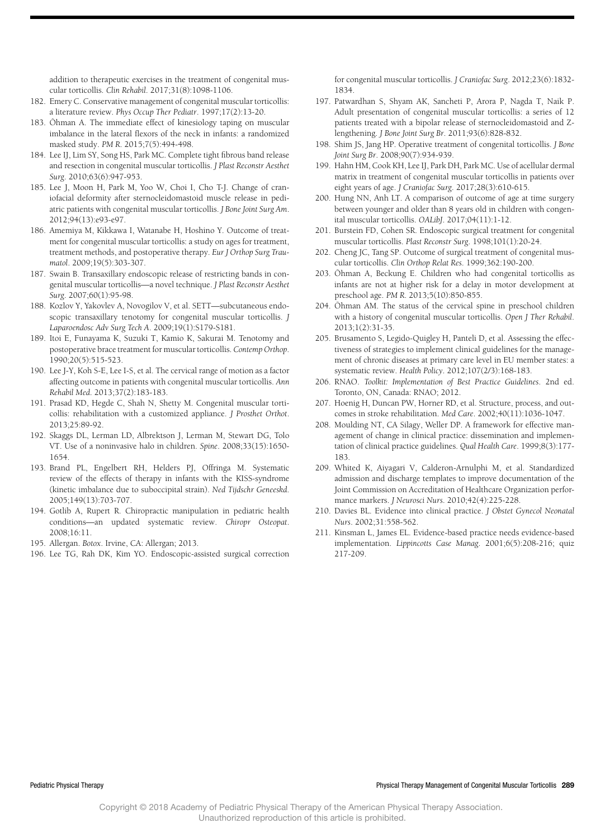addition to therapeutic exercises in the treatment of congenital muscular torticollis. *Clin Rehabil*. 2017;31(8):1098-1106.

- 182. Emery C. Conservative management of congenital muscular torticollis: a literature review. *Phys Occup Ther Pediatr*. 1997;17(2):13-20.
- 183. Öhman A. The immediate effect of kinesiology taping on muscular imbalance in the lateral flexors of the neck in infants: a randomized masked study. *PM R*. 2015;7(5):494-498.
- 184. Lee IJ, Lim SY, Song HS, Park MC. Complete tight fibrous band release and resection in congenital muscular torticollis. *J Plast Reconstr Aesthet Surg*. 2010;63(6):947-953.
- 185. Lee J, Moon H, Park M, Yoo W, Choi I, Cho T-J. Change of craniofacial deformity after sternocleidomastoid muscle release in pediatric patients with congenital muscular torticollis. *J Bone Joint Surg Am*. 2012;94(13):e93-e97.
- 186. Amemiya M, Kikkawa I, Watanabe H, Hoshino Y. Outcome of treatment for congenital muscular torticollis: a study on ages for treatment, treatment methods, and postoperative therapy. *Eur J Orthop Surg Traumatol*. 2009;19(5):303-307.
- 187. Swain B. Transaxillary endoscopic release of restricting bands in congenital muscular torticollis—a novel technique. *J Plast Reconstr Aesthet Surg*. 2007;60(1):95-98.
- 188. Kozlov Y, Yakovlev A, Novogilov V, et al. SETT—subcutaneous endoscopic transaxillary tenotomy for congenital muscular torticollis. *J Laparoendosc Adv Surg Tech A*. 2009;19(1):S179-S181.
- 189. Itoi E, Funayama K, Suzuki T, Kamio K, Sakurai M. Tenotomy and postoperative brace treatment for muscular torticollis. *Contemp Orthop*. 1990;20(5):515-523.
- 190. Lee J-Y, Koh S-E, Lee I-S, et al. The cervical range of motion as a factor affecting outcome in patients with congenital muscular torticollis. *Ann Rehabil Med*. 2013;37(2):183-183.
- 191. Prasad KD, Hegde C, Shah N, Shetty M. Congenital muscular torticollis: rehabilitation with a customized appliance. *J Prosthet Orthot*. 2013;25:89-92.
- 192. Skaggs DL, Lerman LD, Albrektson J, Lerman M, Stewart DG, Tolo VT. Use of a noninvasive halo in children. *Spine*. 2008;33(15):1650- 1654.
- 193. Brand PL, Engelbert RH, Helders PJ, Offringa M. Systematic review of the effects of therapy in infants with the KISS-syndrome (kinetic imbalance due to suboccipital strain). *Ned Tijdschr Geneeskd*. 2005;149(13):703-707.
- 194. Gotlib A, Rupert R. Chiropractic manipulation in pediatric health conditions—an updated systematic review. *Chiropr Osteopat*. 2008;16:11.
- 195. Allergan. *Botox*. Irvine, CA: Allergan; 2013.
- 196. Lee TG, Rah DK, Kim YO. Endoscopic-assisted surgical correction

for congenital muscular torticollis. *J Craniofac Surg*. 2012;23(6):1832- 1834.

- 197. Patwardhan S, Shyam AK, Sancheti P, Arora P, Nagda T, Naik P. Adult presentation of congenital muscular torticollis: a series of 12 patients treated with a bipolar release of sternocleidomastoid and Zlengthening. *J Bone Joint Surg Br*. 2011;93(6):828-832.
- 198. Shim JS, Jang HP. Operative treatment of congenital torticollis. *J Bone Joint Surg Br*. 2008;90(7):934-939.
- 199. Hahn HM, Cook KH, Lee IJ, Park DH, Park MC. Use of acellular dermal matrix in treatment of congenital muscular torticollis in patients over eight years of age. *J Craniofac Surg*. 2017;28(3):610-615.
- 200. Hung NN, Anh LT. A comparison of outcome of age at time surgery between younger and older than 8 years old in children with congenital muscular torticollis. *OALibJ*. 2017;04(11):1-12.
- 201. Burstein FD, Cohen SR. Endoscopic surgical treatment for congenital muscular torticollis. *Plast Reconstr Surg*. 1998;101(1):20-24.
- 202. Cheng JC, Tang SP. Outcome of surgical treatment of congenital muscular torticollis. *Clin Orthop Relat Res*. 1999;362:190-200.
- 203. Öhman A, Beckung E. Children who had congenital torticollis as infants are not at higher risk for a delay in motor development at preschool age. *PM R*. 2013;5(10):850-855.
- 204. Öhman AM. The status of the cervical spine in preschool children with a history of congenital muscular torticollis. *Open J Ther Rehabil*. 2013;1(2):31-35.
- 205. Brusamento S, Legido-Quigley H, Panteli D, et al. Assessing the effectiveness of strategies to implement clinical guidelines for the management of chronic diseases at primary care level in EU member states: a systematic review. *Health Policy*. 2012;107(2/3):168-183.
- 206. RNAO. *Toolkit: Implementation of Best Practice Guidelines*. 2nd ed. Toronto, ON, Canada: RNAO; 2012.
- 207. Hoenig H, Duncan PW, Horner RD, et al. Structure, process, and outcomes in stroke rehabilitation. *Med Care*. 2002;40(11):1036-1047.
- 208. Moulding NT, CA Silagy, Weller DP. A framework for effective management of change in clinical practice: dissemination and implementation of clinical practice guidelines. *Qual Health Care*. 1999;8(3):177- 183.
- 209. Whited K, Aiyagari V, Calderon-Arnulphi M, et al. Standardized admission and discharge templates to improve documentation of the Joint Commission on Accreditation of Healthcare Organization performance markers. *J Neurosci Nurs*. 2010;42(4):225-228.
- 210. Davies BL. Evidence into clinical practice. *J Obstet Gynecol Neonatal Nurs*. 2002;31:558-562.
- 211. Kinsman L, James EL. Evidence-based practice needs evidence-based implementation. *Lippincotts Case Manag*. 2001;6(5):208-216; quiz 217-209.